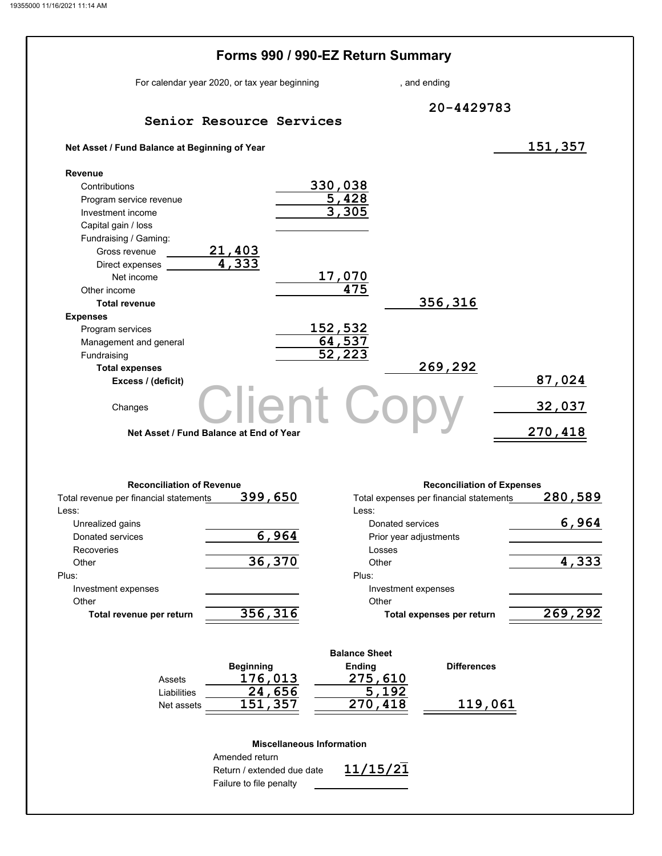Donated services

Investment expenses

**Total revenue per return**

Recoveries **Other** 

**Other** 

|                                                                                                                                                                                                                                                                                                                                                          |                                               |                                                               |              | Forms 990 / 990-EZ Return Summary                                            |         |
|----------------------------------------------------------------------------------------------------------------------------------------------------------------------------------------------------------------------------------------------------------------------------------------------------------------------------------------------------------|-----------------------------------------------|---------------------------------------------------------------|--------------|------------------------------------------------------------------------------|---------|
|                                                                                                                                                                                                                                                                                                                                                          | For calendar year 2020, or tax year beginning |                                                               |              | , and ending                                                                 |         |
|                                                                                                                                                                                                                                                                                                                                                          | Senior Resource Services                      |                                                               |              | 20-4429783                                                                   |         |
| Net Asset / Fund Balance at Beginning of Year                                                                                                                                                                                                                                                                                                            |                                               |                                                               |              |                                                                              | 151,357 |
| <b>Revenue</b><br>Contributions<br>Program service revenue<br>Investment income<br>Capital gain / loss<br>Fundraising / Gaming:<br>Gross revenue<br>Direct expenses<br>Net income<br>Other income<br><b>Total revenue</b><br><b>Expenses</b><br>Program services<br>Management and general<br>Fundraising<br><b>Total expenses</b><br>Excess / (deficit) | $\frac{21,403}{4,333}$                        | 330,038<br>17,070<br>152,532<br>64,537<br>$\overline{52,223}$ | 5,428<br>475 | 356,316<br>269,292                                                           | 87,024  |
| Changes                                                                                                                                                                                                                                                                                                                                                  |                                               | <b>Client</b>                                                 |              |                                                                              | 32,037  |
|                                                                                                                                                                                                                                                                                                                                                          | Net Asset / Fund Balance at End of Year       |                                                               |              |                                                                              | 270,418 |
| <b>Reconciliation of Revenue</b><br>Total revenue per financial statements<br>Less:                                                                                                                                                                                                                                                                      | 399,650                                       |                                                               | Less:        | <b>Reconciliation of Expenses</b><br>Total expenses per financial statements | 280,589 |
| Unrealized gains                                                                                                                                                                                                                                                                                                                                         |                                               |                                                               |              | Donated services                                                             | 6,964   |

|             |                  | <b>Balance Sheet</b> |                    |
|-------------|------------------|----------------------|--------------------|
|             | <b>Beginning</b> | <b>Ending</b>        | <b>Differences</b> |
| Assets      | 176,013          | 275<br>610           |                    |
| Liabilities | 656<br>24.       | 192                  |                    |
| Net assets  | 357<br>151       | 18                   | 061<br>119         |

### **Miscellaneous Information**

Amended return

Plus: Plus: Plus: Plus: Plus: Plus: Plus: Plus: Plus: Plus: Plus: Plus: Plus: Plus: Plus: Plus: Plus: Plus: Plus: Plus: Plus: Plus: Plus: Plus: Plus: Plus: Plus: Plus: Plus: Plus: Plus: Plus: Plus: Plus: Plus: Plus: Plus:

Return / extended due date Failure to file penalty

**6,964**

**36,370**

**356,316**

**11/15/21**

**Total expenses per return**

**4,333**

**269,292**

Investment expenses

Prior year adjustments

**Other** 

Other Losses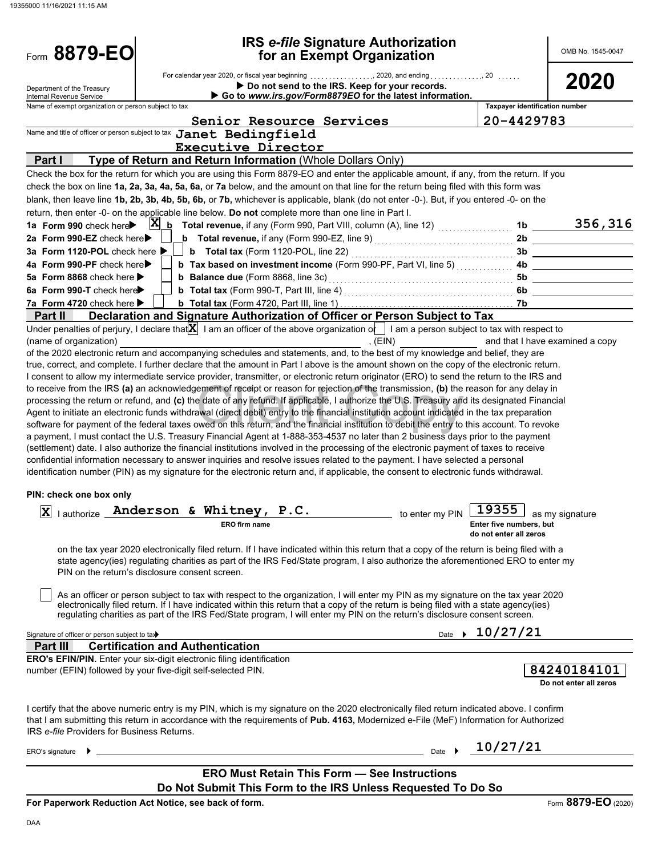| 5000 11/16/2021 11:15 AM                               |                                                                                                                                                                                                                                                                                                                                                                                                                           |                                |                                 |
|--------------------------------------------------------|---------------------------------------------------------------------------------------------------------------------------------------------------------------------------------------------------------------------------------------------------------------------------------------------------------------------------------------------------------------------------------------------------------------------------|--------------------------------|---------------------------------|
| Form 8879-EO                                           | <b>IRS e-file Signature Authorization</b><br>for an Exempt Organization                                                                                                                                                                                                                                                                                                                                                   |                                | OMB No. 1545-0047               |
| Department of the Treasury<br>Internal Revenue Service | Do not send to the IRS. Keep for your records.<br>Go to www.irs.gov/Form8879EO for the latest information.                                                                                                                                                                                                                                                                                                                |                                | 2020                            |
| Name of exempt organization or person subject to tax   |                                                                                                                                                                                                                                                                                                                                                                                                                           | Taxpayer identification number |                                 |
|                                                        | Senior Resource Services                                                                                                                                                                                                                                                                                                                                                                                                  | 20-4429783                     |                                 |
| Part I                                                 | Name and title of officer or person subject to tax Janet Bedingfield<br>Executive Director<br>Type of Return and Return Information (Whole Dollars Only)                                                                                                                                                                                                                                                                  |                                |                                 |
|                                                        | Check the box for the return for which you are using this Form 8879-EO and enter the applicable amount, if any, from the return. If you<br>check the box on line 1a, 2a, 3a, 4a, 5a, 6a, or 7a below, and the amount on that line for the return being filed with this form was<br>blank, then leave line 1b, 2b, 3b, 4b, 5b, 6b, or 7b, whichever is applicable, blank (do not enter-0-). But, if you entered -0- on the |                                |                                 |
|                                                        | return, then enter -0- on the applicable line below. Do not complete more than one line in Part I.                                                                                                                                                                                                                                                                                                                        |                                |                                 |
|                                                        | 1a Form 990 check here $X_{b}$ Total revenue, if any (Form 990, Part VIII, column (A), line 12)                                                                                                                                                                                                                                                                                                                           | 1b                             | 356,316                         |
| 2a Form 990-EZ check here                              | <b>b</b> Total revenue, if any (Form 990-EZ, line 9) $\ldots$ $\ldots$ $\ldots$ $\ldots$ $\ldots$ $\ldots$                                                                                                                                                                                                                                                                                                                | 2 <sub>b</sub>                 |                                 |
| 3a Form 1120-POL check here ▶                          |                                                                                                                                                                                                                                                                                                                                                                                                                           | 3 <sub>b</sub>                 |                                 |
| 4a Form 990-PF check here                              | b Tax based on investment income (Form 990-PF, Part VI, line 5)                                                                                                                                                                                                                                                                                                                                                           |                                |                                 |
| 5a Form 8868 check here ▶                              | <b>b</b> Balance due (Form 8868, line 3c)                                                                                                                                                                                                                                                                                                                                                                                 |                                |                                 |
| 6a Form 990-T check here                               |                                                                                                                                                                                                                                                                                                                                                                                                                           |                                | 6b                              |
| 7a Form 4720 check here $\blacktriangleright$          |                                                                                                                                                                                                                                                                                                                                                                                                                           |                                |                                 |
| Part II                                                | Declaration and Signature Authorization of Officer or Person Subject to Tax                                                                                                                                                                                                                                                                                                                                               |                                |                                 |
|                                                        | Under penalties of perjury, I declare that $\mathbf{X}$ I am an officer of the above organization of I am a person subject to tax with respect to                                                                                                                                                                                                                                                                         |                                |                                 |
| (name of organization)                                 | (L(EIN))                                                                                                                                                                                                                                                                                                                                                                                                                  |                                | and that I have examined a copy |
|                                                        | of the 2020 electronic return and accompanying schedules and statements, and, to the best of my knowledge and belief, they are                                                                                                                                                                                                                                                                                            |                                |                                 |
|                                                        | true, correct, and complete. I further declare that the amount in Part I above is the amount shown on the copy of the electronic return.                                                                                                                                                                                                                                                                                  |                                |                                 |
|                                                        | I consent to allow my intermediate service provider, transmitter, or electronic return originator (ERO) to send the return to the IRS and                                                                                                                                                                                                                                                                                 |                                |                                 |
|                                                        | to receive from the IRS (a) an acknowledgement of receipt or reason for rejection of the transmission, (b) the reason for any delay in                                                                                                                                                                                                                                                                                    |                                |                                 |

to receive from the IRS (a) an acknowledgement of receipt or reason for rejection of the transmission, (b) the reason for any delay in<br>processing the return or refund, and (c) the date of any refund. If applicable, I autho processing the return or refund, and **(c)** the date of any refund. If applicable, I authorize the U.S. Treasury and its designated Financial Agent to initiate an electronic funds withdrawal (direct debit) entry to the financial institution account indicated in the tax preparation a payment, I must contact the U.S. Treasury Financial Agent at 1-888-353-4537 no later than 2 business days prior to the payment (settlement) date. I also authorize the financial institutions involved in the processing of the electronic payment of taxes to receive confidential information necessary to answer inquiries and resolve issues related to the payment. I have selected a personal identification number (PIN) as my signature for the electronic return and, if applicable, the consent to electronic funds withdrawal.

#### **PIN: check one box only**

| $\mathbf{x}$ | I authorize Anderson & Whitney, P.C. | to enter my PIN $\left  \frac{19355}{2} \right $ as my signature |
|--------------|--------------------------------------|------------------------------------------------------------------|
|              | <b>ERO firm name</b>                 | Enter five numbers, but                                          |
|              |                                      | do not enter all zeros                                           |

on the tax year 2020 electronically filed return. If I have indicated within this return that a copy of the return is being filed with a state agency(ies) regulating charities as part of the IRS Fed/State program, I also authorize the aforementioned ERO to enter my PIN on the return's disclosure consent screen.

As an officer or person subject to tax with respect to the organization, I will enter my PIN as my signature on the tax year 2020 electronically filed return. If I have indicated within this return that a copy of the return is being filed with a state agency(ies) regulating charities as part of the IRS Fed/State program, I will enter my PIN on the return's disclosure consent screen.

| Signature of officer or person subject to tax                                | 10/27/21<br>Date       |
|------------------------------------------------------------------------------|------------------------|
| <b>Certification and Authentication</b><br>Part III                          |                        |
| <b>ERO's EFIN/PIN.</b> Enter your six-digit electronic filing identification |                        |
| number (EFIN) followed by your five-digit self-selected PIN.                 | 84240184101            |
|                                                                              | Do not enter all zeros |

I certify that the above numeric entry is my PIN, which is my signature on the 2020 electronically filed return indicated above. I confirm that I am submitting this return in accordance with the requirements of **Pub. 4163,** Modernized e-File (MeF) Information for Authorized IRS *e-file* Providers for Business Returns.

ERO's signature Date

|  | Date | 10/27/21 |
|--|------|----------|
|  |      |          |

## **ERO Must Retain This Form — See Instructions Do Not Submit This Form to the IRS Unless Requested To Do So**

**For Paperwork Reduction Act Notice, see back of form.**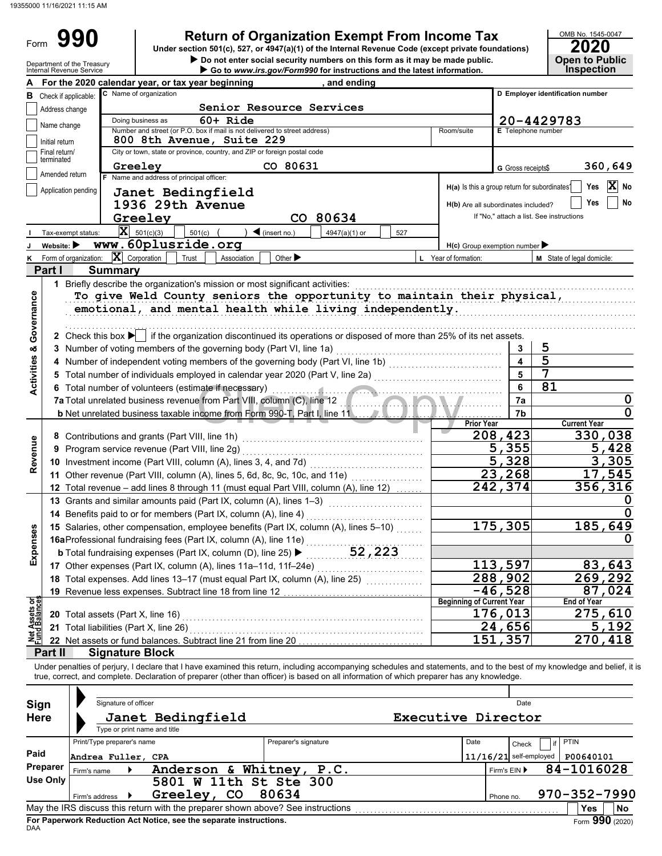Form 990

# **Return of Organization Exempt From Income Tax**

**Under section 501(c), 527, or 4947(a)(1) of the Internal Revenue Code (except private foundations)**

| OMB No. 1545-0047 |
|-------------------|
| 2020              |
|                   |
| Onen to Public    |

|                               | Department of the Treasury<br>Internal Revenue Service | Do not enter social security numbers on this form as it may be made public.                                                                                                | Go to www.irs.gov/Form990 for instructions and the latest information. |                                                           | <b>Open to Public</b><br><b>Inspection</b> |
|-------------------------------|--------------------------------------------------------|----------------------------------------------------------------------------------------------------------------------------------------------------------------------------|------------------------------------------------------------------------|-----------------------------------------------------------|--------------------------------------------|
|                               |                                                        | For the 2020 calendar year, or tax year beginning                                                                                                                          | , and ending                                                           |                                                           |                                            |
| в                             | Check if applicable:                                   | C Name of organization                                                                                                                                                     |                                                                        |                                                           | D Employer identification number           |
|                               | Address change                                         | Senior Resource Services                                                                                                                                                   |                                                                        |                                                           |                                            |
|                               |                                                        | $60+$ Ride<br>Doing business as                                                                                                                                            |                                                                        |                                                           | 20-4429783                                 |
|                               | Name change                                            | Number and street (or P.O. box if mail is not delivered to street address)                                                                                                 | Room/suite                                                             | E Telephone number                                        |                                            |
|                               | Initial return                                         | 800 8th Avenue, Suite 229                                                                                                                                                  |                                                                        |                                                           |                                            |
|                               | Final return/<br>terminated                            | City or town, state or province, country, and ZIP or foreign postal code                                                                                                   |                                                                        |                                                           |                                            |
|                               | Amended return                                         | CO 80631<br>Greeley                                                                                                                                                        |                                                                        | G Gross receipts\$                                        | 360,649                                    |
|                               |                                                        | Name and address of principal officer:                                                                                                                                     |                                                                        | H(a) Is this a group return for subordinates <sup>1</sup> | X No<br>Yes                                |
|                               | Application pending                                    | Janet Bedingfield                                                                                                                                                          |                                                                        |                                                           |                                            |
|                               |                                                        | 1936 29th Avenue                                                                                                                                                           |                                                                        | H(b) Are all subordinates included?                       | No<br>Yes                                  |
|                               |                                                        | CO 80634<br>Greeley                                                                                                                                                        |                                                                        | If "No," attach a list. See instructions                  |                                            |
|                               | Tax-exempt status:                                     | $ \mathbf{X} $ 501(c)(3)<br>$501(c)$ (<br>$\triangleleft$ (insert no.)                                                                                                     | 4947(a)(1) or<br>527                                                   |                                                           |                                            |
|                               | Website: $\blacktriangleright$                         | www.60plusride.org                                                                                                                                                         |                                                                        | $H(c)$ Group exemption number                             |                                            |
| ĸ                             | Form of organization:                                  | $ \mathbf{X} $ Corporation<br>Trust<br>Association<br>Other $\blacktriangleright$                                                                                          | Year of formation:                                                     |                                                           | M State of legal domicile:                 |
|                               | Part I                                                 | <b>Summary</b>                                                                                                                                                             |                                                                        |                                                           |                                            |
|                               |                                                        | 1 Briefly describe the organization's mission or most significant activities:                                                                                              |                                                                        |                                                           |                                            |
|                               |                                                        | To give Weld County seniors the opportunity to maintain their physical,                                                                                                    |                                                                        |                                                           |                                            |
|                               |                                                        | emotional, and mental health while living independently.                                                                                                                   |                                                                        |                                                           |                                            |
|                               |                                                        |                                                                                                                                                                            |                                                                        |                                                           |                                            |
| Governance                    |                                                        | 2 Check this box $\blacktriangleright$ if the organization discontinued its operations or disposed of more than 25% of its net assets.                                     |                                                                        |                                                           |                                            |
|                               |                                                        | 3 Number of voting members of the governing body (Part VI, line 1a)                                                                                                        |                                                                        | 3                                                         | 5                                          |
|                               |                                                        | 4 Number of independent voting members of the governing body (Part VI, line 1b) [[[[[[[[[[[[[[[[[[[[[[[[[[[[[                                                              |                                                                        | $\overline{\mathbf{4}}$                                   | $\overline{\mathbf{5}}$                    |
|                               |                                                        |                                                                                                                                                                            |                                                                        | 5                                                         | 7                                          |
| <b>Activities &amp;</b>       |                                                        | 6 Total number of volunteers (estimate if necessary)                                                                                                                       |                                                                        | 6                                                         | 81                                         |
|                               |                                                        | 7a Total unrelated business revenue from Part VIII, column (C), line 12                                                                                                    |                                                                        | 7a                                                        | 0                                          |
|                               |                                                        | <b>b</b> Net unrelated business taxable income from Form 990-T, Part I, line 11                                                                                            |                                                                        | 7b                                                        | 0                                          |
|                               |                                                        |                                                                                                                                                                            |                                                                        | <b>Prior Year</b>                                         | <b>Current Year</b>                        |
|                               |                                                        |                                                                                                                                                                            |                                                                        | 208,423                                                   | 330,038                                    |
| Revenue                       |                                                        | 9 Program service revenue (Part VIII, line 2g)                                                                                                                             |                                                                        | 5,355                                                     | 5,428                                      |
|                               |                                                        |                                                                                                                                                                            |                                                                        | 5,328                                                     | 3,305                                      |
|                               |                                                        | 11 Other revenue (Part VIII, column (A), lines 5, 6d, 8c, 9c, 10c, and 11e)                                                                                                |                                                                        | 23,268                                                    | 17,545                                     |
|                               |                                                        | 12 Total revenue - add lines 8 through 11 (must equal Part VIII, column (A), line 12)                                                                                      |                                                                        | 242,374                                                   | 356,316                                    |
|                               |                                                        | 13 Grants and similar amounts paid (Part IX, column (A), lines 1-3)                                                                                                        |                                                                        |                                                           |                                            |
|                               |                                                        | 14 Benefits paid to or for members (Part IX, column (A), line 4)                                                                                                           |                                                                        |                                                           |                                            |
|                               |                                                        | 15 Salaries, other compensation, employee benefits (Part IX, column (A), lines 5-10)                                                                                       |                                                                        | 175,305                                                   | 185,649                                    |
| <b>Ses</b>                    |                                                        | 16aProfessional fundraising fees (Part IX, column (A), line 11e)                                                                                                           |                                                                        |                                                           |                                            |
| Expen                         |                                                        | <b>b</b> Total fundraising expenses (Part IX, column (D), line 25) $\blacktriangleright$                                                                                   | 52,223                                                                 |                                                           |                                            |
|                               |                                                        |                                                                                                                                                                            |                                                                        | 113,597                                                   | 83,643                                     |
|                               |                                                        |                                                                                                                                                                            |                                                                        | 288,902                                                   | 269,292                                    |
|                               |                                                        |                                                                                                                                                                            |                                                                        | $-46,528$                                                 | 87,024                                     |
|                               |                                                        |                                                                                                                                                                            |                                                                        | <b>Beginning of Current Year</b>                          | <b>End of Year</b>                         |
| let Assets or<br>und Balances |                                                        | 20 Total assets (Part X, line 16)                                                                                                                                          |                                                                        | 176,013                                                   | 275,610                                    |
|                               |                                                        | 21 Total liabilities (Part X, line 26)                                                                                                                                     |                                                                        | 24,656                                                    | 5,192                                      |
| <u> 추군</u>                    |                                                        |                                                                                                                                                                            |                                                                        | 151,357                                                   | 270,418                                    |
|                               | Part II                                                | <b>Signature Block</b>                                                                                                                                                     |                                                                        |                                                           |                                            |
|                               |                                                        | Under penalties of perjury, I declare that I have examined this return, including accompanying schedules and statements, and to the best of my knowledge and belief, it is |                                                                        |                                                           |                                            |
|                               |                                                        | true, correct, and complete. Declaration of preparer (other than officer) is based on all information of which preparer has any knowledge.                                 |                                                                        |                                                           |                                            |
|                               |                                                        |                                                                                                                                                                            |                                                                        |                                                           |                                            |
| Sign                          |                                                        | Signature of officer                                                                                                                                                       |                                                                        | Date                                                      |                                            |
| <b>Here</b>                   |                                                        | Janet Bedingfield                                                                                                                                                          | Executive Director                                                     |                                                           |                                            |
|                               |                                                        | Type or print name and title                                                                                                                                               |                                                                        |                                                           |                                            |
|                               |                                                        | Print/Type preparer's name<br>Preparer's signature                                                                                                                         | Date                                                                   | Check                                                     | PTIN<br>if                                 |
| Paid                          |                                                        | Andrea Fuller, CPA                                                                                                                                                         |                                                                        | $11/16/21$ self-employed                                  | P00640101                                  |
|                               | <b>Preparer</b><br>Firm's name                         | Anderson & Whitney, P.C.                                                                                                                                                   |                                                                        | Firm's EIN ▶                                              | 84-1016028                                 |
|                               | <b>Use Only</b>                                        | 5801 W 11th St Ste 300                                                                                                                                                     |                                                                        |                                                           |                                            |
|                               |                                                        | Greeley, CO<br>80634                                                                                                                                                       |                                                                        |                                                           | 970-352-7990                               |
|                               | Firm's address                                         |                                                                                                                                                                            |                                                                        | Phone no.                                                 | Yes<br>No                                  |
|                               |                                                        |                                                                                                                                                                            |                                                                        |                                                           |                                            |

| Sign<br><b>Here</b> | Signature of officer<br>Janet Bedingfield<br>Type or print name and title                    |                                                  |                                                                    |                      |  | Date<br>Executive Director |                                         |                    |  |
|---------------------|----------------------------------------------------------------------------------------------|--------------------------------------------------|--------------------------------------------------------------------|----------------------|--|----------------------------|-----------------------------------------|--------------------|--|
| Paid                |                                                                                              | Print/Type preparer's name<br>Andrea Fuller, CPA |                                                                    | Preparer's signature |  | Date                       | if<br>Check<br>$11/16/21$ self-employed | PTIN<br>P00640101  |  |
| Preparer            | Firm's name                                                                                  |                                                  | Anderson & Whitney, P.C.                                           |                      |  |                            | Firm's $EIN$                            | 84-1016028         |  |
| Use Only            | Firm's address                                                                               |                                                  | 5801 W 11th St Ste 300<br>CO.<br>Greelev,                          | 80634                |  | Phone no.                  |                                         | $970 - 352 - 7990$ |  |
|                     | May the IRS discuss this return with the preparer shown above? See instructions<br>No<br>Yes |                                                  |                                                                    |                      |  |                            |                                         |                    |  |
| <b>DAA</b>          |                                                                                              |                                                  | For Paperwork Reduction Act Notice, see the separate instructions. |                      |  |                            |                                         | Form 990 (2020)    |  |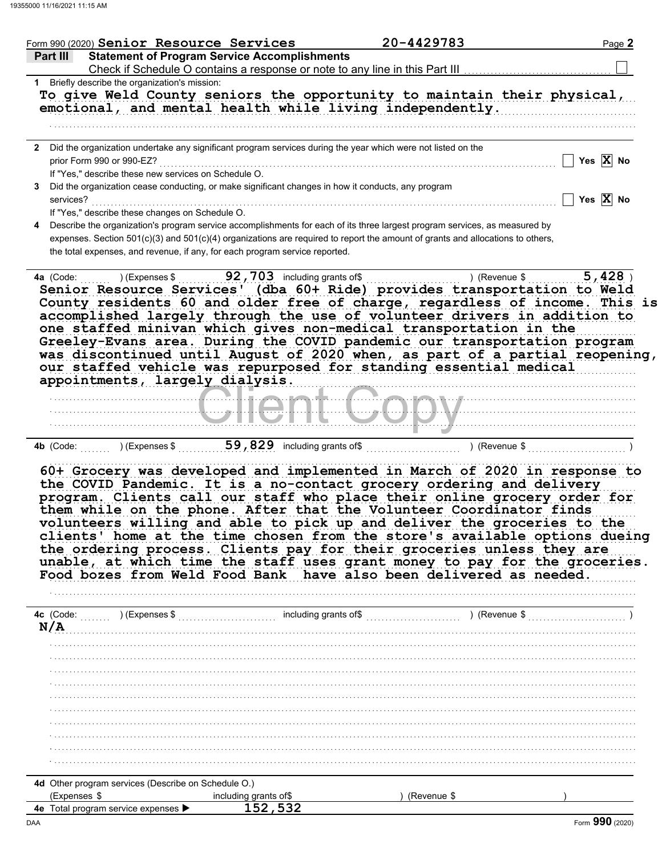|                                                                                                                   | Form 990 (2020) Senior Resource Services                                                                                                                                                                                                                                                                                                                                                                                                                                                                                                                                                                                                                                                   | 20-4429783     | Page 2                |
|-------------------------------------------------------------------------------------------------------------------|--------------------------------------------------------------------------------------------------------------------------------------------------------------------------------------------------------------------------------------------------------------------------------------------------------------------------------------------------------------------------------------------------------------------------------------------------------------------------------------------------------------------------------------------------------------------------------------------------------------------------------------------------------------------------------------------|----------------|-----------------------|
| Part III                                                                                                          | <b>Statement of Program Service Accomplishments</b>                                                                                                                                                                                                                                                                                                                                                                                                                                                                                                                                                                                                                                        |                |                       |
|                                                                                                                   | Check if Schedule O contains a response or note to any line in this Part III                                                                                                                                                                                                                                                                                                                                                                                                                                                                                                                                                                                                               |                |                       |
| 1 Briefly describe the organization's mission:                                                                    |                                                                                                                                                                                                                                                                                                                                                                                                                                                                                                                                                                                                                                                                                            |                |                       |
|                                                                                                                   | To give Weld County seniors the opportunity to maintain their physical,<br>emotional, and mental health while living independently.                                                                                                                                                                                                                                                                                                                                                                                                                                                                                                                                                        |                |                       |
|                                                                                                                   |                                                                                                                                                                                                                                                                                                                                                                                                                                                                                                                                                                                                                                                                                            |                |                       |
|                                                                                                                   |                                                                                                                                                                                                                                                                                                                                                                                                                                                                                                                                                                                                                                                                                            |                |                       |
|                                                                                                                   | 2 Did the organization undertake any significant program services during the year which were not listed on the                                                                                                                                                                                                                                                                                                                                                                                                                                                                                                                                                                             |                |                       |
| prior Form 990 or 990-EZ?                                                                                         |                                                                                                                                                                                                                                                                                                                                                                                                                                                                                                                                                                                                                                                                                            |                | Yes $\overline{X}$ No |
| If "Yes," describe these new services on Schedule O.                                                              |                                                                                                                                                                                                                                                                                                                                                                                                                                                                                                                                                                                                                                                                                            |                |                       |
|                                                                                                                   | Did the organization cease conducting, or make significant changes in how it conducts, any program                                                                                                                                                                                                                                                                                                                                                                                                                                                                                                                                                                                         |                |                       |
| services?                                                                                                         |                                                                                                                                                                                                                                                                                                                                                                                                                                                                                                                                                                                                                                                                                            |                | Yes $\overline{X}$ No |
| If "Yes," describe these changes on Schedule O.                                                                   |                                                                                                                                                                                                                                                                                                                                                                                                                                                                                                                                                                                                                                                                                            |                |                       |
|                                                                                                                   | Describe the organization's program service accomplishments for each of its three largest program services, as measured by                                                                                                                                                                                                                                                                                                                                                                                                                                                                                                                                                                 |                |                       |
|                                                                                                                   | expenses. Section 501(c)(3) and 501(c)(4) organizations are required to report the amount of grants and allocations to others,                                                                                                                                                                                                                                                                                                                                                                                                                                                                                                                                                             |                |                       |
| the total expenses, and revenue, if any, for each program service reported.                                       |                                                                                                                                                                                                                                                                                                                                                                                                                                                                                                                                                                                                                                                                                            |                |                       |
| ) (Expenses \$<br>4a (Code:                                                                                       | 92, 703 including grants of\$                                                                                                                                                                                                                                                                                                                                                                                                                                                                                                                                                                                                                                                              | ) (Revenue \$  | 5,428                 |
|                                                                                                                   | Senior Resource Services' (dba 60+ Ride) provides transportation to Weld                                                                                                                                                                                                                                                                                                                                                                                                                                                                                                                                                                                                                   |                |                       |
|                                                                                                                   |                                                                                                                                                                                                                                                                                                                                                                                                                                                                                                                                                                                                                                                                                            |                |                       |
|                                                                                                                   | County residents 60 and older free of charge, regardless of income. This is                                                                                                                                                                                                                                                                                                                                                                                                                                                                                                                                                                                                                |                |                       |
|                                                                                                                   | accomplished largely through the use of volunteer drivers in addition to                                                                                                                                                                                                                                                                                                                                                                                                                                                                                                                                                                                                                   |                |                       |
|                                                                                                                   | one staffed minivan which gives non-medical transportation in the                                                                                                                                                                                                                                                                                                                                                                                                                                                                                                                                                                                                                          |                |                       |
|                                                                                                                   | Greeley-Evans area. During the COVID pandemic our transportation program                                                                                                                                                                                                                                                                                                                                                                                                                                                                                                                                                                                                                   |                |                       |
|                                                                                                                   | was discontinued until August of 2020 when, as part of a partial reopening,                                                                                                                                                                                                                                                                                                                                                                                                                                                                                                                                                                                                                |                |                       |
|                                                                                                                   | our staffed vehicle was repurposed for standing essential medical                                                                                                                                                                                                                                                                                                                                                                                                                                                                                                                                                                                                                          |                |                       |
| appointments, largely dialysis.                                                                                   |                                                                                                                                                                                                                                                                                                                                                                                                                                                                                                                                                                                                                                                                                            |                |                       |
|                                                                                                                   |                                                                                                                                                                                                                                                                                                                                                                                                                                                                                                                                                                                                                                                                                            |                |                       |
|                                                                                                                   |                                                                                                                                                                                                                                                                                                                                                                                                                                                                                                                                                                                                                                                                                            |                |                       |
|                                                                                                                   |                                                                                                                                                                                                                                                                                                                                                                                                                                                                                                                                                                                                                                                                                            |                |                       |
| 4b (Code: ) (Expenses \$                                                                                          | 59,829 including grants of \$                                                                                                                                                                                                                                                                                                                                                                                                                                                                                                                                                                                                                                                              | $($ Revenue \$ |                       |
|                                                                                                                   |                                                                                                                                                                                                                                                                                                                                                                                                                                                                                                                                                                                                                                                                                            |                |                       |
|                                                                                                                   | 60+ Grocery was developed and implemented in March of 2020 in response to<br>the COVID Pandemic. It is a no-contact grocery ordering and delivery<br>program. Clients call our staff who place their online grocery order for<br>them while on the phone. After that the Volunteer Coordinator finds<br>volunteers willing and able to pick up and deliver the groceries to the<br>clients' home at the time chosen from the store's available options dueing<br>the ordering process. Clients pay for their groceries unless they are<br>unable, at which time the staff uses grant money to pay for the groceries.<br>Food bozes from Weld Food Bank have also been delivered as needed. |                |                       |
|                                                                                                                   |                                                                                                                                                                                                                                                                                                                                                                                                                                                                                                                                                                                                                                                                                            |                |                       |
|                                                                                                                   |                                                                                                                                                                                                                                                                                                                                                                                                                                                                                                                                                                                                                                                                                            |                |                       |
|                                                                                                                   |                                                                                                                                                                                                                                                                                                                                                                                                                                                                                                                                                                                                                                                                                            |                |                       |
|                                                                                                                   |                                                                                                                                                                                                                                                                                                                                                                                                                                                                                                                                                                                                                                                                                            |                |                       |
|                                                                                                                   |                                                                                                                                                                                                                                                                                                                                                                                                                                                                                                                                                                                                                                                                                            |                |                       |
|                                                                                                                   |                                                                                                                                                                                                                                                                                                                                                                                                                                                                                                                                                                                                                                                                                            |                |                       |
|                                                                                                                   |                                                                                                                                                                                                                                                                                                                                                                                                                                                                                                                                                                                                                                                                                            |                |                       |
|                                                                                                                   |                                                                                                                                                                                                                                                                                                                                                                                                                                                                                                                                                                                                                                                                                            |                |                       |
|                                                                                                                   |                                                                                                                                                                                                                                                                                                                                                                                                                                                                                                                                                                                                                                                                                            |                |                       |
|                                                                                                                   |                                                                                                                                                                                                                                                                                                                                                                                                                                                                                                                                                                                                                                                                                            |                |                       |
|                                                                                                                   |                                                                                                                                                                                                                                                                                                                                                                                                                                                                                                                                                                                                                                                                                            |                |                       |
|                                                                                                                   |                                                                                                                                                                                                                                                                                                                                                                                                                                                                                                                                                                                                                                                                                            |                |                       |
|                                                                                                                   |                                                                                                                                                                                                                                                                                                                                                                                                                                                                                                                                                                                                                                                                                            |                |                       |
|                                                                                                                   |                                                                                                                                                                                                                                                                                                                                                                                                                                                                                                                                                                                                                                                                                            |                |                       |
| N/A<br>4d Other program services (Describe on Schedule O.)<br>(Expenses \$<br>4e Total program service expenses > | including grants of\$<br>$\overline{152}$ , 532                                                                                                                                                                                                                                                                                                                                                                                                                                                                                                                                                                                                                                            | ) (Revenue \$  |                       |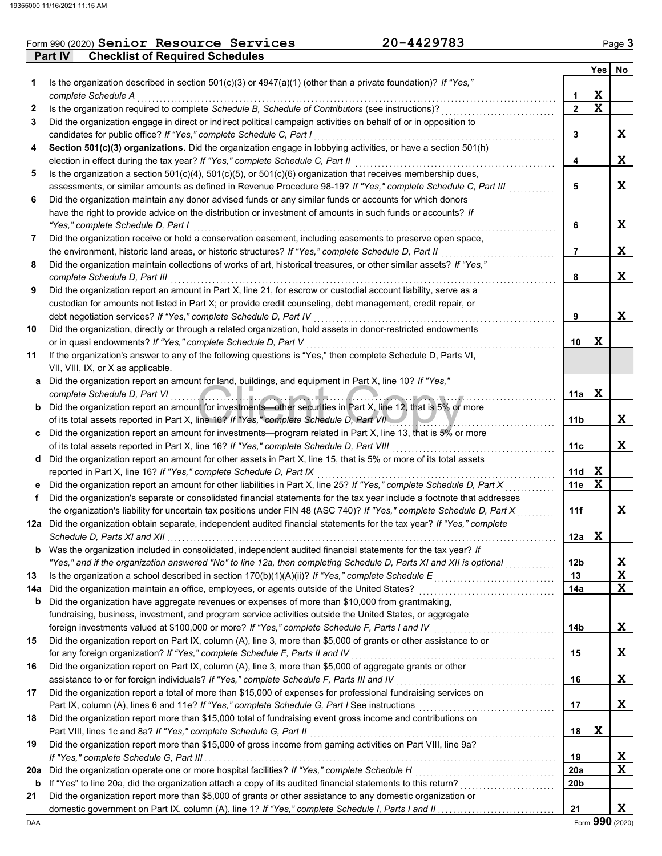## Form 990 (2020) Page **3 Senior Resource Services 20-4429783**

**Part IV Checklist of Required Schedules**

|     |                                                                                                                                                                                                             |                | Yes         | No |
|-----|-------------------------------------------------------------------------------------------------------------------------------------------------------------------------------------------------------------|----------------|-------------|----|
| 1   | Is the organization described in section $501(c)(3)$ or $4947(a)(1)$ (other than a private foundation)? If "Yes,"                                                                                           |                |             |    |
|     | complete Schedule A                                                                                                                                                                                         | 1              | X           |    |
| 2   | Is the organization required to complete Schedule B, Schedule of Contributors (see instructions)?                                                                                                           | $\overline{2}$ | X           |    |
| 3   | Did the organization engage in direct or indirect political campaign activities on behalf of or in opposition to                                                                                            |                |             |    |
|     | candidates for public office? If "Yes," complete Schedule C, Part I                                                                                                                                         | 3              |             | X. |
| 4   | Section 501(c)(3) organizations. Did the organization engage in lobbying activities, or have a section 501(h)                                                                                               |                |             |    |
|     | election in effect during the tax year? If "Yes," complete Schedule C, Part II                                                                                                                              | 4              |             | X. |
| 5   | Is the organization a section $501(c)(4)$ , $501(c)(5)$ , or $501(c)(6)$ organization that receives membership dues,                                                                                        |                |             |    |
|     | assessments, or similar amounts as defined in Revenue Procedure 98-19? If "Yes," complete Schedule C, Part III                                                                                              | 5              |             | X. |
| 6   | Did the organization maintain any donor advised funds or any similar funds or accounts for which donors                                                                                                     |                |             |    |
|     | have the right to provide advice on the distribution or investment of amounts in such funds or accounts? If                                                                                                 |                |             |    |
|     | "Yes," complete Schedule D, Part I                                                                                                                                                                          | 6              |             | X. |
| 7   | Did the organization receive or hold a conservation easement, including easements to preserve open space,                                                                                                   |                |             |    |
|     | the environment, historic land areas, or historic structures? If "Yes," complete Schedule D, Part II                                                                                                        | 7              |             | X. |
| 8   | Did the organization maintain collections of works of art, historical treasures, or other similar assets? If "Yes,"                                                                                         |                |             |    |
|     | complete Schedule D, Part III                                                                                                                                                                               | 8              |             | X. |
| 9   | Did the organization report an amount in Part X, line 21, for escrow or custodial account liability, serve as a                                                                                             |                |             |    |
|     | custodian for amounts not listed in Part X; or provide credit counseling, debt management, credit repair, or                                                                                                |                |             |    |
|     | debt negotiation services? If "Yes," complete Schedule D, Part IV                                                                                                                                           | 9              |             | X. |
| 10  | Did the organization, directly or through a related organization, hold assets in donor-restricted endowments                                                                                                |                | X           |    |
|     | or in quasi endowments? If "Yes," complete Schedule D, Part V                                                                                                                                               | 10             |             |    |
| 11  | If the organization's answer to any of the following questions is "Yes," then complete Schedule D, Parts VI,<br>VII, VIII, IX, or X as applicable.                                                          |                |             |    |
| a   | Did the organization report an amount for land, buildings, and equipment in Part X, line 10? If "Yes,"                                                                                                      |                |             |    |
|     | complete Schedule D, Part VI                                                                                                                                                                                | 11a            | X           |    |
|     | complete Schedule D, Part VI<br>b Did the organization report an amount for investments—other securities in Part X, line 12, that is 5% or more                                                             |                |             |    |
|     | of its total assets reported in Part X, line 16? If "Yes," complete Schedule D, Part VII                                                                                                                    | 11b            |             | X. |
|     | c Did the organization report an amount for investments—program related in Part X, line 13, that is 5% or more                                                                                              |                |             |    |
|     | of its total assets reported in Part X, line 16? If "Yes," complete Schedule D, Part VIII                                                                                                                   | 11c            |             | X  |
| d   | Did the organization report an amount for other assets in Part X, line 15, that is 5% or more of its total assets                                                                                           |                |             |    |
|     | reported in Part X, line 16? If "Yes," complete Schedule D, Part IX                                                                                                                                         | 11d            | X           |    |
|     | Did the organization report an amount for other liabilities in Part X, line 25? If "Yes," complete Schedule D, Part X                                                                                       | 11e            | $\mathbf x$ |    |
| f   | Did the organization's separate or consolidated financial statements for the tax year include a footnote that addresses                                                                                     |                |             |    |
|     | the organization's liability for uncertain tax positions under FIN 48 (ASC 740)? If "Yes," complete Schedule D, Part X                                                                                      | 11f            |             | X  |
|     | 12a Did the organization obtain separate, independent audited financial statements for the tax year? If "Yes," complete                                                                                     |                |             |    |
|     |                                                                                                                                                                                                             | 12a            | X           |    |
|     | Was the organization included in consolidated, independent audited financial statements for the tax year? If                                                                                                |                |             |    |
|     | "Yes," and if the organization answered "No" to line 12a, then completing Schedule D, Parts XI and XII is optional                                                                                          | 12b            |             | X  |
| 13  |                                                                                                                                                                                                             | 13             |             | X  |
| 14а | Did the organization maintain an office, employees, or agents outside of the United States?                                                                                                                 | 14a            |             | x  |
| b   | Did the organization have aggregate revenues or expenses of more than \$10,000 from grantmaking,                                                                                                            |                |             |    |
|     | fundraising, business, investment, and program service activities outside the United States, or aggregate<br>foreign investments valued at \$100,000 or more? If "Yes," complete Schedule F, Parts I and IV | 14b            |             | X  |
| 15  | Did the organization report on Part IX, column (A), line 3, more than \$5,000 of grants or other assistance to or                                                                                           |                |             |    |
|     | for any foreign organization? If "Yes," complete Schedule F, Parts II and IV                                                                                                                                | 15             |             | X  |
| 16  | Did the organization report on Part IX, column (A), line 3, more than \$5,000 of aggregate grants or other                                                                                                  |                |             |    |
|     | assistance to or for foreign individuals? If "Yes," complete Schedule F, Parts III and IV                                                                                                                   | 16             |             | X  |
| 17  | Did the organization report a total of more than \$15,000 of expenses for professional fundraising services on                                                                                              |                |             |    |
|     | Part IX, column (A), lines 6 and 11e? If "Yes," complete Schedule G, Part I See instructions [[[[[[[[[[[[[[[[                                                                                               | 17             |             | X. |
| 18  | Did the organization report more than \$15,000 total of fundraising event gross income and contributions on                                                                                                 |                |             |    |
|     | Part VIII, lines 1c and 8a? If "Yes," complete Schedule G, Part II                                                                                                                                          | 18             | X           |    |
| 19  | Did the organization report more than \$15,000 of gross income from gaming activities on Part VIII, line 9a?                                                                                                |                |             |    |
|     |                                                                                                                                                                                                             | 19             |             | X  |
|     |                                                                                                                                                                                                             | <b>20a</b>     |             | x  |
| b   |                                                                                                                                                                                                             | 20b            |             |    |
| 21  | Did the organization report more than \$5,000 of grants or other assistance to any domestic organization or                                                                                                 |                |             |    |
|     |                                                                                                                                                                                                             | 21             |             | X  |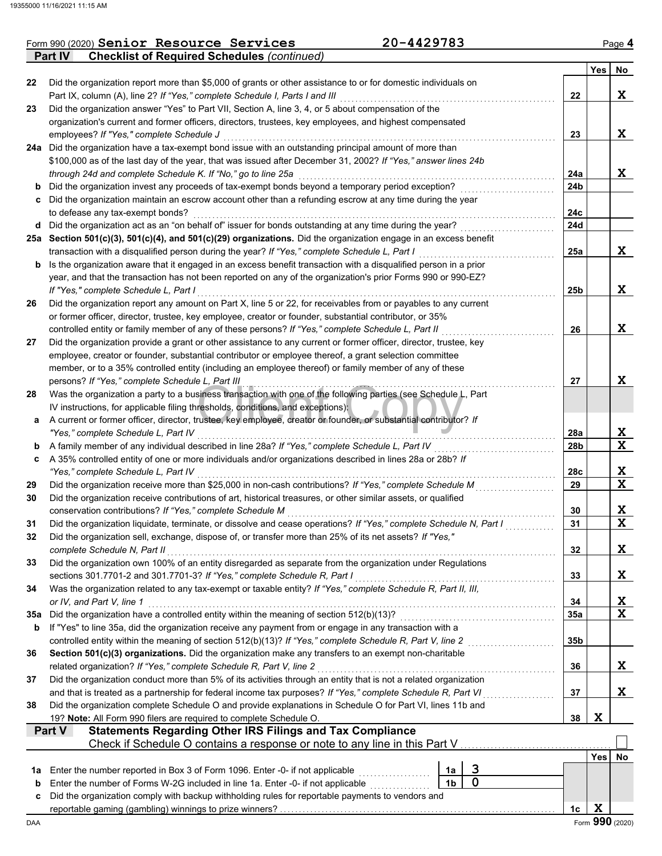|     | Part IV<br><b>Checklist of Required Schedules (continued)</b>                                                                                                                                                            |    |            |                         |
|-----|--------------------------------------------------------------------------------------------------------------------------------------------------------------------------------------------------------------------------|----|------------|-------------------------|
|     |                                                                                                                                                                                                                          |    | Yes        | No                      |
| 22  | Did the organization report more than \$5,000 of grants or other assistance to or for domestic individuals on                                                                                                            |    |            |                         |
|     | Part IX, column (A), line 2? If "Yes," complete Schedule I, Parts I and III                                                                                                                                              | 22 |            | X                       |
| 23  | Did the organization answer "Yes" to Part VII, Section A, line 3, 4, or 5 about compensation of the                                                                                                                      |    |            |                         |
|     | organization's current and former officers, directors, trustees, key employees, and highest compensated                                                                                                                  |    |            |                         |
|     | employees? If "Yes," complete Schedule J<br>23                                                                                                                                                                           |    |            | X                       |
|     | 24a Did the organization have a tax-exempt bond issue with an outstanding principal amount of more than                                                                                                                  |    |            |                         |
|     | \$100,000 as of the last day of the year, that was issued after December 31, 2002? If "Yes," answer lines 24b                                                                                                            |    |            |                         |
|     | through 24d and complete Schedule K. If "No," go to line 25a<br>24a                                                                                                                                                      |    |            | X                       |
| b   | Did the organization invest any proceeds of tax-exempt bonds beyond a temporary period exception?<br>24 <sub>b</sub>                                                                                                     |    |            |                         |
| c   | Did the organization maintain an escrow account other than a refunding escrow at any time during the year                                                                                                                |    |            |                         |
|     | 24c<br>to defease any tax-exempt bonds?                                                                                                                                                                                  |    |            |                         |
| d   | Did the organization act as an "on behalf of" issuer for bonds outstanding at any time during the year?<br>24d                                                                                                           |    |            |                         |
|     | 25a Section 501(c)(3), 501(c)(4), and 501(c)(29) organizations. Did the organization engage in an excess benefit<br>transaction with a disqualified person during the year? If "Yes," complete Schedule L, Part I<br>25a |    |            | X                       |
|     | Is the organization aware that it engaged in an excess benefit transaction with a disqualified person in a prior                                                                                                         |    |            |                         |
| b   | year, and that the transaction has not been reported on any of the organization's prior Forms 990 or 990-EZ?                                                                                                             |    |            |                         |
|     | If "Yes," complete Schedule L, Part I<br>25 <sub>b</sub>                                                                                                                                                                 |    |            | X                       |
| 26  | Did the organization report any amount on Part X, line 5 or 22, for receivables from or payables to any current                                                                                                          |    |            |                         |
|     | or former officer, director, trustee, key employee, creator or founder, substantial contributor, or 35%                                                                                                                  |    |            |                         |
|     | controlled entity or family member of any of these persons? If "Yes," complete Schedule L, Part II<br>26                                                                                                                 |    |            | X                       |
| 27  | Did the organization provide a grant or other assistance to any current or former officer, director, trustee, key                                                                                                        |    |            |                         |
|     | employee, creator or founder, substantial contributor or employee thereof, a grant selection committee                                                                                                                   |    |            |                         |
|     | member, or to a 35% controlled entity (including an employee thereof) or family member of any of these                                                                                                                   |    |            |                         |
|     | persons? If "Yes," complete Schedule L, Part III                                                                                                                                                                         | 27 |            | X.                      |
| 28  | Was the organization a party to a business transaction with one of the following parties (see Schedule L, Part                                                                                                           |    |            |                         |
|     | IV instructions, for applicable filing thresholds, conditions, and exceptions):                                                                                                                                          |    |            |                         |
| а   | A current or former officer, director, trustee, key employee, creator or founder, or substantial contributor? If                                                                                                         |    |            |                         |
|     | "Yes," complete Schedule L, Part IV<br>28a                                                                                                                                                                               |    |            | X                       |
| b   | A family member of any individual described in line 28a? If "Yes," complete Schedule L, Part IV<br>28b                                                                                                                   |    |            | $\mathbf{x}$            |
| c   | A 35% controlled entity of one or more individuals and/or organizations described in lines 28a or 28b? If                                                                                                                |    |            |                         |
|     | "Yes," complete Schedule L, Part IV<br>28c                                                                                                                                                                               |    |            | <u>x</u>                |
| 29  | Did the organization receive more than \$25,000 in non-cash contributions? If "Yes," complete Schedule M                                                                                                                 | 29 |            | $\overline{\mathbf{x}}$ |
| 30  | Did the organization receive contributions of art, historical treasures, or other similar assets, or qualified                                                                                                           |    |            |                         |
|     | conservation contributions? If "Yes," complete Schedule M                                                                                                                                                                | 30 |            | X                       |
| 31  | Did the organization liquidate, terminate, or dissolve and cease operations? If "Yes," complete Schedule N, Part I                                                                                                       | 31 |            | $\overline{\mathbf{x}}$ |
|     | Did the organization sell, exchange, dispose of, or transfer more than 25% of its net assets? If "Yes,"                                                                                                                  |    |            |                         |
|     | complete Schedule N, Part II                                                                                                                                                                                             | 32 |            | X                       |
| 33  | Did the organization own 100% of an entity disregarded as separate from the organization under Regulations                                                                                                               |    |            |                         |
|     | sections 301.7701-2 and 301.7701-3? If "Yes," complete Schedule R, Part I<br>33                                                                                                                                          |    |            | X                       |
| 34  | Was the organization related to any tax-exempt or taxable entity? If "Yes," complete Schedule R, Part II, III,                                                                                                           |    |            |                         |
|     | or IV, and Part V, line 1<br>34                                                                                                                                                                                          |    |            | X<br>$\mathbf{x}$       |
| 35а | Did the organization have a controlled entity within the meaning of section 512(b)(13)?<br>35a<br>If "Yes" to line 35a, did the organization receive any payment from or engage in any transaction with a                |    |            |                         |
| b   | controlled entity within the meaning of section 512(b)(13)? If "Yes," complete Schedule R, Part V, line 2<br>35b                                                                                                         |    |            |                         |
| 36  | Section 501(c)(3) organizations. Did the organization make any transfers to an exempt non-charitable                                                                                                                     |    |            |                         |
|     | related organization? If "Yes," complete Schedule R, Part V, line 2                                                                                                                                                      | 36 |            | X                       |
| 37  | Did the organization conduct more than 5% of its activities through an entity that is not a related organization                                                                                                         |    |            |                         |
|     | and that is treated as a partnership for federal income tax purposes? If "Yes," complete Schedule R, Part VI                                                                                                             | 37 |            | X                       |
| 38  | Did the organization complete Schedule O and provide explanations in Schedule O for Part VI, lines 11b and                                                                                                               |    |            |                         |
|     | 19? Note: All Form 990 filers are required to complete Schedule O.<br>38                                                                                                                                                 |    | X          |                         |
|     | <b>Statements Regarding Other IRS Filings and Tax Compliance</b><br><b>Part V</b>                                                                                                                                        |    |            |                         |
|     | Check if Schedule O contains a response or note to any line in this Part V                                                                                                                                               |    |            |                         |
|     |                                                                                                                                                                                                                          |    | <b>Yes</b> | No                      |
| 1a  | 3<br>Enter the number reported in Box 3 of Form 1096. Enter -0- if not applicable<br>1a                                                                                                                                  |    |            |                         |
| b   | $\overline{\mathbf{0}}$<br>1 <sub>b</sub><br>Enter the number of Forms W-2G included in line 1a. Enter -0- if not applicable                                                                                             |    |            |                         |
| c   | Did the organization comply with backup withholding rules for reportable payments to vendors and                                                                                                                         |    |            |                         |
|     |                                                                                                                                                                                                                          | 1c | X          |                         |
| DAA |                                                                                                                                                                                                                          |    |            | Form 990 (2020)         |

Form 990 (2020) Page **4 Senior Resource Services 20-4429783**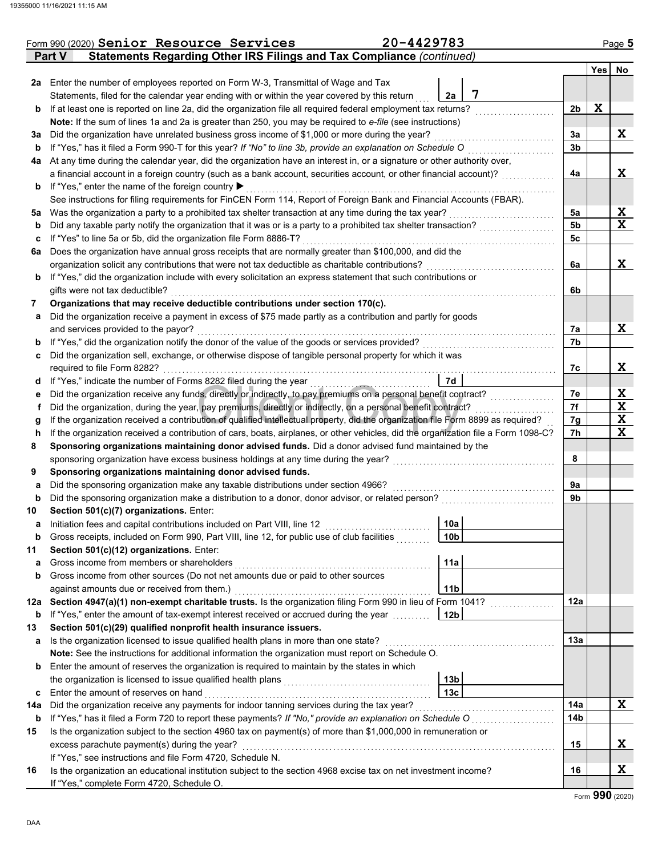|     | Form 990 (2020) Senior Resource Services                                                                                                                                                                   | 20-4429783      |                |     | Page 5      |
|-----|------------------------------------------------------------------------------------------------------------------------------------------------------------------------------------------------------------|-----------------|----------------|-----|-------------|
|     | Statements Regarding Other IRS Filings and Tax Compliance (continued)<br><b>Part V</b>                                                                                                                     |                 |                |     |             |
|     |                                                                                                                                                                                                            |                 |                | Yes | No          |
|     | 2a Enter the number of employees reported on Form W-3, Transmittal of Wage and Tax                                                                                                                         |                 |                |     |             |
|     | Statements, filed for the calendar year ending with or within the year covered by this return                                                                                                              | 7<br>2a         |                |     |             |
| b   | If at least one is reported on line 2a, did the organization file all required federal employment tax returns?                                                                                             |                 | 2b             | X   |             |
|     | Note: If the sum of lines 1a and 2a is greater than 250, you may be required to e-file (see instructions)                                                                                                  |                 |                |     |             |
| За  | Did the organization have unrelated business gross income of \$1,000 or more during the year?                                                                                                              |                 | За             |     | X           |
| b   | If "Yes," has it filed a Form 990-T for this year? If "No" to line 3b, provide an explanation on Schedule O                                                                                                |                 | 3 <sub>b</sub> |     |             |
| 4a  | At any time during the calendar year, did the organization have an interest in, or a signature or other authority over,                                                                                    |                 |                |     |             |
|     | a financial account in a foreign country (such as a bank account, securities account, or other financial account)?                                                                                         |                 | 4a             |     | X           |
|     | <b>b</b> If "Yes," enter the name of the foreign country ▶                                                                                                                                                 |                 |                |     |             |
|     | See instructions for filing requirements for FinCEN Form 114, Report of Foreign Bank and Financial Accounts (FBAR).                                                                                        |                 |                |     |             |
| 5a  | Was the organization a party to a prohibited tax shelter transaction at any time during the tax year?                                                                                                      |                 | 5a<br>5b       |     | X<br>X      |
| b   | Did any taxable party notify the organization that it was or is a party to a prohibited tax shelter transaction?<br>If "Yes" to line 5a or 5b, did the organization file Form 8886-T?                      |                 | 5c             |     |             |
| c   |                                                                                                                                                                                                            |                 |                |     |             |
| 6а  | Does the organization have annual gross receipts that are normally greater than \$100,000, and did the<br>organization solicit any contributions that were not tax deductible as charitable contributions? |                 | 6a             |     | X           |
|     | b If "Yes," did the organization include with every solicitation an express statement that such contributions or                                                                                           |                 |                |     |             |
|     | gifts were not tax deductible?                                                                                                                                                                             |                 | 6b             |     |             |
| 7   | Organizations that may receive deductible contributions under section 170(c).                                                                                                                              |                 |                |     |             |
| а   | Did the organization receive a payment in excess of \$75 made partly as a contribution and partly for goods                                                                                                |                 |                |     |             |
|     | and services provided to the payor?                                                                                                                                                                        |                 | 7a             |     | X           |
| b   | If "Yes," did the organization notify the donor of the value of the goods or services provided?                                                                                                            |                 | 7b             |     |             |
| c   | Did the organization sell, exchange, or otherwise dispose of tangible personal property for which it was                                                                                                   |                 |                |     |             |
|     | required to file Form 8282?                                                                                                                                                                                |                 | 7c             |     | X           |
| d   | If "Yes," indicate the number of Forms 8282 filed during the year                                                                                                                                          | 7d              |                |     |             |
| е   | Did the organization receive any funds, directly or indirectly, to pay premiums on a personal benefit contract?                                                                                            |                 | 7e             |     | X           |
| f   | Did the organization, during the year, pay premiums, directly or indirectly, on a personal benefit contract?                                                                                               |                 | 7f             |     | $\mathbf X$ |
| g   | If the organization received a contribution of qualified intellectual property, did the organization file Form 8899 as required?                                                                           |                 | 7g             |     | X           |
| h   | If the organization received a contribution of cars, boats, airplanes, or other vehicles, did the organization file a Form 1098-C?                                                                         |                 | 7h             |     | X           |
| 8   | Sponsoring organizations maintaining donor advised funds. Did a donor advised fund maintained by the                                                                                                       |                 |                |     |             |
|     | sponsoring organization have excess business holdings at any time during the year?                                                                                                                         |                 | 8              |     |             |
| 9   | Sponsoring organizations maintaining donor advised funds.                                                                                                                                                  |                 |                |     |             |
| а   | Did the sponsoring organization make any taxable distributions under section 4966?                                                                                                                         |                 | 9а             |     |             |
| b   | Did the sponsoring organization make a distribution to a donor, donor advisor, or related person?                                                                                                          |                 | 9b             |     |             |
| 10  | Section 501(c)(7) organizations. Enter:                                                                                                                                                                    |                 |                |     |             |
|     | Initiation fees and capital contributions included on Part VIII, line 12 [11] [11] [12] [11] [11] [12] [11] [1                                                                                             | 10a             |                |     |             |
| b   | Gross receipts, included on Form 990, Part VIII, line 12, for public use of club facilities                                                                                                                | 10b             |                |     |             |
| 11  | Section 501(c)(12) organizations. Enter:                                                                                                                                                                   |                 |                |     |             |
| a   | Gross income from members or shareholders                                                                                                                                                                  | 11a             |                |     |             |
| b   | Gross income from other sources (Do not net amounts due or paid to other sources                                                                                                                           |                 |                |     |             |
|     | against amounts due or received from them.)                                                                                                                                                                | 11 <sub>b</sub> |                |     |             |
| 12a | Section 4947(a)(1) non-exempt charitable trusts. Is the organization filing Form 990 in lieu of Form 1041?                                                                                                 |                 | 12a            |     |             |
| b   | If "Yes," enter the amount of tax-exempt interest received or accrued during the year                                                                                                                      | 12b             |                |     |             |
| 13  | Section 501(c)(29) qualified nonprofit health insurance issuers.                                                                                                                                           |                 |                |     |             |
| а   | Is the organization licensed to issue qualified health plans in more than one state?                                                                                                                       |                 | 13a            |     |             |
|     | Note: See the instructions for additional information the organization must report on Schedule O.                                                                                                          |                 |                |     |             |
| b   | Enter the amount of reserves the organization is required to maintain by the states in which                                                                                                               |                 |                |     |             |
|     | the organization is licensed to issue qualified health plans                                                                                                                                               | 13 <sub>b</sub> |                |     |             |
| c   | Enter the amount of reserves on hand                                                                                                                                                                       | 13 <sub>c</sub> |                |     |             |
| 14a | Did the organization receive any payments for indoor tanning services during the tax year?                                                                                                                 |                 | 14a            |     | X           |
| b   | If "Yes," has it filed a Form 720 to report these payments? If "No," provide an explanation on Schedule O                                                                                                  |                 | 14b            |     |             |
| 15  | Is the organization subject to the section 4960 tax on payment(s) of more than \$1,000,000 in remuneration or                                                                                              |                 |                |     | X           |
|     | excess parachute payment(s) during the year?                                                                                                                                                               |                 | 15             |     |             |
|     | If "Yes," see instructions and file Form 4720, Schedule N.                                                                                                                                                 |                 |                |     | X           |
| 16  | Is the organization an educational institution subject to the section 4968 excise tax on net investment income?<br>If "Yes," complete Form 4720, Schedule O.                                               |                 | 16             |     |             |
|     |                                                                                                                                                                                                            |                 |                |     |             |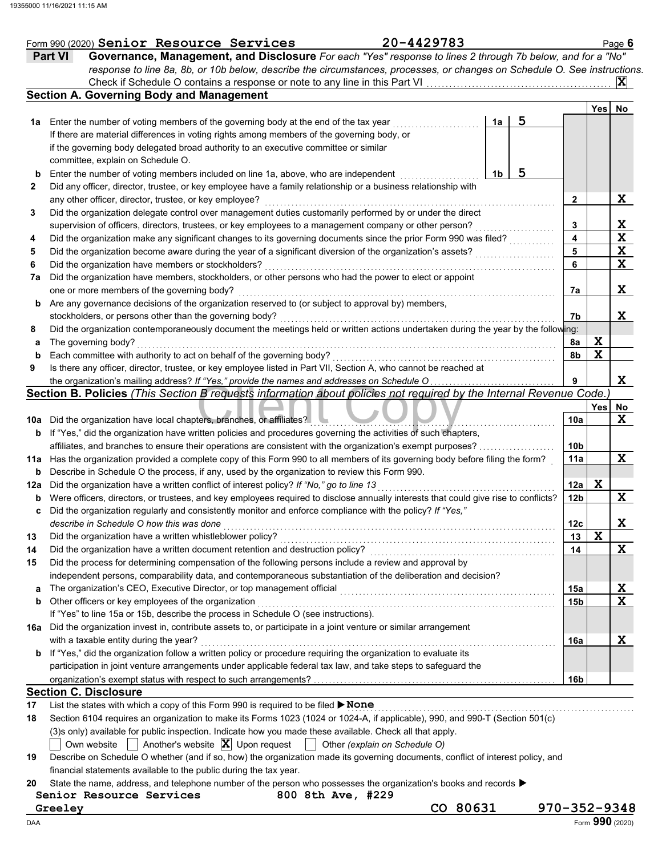|     | 20-4429783<br>Form 990 (2020) Senior Resource Services                                                                                                                                                             |                 |             | Page 6      |
|-----|--------------------------------------------------------------------------------------------------------------------------------------------------------------------------------------------------------------------|-----------------|-------------|-------------|
|     | Governance, Management, and Disclosure For each "Yes" response to lines 2 through 7b below, and for a "No"<br><b>Part VI</b>                                                                                       |                 |             |             |
|     | response to line 8a, 8b, or 10b below, describe the circumstances, processes, or changes on Schedule O. See instructions.                                                                                          |                 |             |             |
|     |                                                                                                                                                                                                                    |                 |             | $ {\bf X} $ |
|     | <b>Section A. Governing Body and Management</b>                                                                                                                                                                    |                 |             |             |
|     |                                                                                                                                                                                                                    |                 | Yesl        | No          |
|     | 5<br>1a Enter the number of voting members of the governing body at the end of the tax year<br>1a                                                                                                                  |                 |             |             |
|     | If there are material differences in voting rights among members of the governing body, or                                                                                                                         |                 |             |             |
|     | if the governing body delegated broad authority to an executive committee or similar                                                                                                                               |                 |             |             |
|     | committee, explain on Schedule O.                                                                                                                                                                                  |                 |             |             |
| b   | 5<br>Enter the number of voting members included on line 1a, above, who are independent<br>1b                                                                                                                      |                 |             |             |
| 2   | Did any officer, director, trustee, or key employee have a family relationship or a business relationship with                                                                                                     |                 |             |             |
|     | any other officer, director, trustee, or key employee?                                                                                                                                                             | 2               |             | X           |
| 3   | Did the organization delegate control over management duties customarily performed by or under the direct                                                                                                          |                 |             |             |
|     | supervision of officers, directors, trustees, or key employees to a management company or other person?                                                                                                            | 3               |             | <u>x</u>    |
| 4   | Did the organization make any significant changes to its governing documents since the prior Form 990 was filed?                                                                                                   | 4               |             | $\mathbf X$ |
| 5   | Did the organization become aware during the year of a significant diversion of the organization's assets?                                                                                                         | 5               |             | X           |
| 6   | Did the organization have members or stockholders?                                                                                                                                                                 | 6               |             | $\mathbf X$ |
| 7a  | Did the organization have members, stockholders, or other persons who had the power to elect or appoint                                                                                                            |                 |             |             |
|     | one or more members of the governing body?                                                                                                                                                                         | 7а              |             | X           |
| b   | Are any governance decisions of the organization reserved to (or subject to approval by) members,                                                                                                                  |                 |             |             |
|     | stockholders, or persons other than the governing body?                                                                                                                                                            | 7b              |             | X           |
| 8   | Did the organization contemporaneously document the meetings held or written actions undertaken during the year by the following:                                                                                  |                 |             |             |
|     |                                                                                                                                                                                                                    |                 | X           |             |
| а   | The governing body?<br>Each committee with authority to act on behalf of the governing body?                                                                                                                       | 8a<br>8b        | $\mathbf x$ |             |
| b   |                                                                                                                                                                                                                    |                 |             |             |
| 9   | Is there any officer, director, trustee, or key employee listed in Part VII, Section A, who cannot be reached at                                                                                                   |                 |             | X           |
|     | the organization's mailing address? If "Yes," provide the names and addresses on Schedule O.<br>Section B. Policies (This Section B requests information about policies not required by the Internal Revenue Code. | 9               |             |             |
|     |                                                                                                                                                                                                                    |                 |             |             |
|     |                                                                                                                                                                                                                    |                 | Yesl        | No          |
|     | 10a Did the organization have local chapters, branches, or affiliates?                                                                                                                                             | 10a             |             | X           |
| b   | If "Yes," did the organization have written policies and procedures governing the activities of such chapters,                                                                                                     |                 |             |             |
|     | affiliates, and branches to ensure their operations are consistent with the organization's exempt purposes?                                                                                                        | 10 <sub>b</sub> |             |             |
| 11a | Has the organization provided a complete copy of this Form 990 to all members of its governing body before filing the form?                                                                                        | 11a             |             | X           |
| b   | Describe in Schedule O the process, if any, used by the organization to review this Form 990.                                                                                                                      |                 |             |             |
| 12a | Did the organization have a written conflict of interest policy? If "No," go to line 13                                                                                                                            | 12a             | X           |             |
| b   | Were officers, directors, or trustees, and key employees required to disclose annually interests that could give rise to conflicts?                                                                                | 12 <sub>b</sub> |             | X           |
|     | Did the organization regularly and consistently monitor and enforce compliance with the policy? If "Yes,"                                                                                                          |                 |             |             |
|     | describe in Schedule O how this was done                                                                                                                                                                           | 12 <sub>c</sub> |             | 4           |
| 13  | Did the organization have a written whistleblower policy?                                                                                                                                                          | 13              | $\mathbf x$ |             |
| 14  | Did the organization have a written document retention and destruction policy?                                                                                                                                     | 14              |             | $\mathbf X$ |
| 15  | Did the process for determining compensation of the following persons include a review and approval by                                                                                                             |                 |             |             |
|     | independent persons, comparability data, and contemporaneous substantiation of the deliberation and decision?                                                                                                      |                 |             |             |
| a   | The organization's CEO, Executive Director, or top management official                                                                                                                                             | 15a             |             | X           |
| b   | Other officers or key employees of the organization                                                                                                                                                                | 15b             |             | $\mathbf x$ |
|     | If "Yes" to line 15a or 15b, describe the process in Schedule O (see instructions).                                                                                                                                |                 |             |             |
|     | 16a Did the organization invest in, contribute assets to, or participate in a joint venture or similar arrangement                                                                                                 |                 |             |             |
|     | with a taxable entity during the year?                                                                                                                                                                             | 16a             |             | X           |
|     | <b>b</b> If "Yes," did the organization follow a written policy or procedure requiring the organization to evaluate its                                                                                            |                 |             |             |
|     | participation in joint venture arrangements under applicable federal tax law, and take steps to safeguard the                                                                                                      |                 |             |             |
|     |                                                                                                                                                                                                                    | 16b             |             |             |
|     | <b>Section C. Disclosure</b>                                                                                                                                                                                       |                 |             |             |
| 17  | List the states with which a copy of this Form 990 is required to be filed > None                                                                                                                                  |                 |             |             |
| 18  | Section 6104 requires an organization to make its Forms 1023 (1024 or 1024-A, if applicable), 990, and 990-T (Section 501(c)                                                                                       |                 |             |             |
|     | (3)s only) available for public inspection. Indicate how you made these available. Check all that apply.                                                                                                           |                 |             |             |
|     | Another's website $ \mathbf{X} $ Upon request<br>Own website<br>Other (explain on Schedule O)                                                                                                                      |                 |             |             |
| 19  | Describe on Schedule O whether (and if so, how) the organization made its governing documents, conflict of interest policy, and                                                                                    |                 |             |             |
|     | financial statements available to the public during the tax year.                                                                                                                                                  |                 |             |             |
| 20  | State the name, address, and telephone number of the person who possesses the organization's books and records $\blacktriangleright$                                                                               |                 |             |             |
|     | 800 8th Ave, #229<br>Senior Resource Services                                                                                                                                                                      |                 |             |             |
|     | CO 80631<br>$970 - 352 - 9348$<br>Greeley                                                                                                                                                                          |                 |             |             |
|     |                                                                                                                                                                                                                    |                 |             |             |

DAA Form **990** (2020)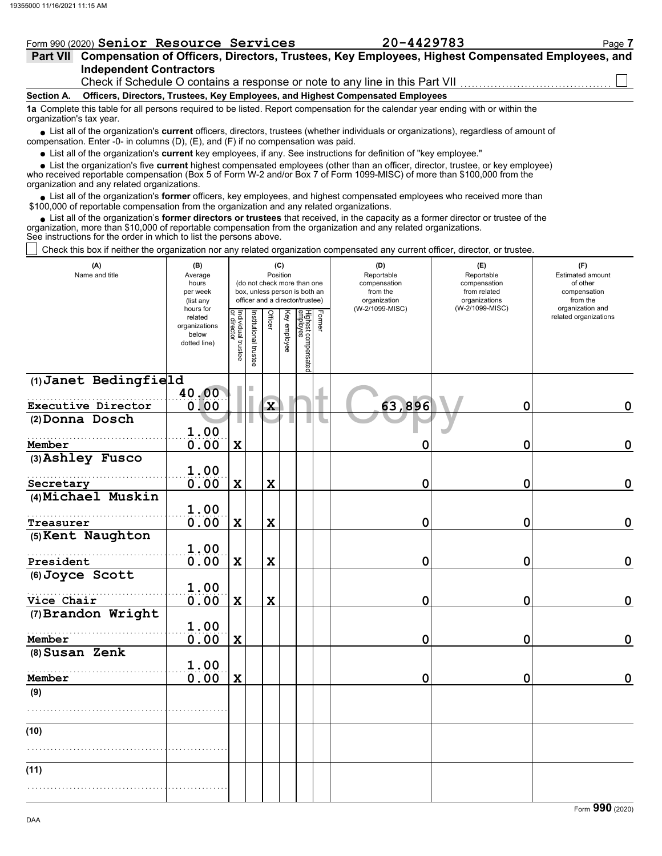|                          | Form 990 (2020) Senior Resource Services                                                                                                                                                                                            | 20-4429783 | Page 7 |
|--------------------------|-------------------------------------------------------------------------------------------------------------------------------------------------------------------------------------------------------------------------------------|------------|--------|
|                          | Part VII Compensation of Officers, Directors, Trustees, Key Employees, Highest Compensated Employees, and                                                                                                                           |            |        |
|                          | <b>Independent Contractors</b>                                                                                                                                                                                                      |            |        |
|                          | Check if Schedule O contains a response or note to any line in this Part VII <i>CHANGHO</i>                                                                                                                                         |            |        |
| <b>Section A.</b>        | Officers, Directors, Trustees, Key Employees, and Highest Compensated Employees                                                                                                                                                     |            |        |
| organization's tax year. | 1a Complete this table for all persons required to be listed. Report compensation for the calendar year ending with or within the                                                                                                   |            |        |
|                          | • List all of the organization's current officers, directors, trustees (whether individuals or organizations), regardless of amount of<br>compensation. Enter -0- in columns $(D)$ , $(E)$ , and $(F)$ if no compensation was paid. |            |        |
|                          | • List all of the organization's current key employees, if any. See instructions for definition of "key employee."                                                                                                                  |            |        |
|                          | List the organization's five current highest compensated employees (other than an officer, director, trustee, or key employee)                                                                                                      |            |        |
|                          | who received reportable compensation (Box 5 of Form W-2 and/or Box 7 of Form 1099-MISC) of more than \$100,000 from the                                                                                                             |            |        |
|                          | organization and any related organizations.                                                                                                                                                                                         |            |        |

• List all of the organization's **former** officers, key employees, and highest compensated employees who received more than<br>00,000 of reportable compensation from the organization and any related organizations. \$100,000 of reportable compensation from the organization and any related organizations.

List all of the organization's **former directors or trustees** that received, in the capacity as a former director or trustee of the organization, more than \$10,000 of reportable compensation from the organization and any related organizations. See instructions for the order in which to list the persons above. **•**

Check this box if neither the organization nor any related organization compensated any current officer, director, or trustee.

| (A)<br>Name and title | (B)<br>Average<br>hours<br>per week<br>(list any<br>hours for |                                   | (do not check more than one<br>box, unless person is both an<br>officer and a director/trustee) | (C)<br>Position         |              |                                 |        | in homeior and organization nor any related organization componedica any carrent omcor, allocati, or tracto<br>(D)<br>Reportable<br>compensation<br>from the<br>organization<br>(W-2/1099-MISC) | (E)<br>Reportable<br>compensation<br>from related<br>organizations<br>(W-2/1099-MISC) | (F)<br>Estimated amount<br>of other<br>compensation<br>from the<br>organization and |
|-----------------------|---------------------------------------------------------------|-----------------------------------|-------------------------------------------------------------------------------------------------|-------------------------|--------------|---------------------------------|--------|-------------------------------------------------------------------------------------------------------------------------------------------------------------------------------------------------|---------------------------------------------------------------------------------------|-------------------------------------------------------------------------------------|
|                       | related<br>organizations<br>below<br>dotted line)             | Individual trustee<br>or director | Institutional trustee                                                                           | <b>Officer</b>          | Key employee | Highest compensated<br>employee | Former |                                                                                                                                                                                                 |                                                                                       | related organizations                                                               |
| (1) Janet Bedingfield | 40.00                                                         |                                   |                                                                                                 |                         |              |                                 |        |                                                                                                                                                                                                 |                                                                                       |                                                                                     |
| Executive Director    | 0.00                                                          |                                   |                                                                                                 | $\overline{\mathbf{x}}$ |              |                                 |        | 63,896                                                                                                                                                                                          | $\mathbf 0$                                                                           | $\mathbf 0$                                                                         |
| (2) Donna Dosch       | 1.00                                                          |                                   |                                                                                                 |                         |              |                                 |        |                                                                                                                                                                                                 |                                                                                       |                                                                                     |
| Member                | 0.00                                                          | $\mathbf x$                       |                                                                                                 |                         |              |                                 |        | 0                                                                                                                                                                                               | 0                                                                                     | $\mathbf 0$                                                                         |
| (3) Ashley Fusco      | 1.00                                                          |                                   |                                                                                                 |                         |              |                                 |        |                                                                                                                                                                                                 |                                                                                       |                                                                                     |
| Secretary             | 0.00                                                          | $\mathbf x$                       |                                                                                                 | $\mathbf x$             |              |                                 |        | 0                                                                                                                                                                                               | $\mathbf 0$                                                                           | $\mathbf 0$                                                                         |
| (4) Michael Muskin    |                                                               |                                   |                                                                                                 |                         |              |                                 |        |                                                                                                                                                                                                 |                                                                                       |                                                                                     |
| Treasurer             | 1.00<br>0.00                                                  | $\mathbf x$                       |                                                                                                 | $\mathbf x$             |              |                                 |        | 0                                                                                                                                                                                               | $\mathbf 0$                                                                           | $\mathbf 0$                                                                         |
| (5) Kent Naughton     | 1.00                                                          |                                   |                                                                                                 |                         |              |                                 |        |                                                                                                                                                                                                 |                                                                                       |                                                                                     |
| President             | 0.00                                                          | $\mathbf x$                       |                                                                                                 | $\mathbf x$             |              |                                 |        | 0                                                                                                                                                                                               | $\mathbf 0$                                                                           | $\mathbf 0$                                                                         |
| (6) Joyce Scott       | 1.00                                                          |                                   |                                                                                                 |                         |              |                                 |        |                                                                                                                                                                                                 |                                                                                       |                                                                                     |
| Vice Chair            | 0.00                                                          | $\mathbf x$                       |                                                                                                 | $\mathbf x$             |              |                                 |        | 0                                                                                                                                                                                               | 0                                                                                     | $\mathbf 0$                                                                         |
| (7) Brandon Wright    | 1.00                                                          |                                   |                                                                                                 |                         |              |                                 |        |                                                                                                                                                                                                 |                                                                                       |                                                                                     |
| Member                | 0.00                                                          | $\mathbf x$                       |                                                                                                 |                         |              |                                 |        | 0                                                                                                                                                                                               | $\mathbf 0$                                                                           | $\mathbf 0$                                                                         |
| (8) Susan Zenk        |                                                               |                                   |                                                                                                 |                         |              |                                 |        |                                                                                                                                                                                                 |                                                                                       |                                                                                     |
| Member                | 1.00<br>0.00                                                  | $\mathbf x$                       |                                                                                                 |                         |              |                                 |        | 0                                                                                                                                                                                               | $\mathbf 0$                                                                           | $\mathbf 0$                                                                         |
| (9)                   |                                                               |                                   |                                                                                                 |                         |              |                                 |        |                                                                                                                                                                                                 |                                                                                       |                                                                                     |
|                       |                                                               |                                   |                                                                                                 |                         |              |                                 |        |                                                                                                                                                                                                 |                                                                                       |                                                                                     |
| (10)                  |                                                               |                                   |                                                                                                 |                         |              |                                 |        |                                                                                                                                                                                                 |                                                                                       |                                                                                     |
|                       |                                                               |                                   |                                                                                                 |                         |              |                                 |        |                                                                                                                                                                                                 |                                                                                       |                                                                                     |
| (11)                  |                                                               |                                   |                                                                                                 |                         |              |                                 |        |                                                                                                                                                                                                 |                                                                                       |                                                                                     |
|                       |                                                               |                                   |                                                                                                 |                         |              |                                 |        |                                                                                                                                                                                                 |                                                                                       |                                                                                     |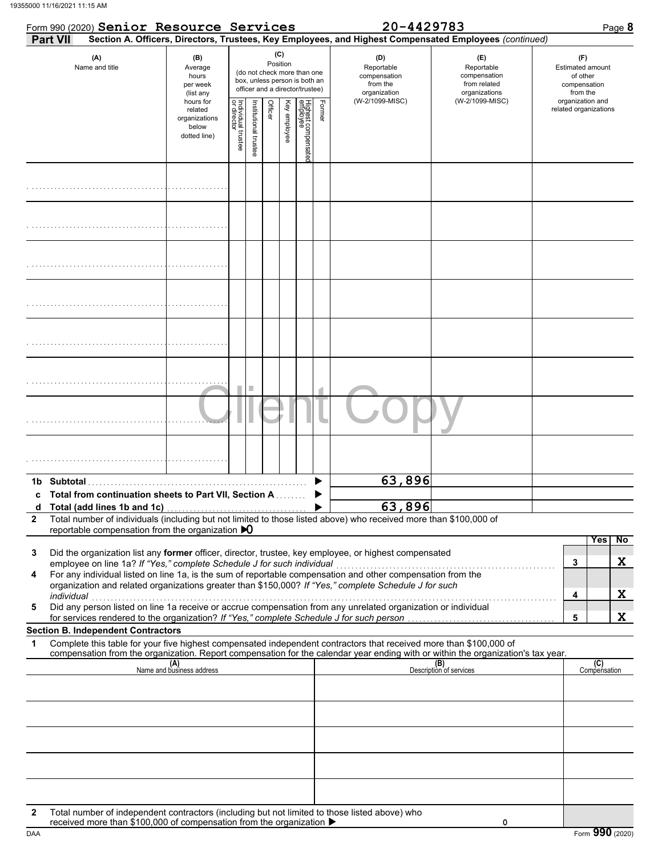|              |          | Form 990 (2020) Senior Resource Services                                                                                              |                                                                |                                   |                       |         |                 |                                                                                                 |        | 20-4429783                                                                                                                                                                                                                 |                                                                                                                                                                    |                                                                 | Page 8 |
|--------------|----------|---------------------------------------------------------------------------------------------------------------------------------------|----------------------------------------------------------------|-----------------------------------|-----------------------|---------|-----------------|-------------------------------------------------------------------------------------------------|--------|----------------------------------------------------------------------------------------------------------------------------------------------------------------------------------------------------------------------------|--------------------------------------------------------------------------------------------------------------------------------------------------------------------|-----------------------------------------------------------------|--------|
|              | Part VII |                                                                                                                                       |                                                                |                                   |                       |         |                 |                                                                                                 |        |                                                                                                                                                                                                                            | Section A. Officers, Directors, Trustees, Key Employees, and Highest Compensated Employees (continued)                                                             |                                                                 |        |
|              |          | (A)<br>Name and title                                                                                                                 | (B)<br>Average<br>hours<br>per week<br>(list any               |                                   |                       |         | (C)<br>Position | (do not check more than one<br>box, unless person is both an<br>officer and a director/trustee) |        | (D)<br>Reportable<br>compensation<br>from the<br>organization                                                                                                                                                              | (E)<br>Reportable<br>compensation<br>from related<br>organizations                                                                                                 | (F)<br>Estimated amount<br>of other<br>compensation<br>from the |        |
|              |          |                                                                                                                                       | hours for<br>related<br>organizations<br>below<br>dotted line) | Individual trustee<br>or director | Institutional trustee | Officer | Key employee    | Highest compensate<br>employee                                                                  | Former | (W-2/1099-MISC)                                                                                                                                                                                                            | (W-2/1099-MISC)                                                                                                                                                    | organization and<br>related organizations                       |        |
|              |          |                                                                                                                                       |                                                                |                                   |                       |         |                 |                                                                                                 |        |                                                                                                                                                                                                                            |                                                                                                                                                                    |                                                                 |        |
|              |          |                                                                                                                                       |                                                                |                                   |                       |         |                 |                                                                                                 |        |                                                                                                                                                                                                                            |                                                                                                                                                                    |                                                                 |        |
|              |          |                                                                                                                                       |                                                                |                                   |                       |         |                 |                                                                                                 |        |                                                                                                                                                                                                                            |                                                                                                                                                                    |                                                                 |        |
|              |          |                                                                                                                                       |                                                                |                                   |                       |         |                 |                                                                                                 |        |                                                                                                                                                                                                                            |                                                                                                                                                                    |                                                                 |        |
|              |          |                                                                                                                                       |                                                                |                                   |                       |         |                 |                                                                                                 |        |                                                                                                                                                                                                                            |                                                                                                                                                                    |                                                                 |        |
|              |          |                                                                                                                                       |                                                                |                                   | L.                    |         |                 |                                                                                                 |        |                                                                                                                                                                                                                            |                                                                                                                                                                    |                                                                 |        |
|              |          |                                                                                                                                       |                                                                |                                   |                       |         |                 |                                                                                                 |        |                                                                                                                                                                                                                            |                                                                                                                                                                    |                                                                 |        |
|              |          |                                                                                                                                       |                                                                |                                   |                       |         |                 |                                                                                                 |        |                                                                                                                                                                                                                            |                                                                                                                                                                    |                                                                 |        |
|              |          | Total from continuation sheets to Part VII, Section A                                                                                 |                                                                |                                   |                       |         |                 |                                                                                                 |        | 63,896                                                                                                                                                                                                                     |                                                                                                                                                                    |                                                                 |        |
|              |          |                                                                                                                                       |                                                                |                                   |                       |         |                 |                                                                                                 |        | 63,896                                                                                                                                                                                                                     |                                                                                                                                                                    |                                                                 |        |
| $\mathbf{2}$ |          | reportable compensation from the organization $\triangleright$ 0                                                                      |                                                                |                                   |                       |         |                 |                                                                                                 |        | Total number of individuals (including but not limited to those listed above) who received more than \$100,000 of                                                                                                          |                                                                                                                                                                    |                                                                 |        |
| 3            |          |                                                                                                                                       |                                                                |                                   |                       |         |                 |                                                                                                 |        | Did the organization list any former officer, director, trustee, key employee, or highest compensated                                                                                                                      |                                                                                                                                                                    | Yes                                                             | No     |
| 4            |          | employee on line 1a? If "Yes," complete Schedule J for such individual                                                                |                                                                |                                   |                       |         |                 |                                                                                                 |        | employee on line 1a <i>t</i> it res, complete Schedule J for such individual <i>component component on the</i> For any individual listed on line 1a, is the sum of reportable compensation and other compensation from the |                                                                                                                                                                    | 3                                                               | X      |
|              |          |                                                                                                                                       |                                                                |                                   |                       |         |                 |                                                                                                 |        | organization and related organizations greater than \$150,000? If "Yes," complete Schedule J for such                                                                                                                      |                                                                                                                                                                    |                                                                 |        |
| 5            |          |                                                                                                                                       |                                                                |                                   |                       |         |                 |                                                                                                 |        | individual<br>Did any person listed on line 1a receive or accrue compensation from any unrelated organization or individual                                                                                                |                                                                                                                                                                    | 4                                                               | X      |
|              |          | for services rendered to the organization? If "Yes," complete Schedule J for such person<br><b>Section B. Independent Contractors</b> |                                                                |                                   |                       |         |                 |                                                                                                 |        |                                                                                                                                                                                                                            |                                                                                                                                                                    | 5                                                               | X      |
| 1            |          |                                                                                                                                       |                                                                |                                   |                       |         |                 |                                                                                                 |        | Complete this table for your five highest compensated independent contractors that received more than \$100,000 of                                                                                                         |                                                                                                                                                                    |                                                                 |        |
|              |          |                                                                                                                                       | (A)<br>Name and business address                               |                                   |                       |         |                 |                                                                                                 |        |                                                                                                                                                                                                                            | compensation from the organization. Report compensation for the calendar year ending with or within the organization's tax year.<br>(B)<br>Description of services | (C)<br>Compensation                                             |        |
|              |          |                                                                                                                                       |                                                                |                                   |                       |         |                 |                                                                                                 |        |                                                                                                                                                                                                                            |                                                                                                                                                                    |                                                                 |        |
|              |          |                                                                                                                                       |                                                                |                                   |                       |         |                 |                                                                                                 |        |                                                                                                                                                                                                                            |                                                                                                                                                                    |                                                                 |        |
|              |          |                                                                                                                                       |                                                                |                                   |                       |         |                 |                                                                                                 |        |                                                                                                                                                                                                                            |                                                                                                                                                                    |                                                                 |        |
|              |          |                                                                                                                                       |                                                                |                                   |                       |         |                 |                                                                                                 |        |                                                                                                                                                                                                                            |                                                                                                                                                                    |                                                                 |        |
| 2            |          | received more than \$100,000 of compensation from the organization ▶                                                                  |                                                                |                                   |                       |         |                 |                                                                                                 |        | Total number of independent contractors (including but not limited to those listed above) who                                                                                                                              | 0                                                                                                                                                                  |                                                                 |        |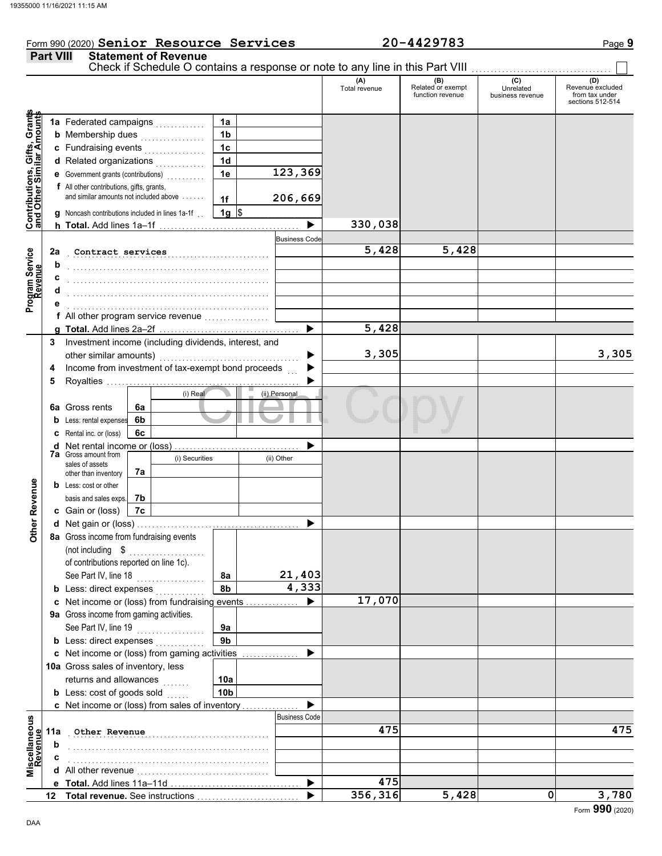|                                                                  | ган үш | <b>ORIGINGIII OI IVEVENUS</b><br>Check if Schedule O contains a response or note to any line in this Part VIII [11] [11] [11] [11] [11] [11] [1 |                 |                      |                      |                                              |                                      |                                                               |
|------------------------------------------------------------------|--------|-------------------------------------------------------------------------------------------------------------------------------------------------|-----------------|----------------------|----------------------|----------------------------------------------|--------------------------------------|---------------------------------------------------------------|
|                                                                  |        |                                                                                                                                                 |                 |                      | (A)<br>Total revenue | (B)<br>Related or exempt<br>function revenue | (C)<br>Unrelated<br>business revenue | (D)<br>Revenue excluded<br>from tax under<br>sections 512-514 |
|                                                                  |        | 1a Federated campaigns                                                                                                                          | 1a              |                      |                      |                                              |                                      |                                                               |
| <b>Contributions, Gifts, Grants</b><br>and Other Similar Amounts |        | <b>b</b> Membership dues<br><u>.</u><br>1986 - Leonard Leonard, amerikan                                                                        | 1 <sub>b</sub>  |                      |                      |                                              |                                      |                                                               |
|                                                                  |        | c Fundraising events<br>.                                                                                                                       | 1 <sub>c</sub>  |                      |                      |                                              |                                      |                                                               |
|                                                                  |        | d Related organizations                                                                                                                         | 1 <sub>d</sub>  |                      |                      |                                              |                                      |                                                               |
|                                                                  |        | e Government grants (contributions)                                                                                                             | 1e              | 123,369              |                      |                                              |                                      |                                                               |
|                                                                  |        | f All other contributions, gifts, grants,                                                                                                       |                 |                      |                      |                                              |                                      |                                                               |
|                                                                  |        | and similar amounts not included above                                                                                                          | 1f              | 206,669              |                      |                                              |                                      |                                                               |
|                                                                  |        | g Noncash contributions included in lines 1a-1f.                                                                                                | $1g$ \$         |                      |                      |                                              |                                      |                                                               |
|                                                                  |        |                                                                                                                                                 |                 | Ы                    | 330,038              |                                              |                                      |                                                               |
|                                                                  |        |                                                                                                                                                 |                 | <b>Business Code</b> |                      |                                              |                                      |                                                               |
|                                                                  | 2a     | Contract services                                                                                                                               |                 |                      | 5,428                | 5,428                                        |                                      |                                                               |
| Program Service<br>Revenue                                       | b      |                                                                                                                                                 |                 |                      |                      |                                              |                                      |                                                               |
|                                                                  | c      |                                                                                                                                                 |                 |                      |                      |                                              |                                      |                                                               |
|                                                                  |        |                                                                                                                                                 |                 |                      |                      |                                              |                                      |                                                               |
|                                                                  |        |                                                                                                                                                 |                 |                      |                      |                                              |                                      |                                                               |
|                                                                  |        | f All other program service revenue                                                                                                             |                 |                      |                      |                                              |                                      |                                                               |
|                                                                  |        |                                                                                                                                                 |                 |                      | 5,428                |                                              |                                      |                                                               |
|                                                                  |        | 3 Investment income (including dividends, interest, and                                                                                         |                 |                      |                      |                                              |                                      |                                                               |
|                                                                  |        | other similar amounts)                                                                                                                          |                 |                      | 3,305                |                                              |                                      | 3,305                                                         |
|                                                                  | 4      | Income from investment of tax-exempt bond proceeds                                                                                              |                 |                      |                      |                                              |                                      |                                                               |
|                                                                  | 5      |                                                                                                                                                 |                 |                      |                      |                                              |                                      |                                                               |
|                                                                  |        | $(i)$ Real                                                                                                                                      |                 | (ii) Personal        |                      |                                              |                                      |                                                               |
|                                                                  |        | 6a Gross rents<br>6a                                                                                                                            |                 |                      |                      |                                              |                                      |                                                               |
|                                                                  |        | 6b<br><b>b</b> Less: rental expenses                                                                                                            |                 |                      |                      |                                              |                                      |                                                               |
|                                                                  |        | 6c<br>C Rental inc. or (loss)                                                                                                                   |                 |                      |                      |                                              |                                      |                                                               |
|                                                                  |        | d Net rental income or (loss)<br><b>7a</b> Gross amount from<br>(i) Securities<br>sales of assets<br>7а                                         |                 | (ii) Other           |                      |                                              |                                      |                                                               |
|                                                                  |        | other than inventory<br><b>b</b> Less: cost or other                                                                                            |                 |                      |                      |                                              |                                      |                                                               |
|                                                                  |        | 7b<br>basis and sales exps.                                                                                                                     |                 |                      |                      |                                              |                                      |                                                               |
| Other Revenue                                                    |        | c Gain or (loss)<br>7c                                                                                                                          |                 |                      |                      |                                              |                                      |                                                               |
|                                                                  |        | d Net gain or (loss).                                                                                                                           |                 |                      |                      |                                              |                                      |                                                               |
|                                                                  |        | 8a Gross income from fundraising events                                                                                                         |                 |                      |                      |                                              |                                      |                                                               |
|                                                                  |        | (not including \$                                                                                                                               |                 |                      |                      |                                              |                                      |                                                               |
|                                                                  |        | of contributions reported on line 1c).                                                                                                          |                 |                      |                      |                                              |                                      |                                                               |
|                                                                  |        | See Part IV, line 18                                                                                                                            | 8a              | 21,403               |                      |                                              |                                      |                                                               |
|                                                                  |        | <b>b</b> Less: direct expenses                                                                                                                  | 8b              | 4,333                |                      |                                              |                                      |                                                               |
|                                                                  |        | c Net income or (loss) from fundraising events                                                                                                  |                 |                      | 17,070               |                                              |                                      |                                                               |
|                                                                  |        | 9a Gross income from gaming activities.                                                                                                         |                 |                      |                      |                                              |                                      |                                                               |
|                                                                  |        | See Part IV, line 19                                                                                                                            | 9a              |                      |                      |                                              |                                      |                                                               |
|                                                                  |        | <b>b</b> Less: direct expenses                                                                                                                  | 9 <sub>b</sub>  |                      |                      |                                              |                                      |                                                               |
|                                                                  |        | c Net income or (loss) from gaming activities                                                                                                   |                 |                      |                      |                                              |                                      |                                                               |
|                                                                  |        | 10a Gross sales of inventory, less                                                                                                              |                 |                      |                      |                                              |                                      |                                                               |
|                                                                  |        | returns and allowances                                                                                                                          | 10a             |                      |                      |                                              |                                      |                                                               |
|                                                                  |        | <b>b</b> Less: cost of goods sold                                                                                                               | 10 <sub>b</sub> |                      |                      |                                              |                                      |                                                               |
|                                                                  |        | c Net income or (loss) from sales of inventory                                                                                                  |                 |                      |                      |                                              |                                      |                                                               |
|                                                                  |        |                                                                                                                                                 |                 | <b>Business Code</b> |                      |                                              |                                      |                                                               |
|                                                                  | 11a    | Other Revenue                                                                                                                                   |                 |                      | 475                  |                                              |                                      | 475                                                           |
|                                                                  | b      |                                                                                                                                                 |                 |                      |                      |                                              |                                      |                                                               |
| Miscellaneous<br>Revenue                                         | c      |                                                                                                                                                 |                 |                      |                      |                                              |                                      |                                                               |
|                                                                  |        |                                                                                                                                                 |                 |                      |                      |                                              |                                      |                                                               |
|                                                                  |        |                                                                                                                                                 |                 |                      | 475                  |                                              |                                      |                                                               |
|                                                                  |        | 12 Total revenue. See instructions                                                                                                              |                 |                      | 356, 316             | 5,428                                        | 0                                    | 3,780                                                         |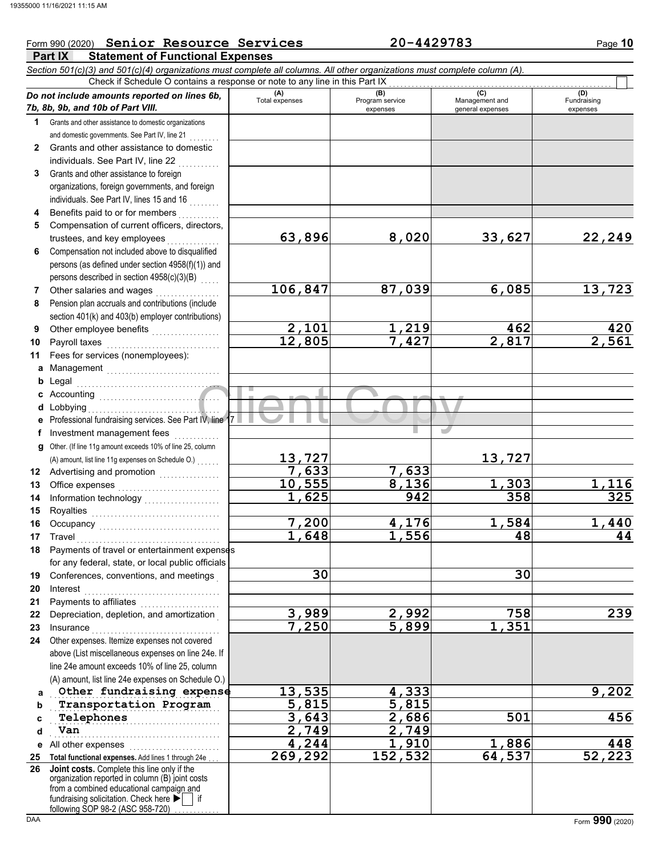#### The Terms Comy **Part IX Statement of Functional Expenses** Form 990 (2020) Senior Resource Services 20-4429783 Page 10 *Section 501(c)(3) and 501(c)(4) organizations must complete all columns. All other organizations must complete column (A). Do not include amounts reported on lines 6b, 7b, 8b, 9b, and 10b of Part VIII.* **1 2 3 4 5 6 7 8 9 10 11 a** Management . . . . . . . . . . . . . . . . . . . . . . . . . . . . . . **b** Legal **c** Accounting . . . . . . . . . . . . . . . . . . . . . . . . . . . . . . . . **d** Lobbying . . . . . . . . . . . . . . . . . . . . . . . . . . . . . . . . . . . **e** Professional fundraising services. See Part IV, line 17 **f g** Other. (If line 11g amount exceeds 10% of line 25, column **12** Advertising and promotion **. . . . . . . . . . . .** . . **13 14 15 16 17 18 19 20 21 22 23 24 a b c d e** All other expenses . . . . . . . . . . . . . . . . . . . . . . . . **25 Total functional expenses.** Add lines 1 through 24e . . . **26** Grants and other assistance to domestic organizations and domestic governments. See Part IV, line 21 Grants and other assistance to domestic individuals. See Part IV, line 22 Grants and other assistance to foreign organizations, foreign governments, and foreign individuals. See Part IV, lines 15 and 16 Benefits paid to or for members . . . . . . . . . . Compensation of current officers, directors, trustees, and key employees . . . . . . . Compensation not included above to disqualified persons (as defined under section 4958(f)(1)) and persons described in section 4958(c)(3)(B) Other salaries and wages .................. Pension plan accruals and contributions (include section 401(k) and 403(b) employer contributions) Other employee benefits . . . . . . . . . . . . . . . . . . Payroll taxes Fees for services (nonemployees): Legal . . . . . . . . . . . . . . . . . . . . . . . . . . . . . . . . . . . . . . Investment management fees ............. Office expenses . . . . . . . . . . . . . . . . . . . . . . . . . . . Information technology . . . . . . . . . . . . . . . . . . . . Royalties . . . . . . . . . . . . . . . . . . . . . . . . . . . . . . . . . . Occupancy . . . . . . . . . . . . . . . . . . . . . . . . . . . . . . . . Travel . . . . . . . . . . . . . . . . . . . . . . . . . . . . . . . . . . . . . . Payments of travel or entertainment expenses for any federal, state, or local public officials Conferences, conventions, and meetings . Interest . . . . . . . . . . . . . . . . . . . . . . . . . . . . . . . . . . . . Payments to affiliates . . . . . . . . . . . . . . . . Depreciation, depletion, and amortization Insurance . . . . . . . . . . . . . . . . . . . . . . . . . . . . . . . . . . Other expenses. Itemize expenses not covered above (List miscellaneous expenses on line 24e. If line 24e amount exceeds 10% of line 25, column (A) amount, list line 24e expenses on Schedule O.) organization reported in column (B) joint costs **(A)** (B) (B) (B) (C) (C) (A) (D)<br>Total expenses Program service Management and Fundrai expenses general expenses (D)<br>Fundraising expenses 0ther fundraising expense **13,535** 4,333 9,202 **Transportation Program 5,815 5,815** . . . . . . . . . . . . . . . . . . . . . . . . . . . . . . . . . . . . . . . . . . . . . **Telephones 3,643 2,686 501 456** . . . . . . . . . . . . . . . . . . . . . . . . . . . . . . . . . . . . . . . . . . . . . **Van 2,749 2,749** Check if Schedule O contains a response or note to any line in this Part IX **Joint costs.** Complete this line only if the (A) amount, list line 11g expenses on Schedule O.) . . . . . . . **63,896 8,020 33,627 22,249 106,847 87,039 6,085 13,723 2,101 1,219 462 420 12,805 7,427 2,817 2,561 13,727 13,727 7,633 7,633 10,555 8,136 1,303 1,116 1,625 942 358 325 7,200 4,176 1,584 1,440 1,648 1,556 48 44 30 30 3,989 2,992 758 239 7,250 5,899 1,351 4,244 1,910 1,886 448 269,292 152,532 64,537 52,223**

fundraising solicitation. Check here  $\blacktriangleright$  | if

following SOP 98-2 (ASC 958-720)

from a combined educational campaign and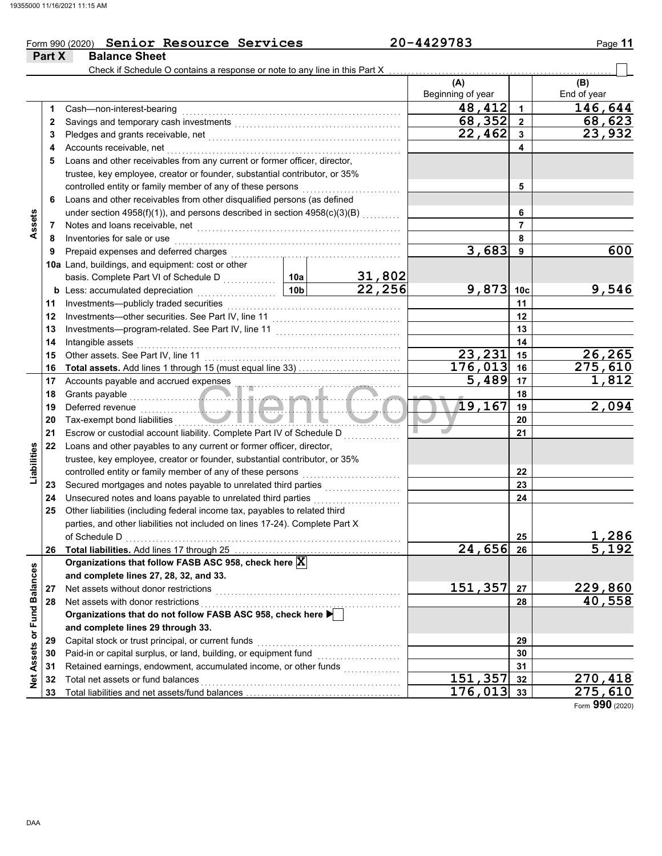|                             | Part X   | <b>Balance Sheet</b>                                                                                                                                                                                                                      |                          |                                                                                                                           |                   |                |                    |
|-----------------------------|----------|-------------------------------------------------------------------------------------------------------------------------------------------------------------------------------------------------------------------------------------------|--------------------------|---------------------------------------------------------------------------------------------------------------------------|-------------------|----------------|--------------------|
|                             |          | Check if Schedule O contains a response or note to any line in this Part X                                                                                                                                                                |                          |                                                                                                                           |                   |                |                    |
|                             |          |                                                                                                                                                                                                                                           |                          |                                                                                                                           | (A)               |                | (B)                |
|                             |          |                                                                                                                                                                                                                                           |                          |                                                                                                                           | Beginning of year |                | End of year        |
|                             | 1.       | Cash-non-interest-bearing                                                                                                                                                                                                                 |                          |                                                                                                                           | 48,412            | 1              | 146,644            |
|                             | 2        |                                                                                                                                                                                                                                           |                          |                                                                                                                           | 68,352            | $\overline{2}$ | 68,623             |
|                             | 3        |                                                                                                                                                                                                                                           |                          |                                                                                                                           | 22,462            | 3              | 23,932             |
|                             | 4        | Accounts receivable, net                                                                                                                                                                                                                  |                          |                                                                                                                           |                   | 4              |                    |
|                             | 5        | Loans and other receivables from any current or former officer, director,                                                                                                                                                                 |                          |                                                                                                                           |                   |                |                    |
|                             |          | trustee, key employee, creator or founder, substantial contributor, or 35%                                                                                                                                                                |                          |                                                                                                                           |                   |                |                    |
|                             |          | controlled entity or family member of any of these persons                                                                                                                                                                                |                          |                                                                                                                           |                   | 5              |                    |
|                             | 6        | Loans and other receivables from other disqualified persons (as defined                                                                                                                                                                   |                          |                                                                                                                           |                   |                |                    |
|                             |          | under section 4958(f)(1)), and persons described in section 4958(c)(3)(B)                                                                                                                                                                 |                          |                                                                                                                           | 6                 |                |                    |
| Assets                      | 7        | Notes and loans receivable, net <b>contained</b> and <b>contained a set of the set of the set of the set of the set of the set of the set of the set of the set of the set of the set of the set of the set of the set of the set of </b> |                          |                                                                                                                           |                   | $\overline{7}$ |                    |
|                             | 8        | Inventories for sale or use                                                                                                                                                                                                               |                          | 8                                                                                                                         |                   |                |                    |
|                             | 9        | Prepaid expenses and deferred charges                                                                                                                                                                                                     |                          |                                                                                                                           | 3,683             | 9              | 600                |
|                             |          | 10a Land, buildings, and equipment: cost or other                                                                                                                                                                                         |                          |                                                                                                                           |                   |                |                    |
|                             |          | basis. Complete Part VI of Schedule D                                                                                                                                                                                                     | 10a  <br>10 <sub>b</sub> | 31,802<br>22,256                                                                                                          | 9,873             |                |                    |
|                             |          | <b>b</b> Less: accumulated depreciation<br>.                                                                                                                                                                                              |                          | 10 <sub>c</sub>                                                                                                           | 9,546             |                |                    |
|                             | 11       | Investments-publicly traded securities                                                                                                                                                                                                    |                          | 11<br>12                                                                                                                  |                   |                |                    |
|                             | 12       |                                                                                                                                                                                                                                           |                          | 13                                                                                                                        |                   |                |                    |
|                             | 13<br>14 | Intangible assets                                                                                                                                                                                                                         |                          |                                                                                                                           |                   | 14             |                    |
|                             | 15       | Other assets. See Part IV, line 11                                                                                                                                                                                                        |                          |                                                                                                                           | 23,231            | 15             | 26,265             |
|                             | 16       | <b>Total assets.</b> Add lines 1 through 15 (must equal line 33)                                                                                                                                                                          |                          |                                                                                                                           | 176,013           | 16             | 275,610            |
|                             | 17       | Accounts payable and accrued expenses                                                                                                                                                                                                     |                          |                                                                                                                           | 5,489             | 17             | 1,812              |
|                             | 18       | <u> Elizabeth III a San A</u><br>Grants payable                                                                                                                                                                                           |                          |                                                                                                                           |                   | 18             |                    |
|                             | 19       |                                                                                                                                                                                                                                           |                          |                                                                                                                           | 19,167            | 19             | 2,094              |
|                             | 20       | Tax-exempt bond liabilities                                                                                                                                                                                                               |                          |                                                                                                                           |                   | 20             |                    |
|                             | 21       | Escrow or custodial account liability. Complete Part IV of Schedule D                                                                                                                                                                     |                          |                                                                                                                           | 21                |                |                    |
|                             | 22       | Loans and other payables to any current or former officer, director,                                                                                                                                                                      |                          |                                                                                                                           |                   |                |                    |
| Liabilities                 |          | trustee, key employee, creator or founder, substantial contributor, or 35%                                                                                                                                                                |                          |                                                                                                                           |                   |                |                    |
|                             |          | controlled entity or family member of any of these persons                                                                                                                                                                                |                          |                                                                                                                           |                   | 22             |                    |
|                             | 23       | Secured mortgages and notes payable to unrelated third parties                                                                                                                                                                            |                          |                                                                                                                           |                   | 23             |                    |
|                             | 24       | Unsecured notes and loans payable to unrelated third parties                                                                                                                                                                              |                          | .                                                                                                                         |                   | 24             |                    |
|                             | 25       | Other liabilities (including federal income tax, payables to related third                                                                                                                                                                |                          |                                                                                                                           |                   |                |                    |
|                             |          | parties, and other liabilities not included on lines 17-24). Complete Part X                                                                                                                                                              |                          |                                                                                                                           |                   |                |                    |
|                             |          | of Schedule D                                                                                                                                                                                                                             |                          |                                                                                                                           |                   | 25             | <u>1,286</u>       |
|                             | 26       |                                                                                                                                                                                                                                           |                          |                                                                                                                           | 24,656            | 26             | $\overline{5,192}$ |
|                             |          | Organizations that follow FASB ASC 958, check here X                                                                                                                                                                                      |                          |                                                                                                                           |                   |                |                    |
|                             |          | and complete lines 27, 28, 32, and 33.                                                                                                                                                                                                    |                          |                                                                                                                           |                   |                |                    |
|                             | 27       | Net assets without donor restrictions                                                                                                                                                                                                     |                          |                                                                                                                           | 151,357           | 27             | 229,860            |
|                             | 28       | Net assets with donor restrictions                                                                                                                                                                                                        |                          |                                                                                                                           |                   | 28             | 40,558             |
|                             |          | Organizations that do not follow FASB ASC 958, check here ▶                                                                                                                                                                               |                          |                                                                                                                           |                   |                |                    |
|                             |          | and complete lines 29 through 33.                                                                                                                                                                                                         |                          |                                                                                                                           |                   |                |                    |
|                             | 29       | Capital stock or trust principal, or current funds                                                                                                                                                                                        |                          |                                                                                                                           |                   | 29             |                    |
|                             | 30       | Paid-in or capital surplus, or land, building, or equipment fund                                                                                                                                                                          |                          | <u> 1999 - Johann Stoff, martin Stoff, martin Stoff, martin Stoff, martin Stoff, martin Stoff, martin Stoff, martin S</u> |                   | 30             |                    |
|                             | 31       | Retained earnings, endowment, accumulated income, or other funds                                                                                                                                                                          |                          |                                                                                                                           |                   | 31             |                    |
| Net Assets or Fund Balances | 32       | Total net assets or fund balances                                                                                                                                                                                                         |                          |                                                                                                                           | 151,357           | 32             | 270,418            |
|                             | 33       |                                                                                                                                                                                                                                           |                          |                                                                                                                           | 176,013           | 33             | 275,610            |

Form **990** (2020)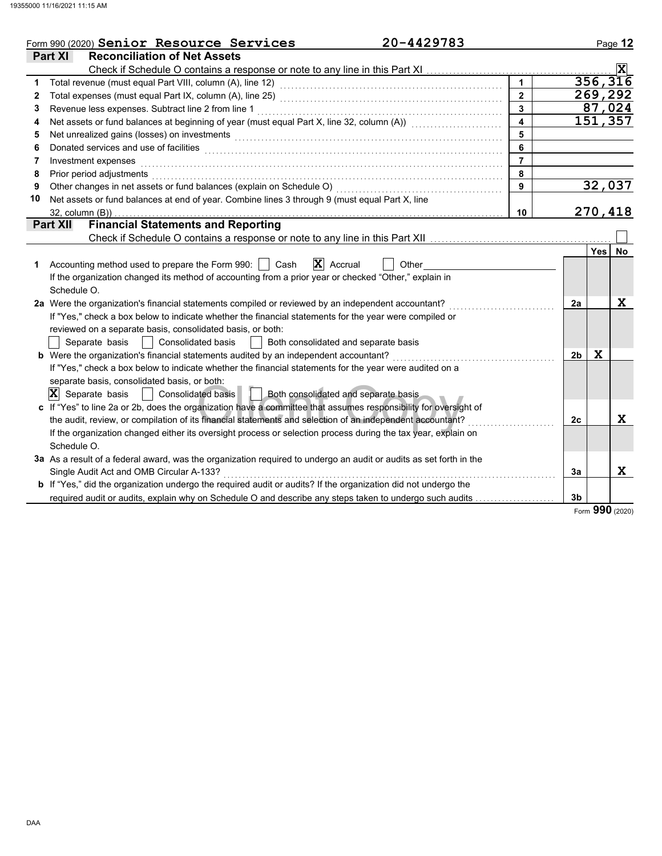|              | 20-4429783<br>Form 990 (2020) Senior Resource Services                                                             |                         |                |            | Page 12                 |
|--------------|--------------------------------------------------------------------------------------------------------------------|-------------------------|----------------|------------|-------------------------|
|              | <b>Reconciliation of Net Assets</b><br>Part XI                                                                     |                         |                |            |                         |
|              |                                                                                                                    |                         |                |            | $\overline{\mathbf{x}}$ |
| 1            |                                                                                                                    |                         |                |            | 356,316                 |
| $\mathbf{2}$ |                                                                                                                    | $\overline{2}$          |                |            | 269,292                 |
| 3            | Revenue less expenses. Subtract line 2 from line 1                                                                 | $\overline{3}$          |                |            | 87,024                  |
| 4            | Net assets or fund balances at beginning of year (must equal Part X, line 32, column (A))                          | $\overline{\mathbf{4}}$ |                |            | 151,357                 |
| 5            | Net unrealized gains (losses) on investments                                                                       | 5                       |                |            |                         |
| 6            |                                                                                                                    | 6                       |                |            |                         |
| 7            | Investment expenses                                                                                                | $\overline{7}$          |                |            |                         |
| 8            | Prior period adjustments                                                                                           | 8                       |                |            |                         |
| 9            | Other changes in net assets or fund balances (explain on Schedule O)                                               | 9                       |                |            | 32,037                  |
| 10           | Net assets or fund balances at end of year. Combine lines 3 through 9 (must equal Part X, line                     |                         |                |            |                         |
|              | $32$ , column $(B)$ )                                                                                              | 10                      |                |            | 270,418                 |
|              | <b>Financial Statements and Reporting</b><br><b>Part XII</b>                                                       |                         |                |            |                         |
|              |                                                                                                                    |                         |                |            |                         |
|              |                                                                                                                    |                         |                | <b>Yes</b> | <b>No</b>               |
| 1            | Cash<br>$ \mathbf{X} $ Accrual<br>Accounting method used to prepare the Form 990:    <br>Other                     |                         |                |            |                         |
|              | If the organization changed its method of accounting from a prior year or checked "Other," explain in              |                         |                |            |                         |
|              | Schedule O.                                                                                                        |                         |                |            |                         |
|              | 2a Were the organization's financial statements compiled or reviewed by an independent accountant?                 |                         | 2a             |            | $\mathbf x$             |
|              | If "Yes," check a box below to indicate whether the financial statements for the year were compiled or             |                         |                |            |                         |
|              | reviewed on a separate basis, consolidated basis, or both:                                                         |                         |                |            |                         |
|              | Both consolidated and separate basis<br>Separate basis<br>Consolidated basis                                       |                         |                |            |                         |
|              | <b>b</b> Were the organization's financial statements audited by an independent accountant?                        |                         | 2b             | X          |                         |
|              | If "Yes," check a box below to indicate whether the financial statements for the year were audited on a            |                         |                |            |                         |
|              | separate basis, consolidated basis, or both:                                                                       |                         |                |            |                         |
|              | $ \mathbf{X} $ Separate basis<br>Consolidated basis <b>Both</b> consolidated and separate basis<br>$\pm$           |                         |                |            |                         |
|              | c If "Yes" to line 2a or 2b, does the organization have a committee that assumes responsibility for oversight of   |                         |                |            |                         |
|              | the audit, review, or compilation of its financial statements and selection of an independent accountant?          |                         | 2c             |            | X                       |
|              | If the organization changed either its oversight process or selection process during the tax year, explain on      |                         |                |            |                         |
|              | Schedule O.                                                                                                        |                         |                |            |                         |
|              | 3a As a result of a federal award, was the organization required to undergo an audit or audits as set forth in the |                         |                |            |                         |
|              | Single Audit Act and OMB Circular A-133?                                                                           |                         | 3a             |            | X                       |
|              | b If "Yes," did the organization undergo the required audit or audits? If the organization did not undergo the     |                         |                |            |                         |
|              | required audit or audits, explain why on Schedule O and describe any steps taken to undergo such audits            |                         | 3 <sub>b</sub> |            |                         |

Form **990** (2020)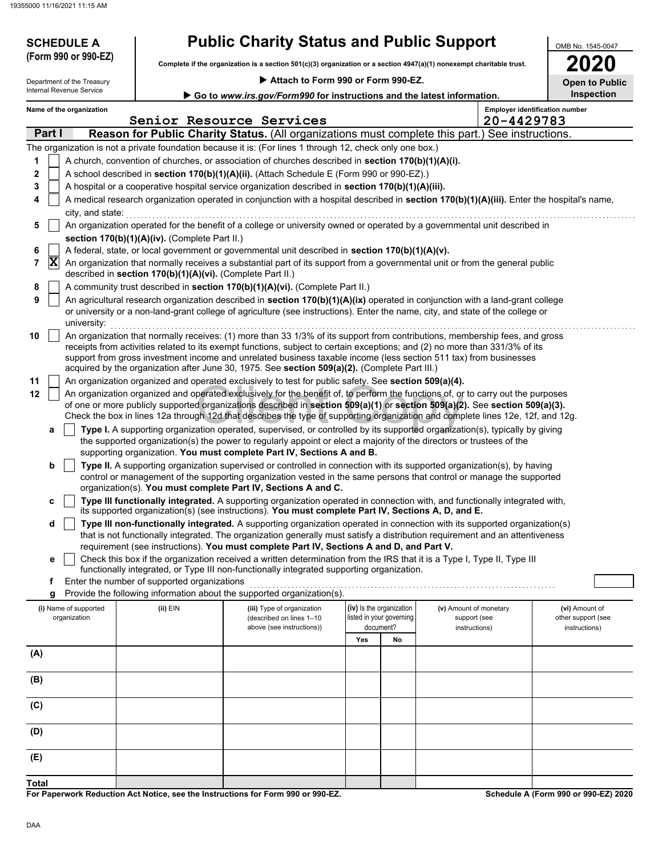# OMB No. 1545-0047  **Attach to Form 990 or Form 990-EZ. Complete if the organization is a section 501(c)(3) organization or a section 4947(a)(1) nonexempt charitable trust. (Form 990 or 990-EZ) SCHEDULE A Public Charity Status and Public Support 2020 Go to** *www.irs.gov/Form990* **for instructions and the latest information. Senior Resource Services 20-4429783**

| LULU                  |
|-----------------------|
| <b>Open to Public</b> |
| Inenoction            |

|     |                                                                                                                                                                                                                                                                                                                                                                                                                                                                                  | Department of the Treasury                                                                                                                                                                                |                                               | Attach to Form 990 or Form 990-EZ.                                                                                                                                                                                                                                                                                                                    |     |                                                                   |                                                         |                                                     | <b>Open to Public</b>                                 |  |  |  |
|-----|----------------------------------------------------------------------------------------------------------------------------------------------------------------------------------------------------------------------------------------------------------------------------------------------------------------------------------------------------------------------------------------------------------------------------------------------------------------------------------|-----------------------------------------------------------------------------------------------------------------------------------------------------------------------------------------------------------|-----------------------------------------------|-------------------------------------------------------------------------------------------------------------------------------------------------------------------------------------------------------------------------------------------------------------------------------------------------------------------------------------------------------|-----|-------------------------------------------------------------------|---------------------------------------------------------|-----------------------------------------------------|-------------------------------------------------------|--|--|--|
|     |                                                                                                                                                                                                                                                                                                                                                                                                                                                                                  | Internal Revenue Service                                                                                                                                                                                  |                                               | Go to www.irs.gov/Form990 for instructions and the latest information.                                                                                                                                                                                                                                                                                |     |                                                                   |                                                         |                                                     | Inspection                                            |  |  |  |
|     |                                                                                                                                                                                                                                                                                                                                                                                                                                                                                  | Name of the organization                                                                                                                                                                                  |                                               | Senior Resource Services                                                                                                                                                                                                                                                                                                                              |     |                                                                   |                                                         | <b>Employer identification number</b><br>20-4429783 |                                                       |  |  |  |
|     | Part I                                                                                                                                                                                                                                                                                                                                                                                                                                                                           |                                                                                                                                                                                                           |                                               | Reason for Public Charity Status. (All organizations must complete this part.) See instructions.                                                                                                                                                                                                                                                      |     |                                                                   |                                                         |                                                     |                                                       |  |  |  |
|     |                                                                                                                                                                                                                                                                                                                                                                                                                                                                                  |                                                                                                                                                                                                           |                                               | The organization is not a private foundation because it is: (For lines 1 through 12, check only one box.)                                                                                                                                                                                                                                             |     |                                                                   |                                                         |                                                     |                                                       |  |  |  |
| 1   |                                                                                                                                                                                                                                                                                                                                                                                                                                                                                  |                                                                                                                                                                                                           |                                               | A church, convention of churches, or association of churches described in section 170(b)(1)(A)(i).                                                                                                                                                                                                                                                    |     |                                                                   |                                                         |                                                     |                                                       |  |  |  |
| 2   |                                                                                                                                                                                                                                                                                                                                                                                                                                                                                  |                                                                                                                                                                                                           |                                               | A school described in section 170(b)(1)(A)(ii). (Attach Schedule E (Form 990 or 990-EZ).)                                                                                                                                                                                                                                                             |     |                                                                   |                                                         |                                                     |                                                       |  |  |  |
| 3   |                                                                                                                                                                                                                                                                                                                                                                                                                                                                                  |                                                                                                                                                                                                           |                                               | A hospital or a cooperative hospital service organization described in section 170(b)(1)(A)(iii).                                                                                                                                                                                                                                                     |     |                                                                   |                                                         |                                                     |                                                       |  |  |  |
| 4   |                                                                                                                                                                                                                                                                                                                                                                                                                                                                                  |                                                                                                                                                                                                           |                                               | A medical research organization operated in conjunction with a hospital described in section 170(b)(1)(A)(iii). Enter the hospital's name,                                                                                                                                                                                                            |     |                                                                   |                                                         |                                                     |                                                       |  |  |  |
|     |                                                                                                                                                                                                                                                                                                                                                                                                                                                                                  | city, and state:                                                                                                                                                                                          |                                               |                                                                                                                                                                                                                                                                                                                                                       |     |                                                                   |                                                         |                                                     |                                                       |  |  |  |
| 5   |                                                                                                                                                                                                                                                                                                                                                                                                                                                                                  | An organization operated for the benefit of a college or university owned or operated by a governmental unit described in                                                                                 |                                               |                                                                                                                                                                                                                                                                                                                                                       |     |                                                                   |                                                         |                                                     |                                                       |  |  |  |
|     |                                                                                                                                                                                                                                                                                                                                                                                                                                                                                  |                                                                                                                                                                                                           | section 170(b)(1)(A)(iv). (Complete Part II.) |                                                                                                                                                                                                                                                                                                                                                       |     |                                                                   |                                                         |                                                     |                                                       |  |  |  |
| 6   |                                                                                                                                                                                                                                                                                                                                                                                                                                                                                  |                                                                                                                                                                                                           |                                               | A federal, state, or local government or governmental unit described in section 170(b)(1)(A)(v).                                                                                                                                                                                                                                                      |     |                                                                   |                                                         |                                                     |                                                       |  |  |  |
| 7   |                                                                                                                                                                                                                                                                                                                                                                                                                                                                                  | $ {\bf X} $<br>An organization that normally receives a substantial part of its support from a governmental unit or from the general public<br>described in section 170(b)(1)(A)(vi). (Complete Part II.) |                                               |                                                                                                                                                                                                                                                                                                                                                       |     |                                                                   |                                                         |                                                     |                                                       |  |  |  |
| 8   |                                                                                                                                                                                                                                                                                                                                                                                                                                                                                  |                                                                                                                                                                                                           |                                               | A community trust described in section 170(b)(1)(A)(vi). (Complete Part II.)                                                                                                                                                                                                                                                                          |     |                                                                   |                                                         |                                                     |                                                       |  |  |  |
| 9   |                                                                                                                                                                                                                                                                                                                                                                                                                                                                                  | university:                                                                                                                                                                                               |                                               | An agricultural research organization described in section 170(b)(1)(A)(ix) operated in conjunction with a land-grant college<br>or university or a non-land-grant college of agriculture (see instructions). Enter the name, city, and state of the college or                                                                                       |     |                                                                   |                                                         |                                                     |                                                       |  |  |  |
| 10  | An organization that normally receives: (1) more than 33 1/3% of its support from contributions, membership fees, and gross<br>receipts from activities related to its exempt functions, subject to certain exceptions; and (2) no more than 331/3% of its<br>support from gross investment income and unrelated business taxable income (less section 511 tax) from businesses<br>acquired by the organization after June 30, 1975. See section 509(a)(2). (Complete Part III.) |                                                                                                                                                                                                           |                                               |                                                                                                                                                                                                                                                                                                                                                       |     |                                                                   |                                                         |                                                     |                                                       |  |  |  |
| 11  |                                                                                                                                                                                                                                                                                                                                                                                                                                                                                  |                                                                                                                                                                                                           |                                               | An organization organized and operated exclusively to test for public safety. See section 509(a)(4).                                                                                                                                                                                                                                                  |     |                                                                   |                                                         |                                                     |                                                       |  |  |  |
| 12  |                                                                                                                                                                                                                                                                                                                                                                                                                                                                                  |                                                                                                                                                                                                           |                                               | An organization organized and operated exclusively for the benefit of, to perform the functions of, or to carry out the purposes                                                                                                                                                                                                                      |     |                                                                   |                                                         |                                                     |                                                       |  |  |  |
|     |                                                                                                                                                                                                                                                                                                                                                                                                                                                                                  |                                                                                                                                                                                                           |                                               | of one or more publicly supported organizations described in section 509(a)(1) or section 509(a)(2). See section 509(a)(3).<br>Check the box in lines 12a through 12d that describes the type of supporting organization and complete lines 12e, 12f, and 12g.                                                                                        |     |                                                                   |                                                         |                                                     |                                                       |  |  |  |
|     | а                                                                                                                                                                                                                                                                                                                                                                                                                                                                                |                                                                                                                                                                                                           |                                               | Type I. A supporting organization operated, supervised, or controlled by its supported organization(s), typically by giving<br>the supported organization(s) the power to regularly appoint or elect a majority of the directors or trustees of the<br>supporting organization. You must complete Part IV, Sections A and B.                          |     |                                                                   |                                                         |                                                     |                                                       |  |  |  |
|     | b                                                                                                                                                                                                                                                                                                                                                                                                                                                                                |                                                                                                                                                                                                           |                                               | Type II. A supporting organization supervised or controlled in connection with its supported organization(s), by having<br>control or management of the supporting organization vested in the same persons that control or manage the supported<br>organization(s). You must complete Part IV, Sections A and C.                                      |     |                                                                   |                                                         |                                                     |                                                       |  |  |  |
|     |                                                                                                                                                                                                                                                                                                                                                                                                                                                                                  |                                                                                                                                                                                                           |                                               | Type III functionally integrated. A supporting organization operated in connection with, and functionally integrated with,<br>its supported organization(s) (see instructions). You must complete Part IV, Sections A, D, and E.                                                                                                                      |     |                                                                   |                                                         |                                                     |                                                       |  |  |  |
|     | d                                                                                                                                                                                                                                                                                                                                                                                                                                                                                |                                                                                                                                                                                                           |                                               | Type III non-functionally integrated. A supporting organization operated in connection with its supported organization(s)<br>that is not functionally integrated. The organization generally must satisfy a distribution requirement and an attentiveness<br>requirement (see instructions). You must complete Part IV, Sections A and D, and Part V. |     |                                                                   |                                                         |                                                     |                                                       |  |  |  |
|     | е                                                                                                                                                                                                                                                                                                                                                                                                                                                                                |                                                                                                                                                                                                           |                                               | Check this box if the organization received a written determination from the IRS that it is a Type I, Type II, Type III                                                                                                                                                                                                                               |     |                                                                   |                                                         |                                                     |                                                       |  |  |  |
|     |                                                                                                                                                                                                                                                                                                                                                                                                                                                                                  |                                                                                                                                                                                                           |                                               | functionally integrated, or Type III non-functionally integrated supporting organization.                                                                                                                                                                                                                                                             |     |                                                                   |                                                         |                                                     |                                                       |  |  |  |
|     |                                                                                                                                                                                                                                                                                                                                                                                                                                                                                  |                                                                                                                                                                                                           | Enter the number of supported organizations   |                                                                                                                                                                                                                                                                                                                                                       |     |                                                                   |                                                         |                                                     |                                                       |  |  |  |
|     | g                                                                                                                                                                                                                                                                                                                                                                                                                                                                                |                                                                                                                                                                                                           |                                               | Provide the following information about the supported organization(s).                                                                                                                                                                                                                                                                                |     |                                                                   |                                                         |                                                     |                                                       |  |  |  |
|     |                                                                                                                                                                                                                                                                                                                                                                                                                                                                                  | (i) Name of supported<br>organization                                                                                                                                                                     | (ii) EIN                                      | (iii) Type of organization<br>(described on lines 1-10<br>above (see instructions))                                                                                                                                                                                                                                                                   |     | (iv) Is the organization<br>listed in your governing<br>document? | (v) Amount of monetary<br>support (see<br>instructions) |                                                     | (vi) Amount of<br>other support (see<br>instructions) |  |  |  |
|     |                                                                                                                                                                                                                                                                                                                                                                                                                                                                                  |                                                                                                                                                                                                           |                                               |                                                                                                                                                                                                                                                                                                                                                       | Yes | No                                                                |                                                         |                                                     |                                                       |  |  |  |
| (A) |                                                                                                                                                                                                                                                                                                                                                                                                                                                                                  |                                                                                                                                                                                                           |                                               |                                                                                                                                                                                                                                                                                                                                                       |     |                                                                   |                                                         |                                                     |                                                       |  |  |  |
|     |                                                                                                                                                                                                                                                                                                                                                                                                                                                                                  |                                                                                                                                                                                                           |                                               |                                                                                                                                                                                                                                                                                                                                                       |     |                                                                   |                                                         |                                                     |                                                       |  |  |  |
| (B) |                                                                                                                                                                                                                                                                                                                                                                                                                                                                                  |                                                                                                                                                                                                           |                                               |                                                                                                                                                                                                                                                                                                                                                       |     |                                                                   |                                                         |                                                     |                                                       |  |  |  |
| (C) |                                                                                                                                                                                                                                                                                                                                                                                                                                                                                  |                                                                                                                                                                                                           |                                               |                                                                                                                                                                                                                                                                                                                                                       |     |                                                                   |                                                         |                                                     |                                                       |  |  |  |
| (D) |                                                                                                                                                                                                                                                                                                                                                                                                                                                                                  |                                                                                                                                                                                                           |                                               |                                                                                                                                                                                                                                                                                                                                                       |     |                                                                   |                                                         |                                                     |                                                       |  |  |  |
| (E) |                                                                                                                                                                                                                                                                                                                                                                                                                                                                                  |                                                                                                                                                                                                           |                                               |                                                                                                                                                                                                                                                                                                                                                       |     |                                                                   |                                                         |                                                     |                                                       |  |  |  |

**For Paperwork Reduction Act Notice, see the Instructions for Form 990 or 990-EZ.**

**Schedule A (Form 990 or 990-EZ) 2020**

**Total**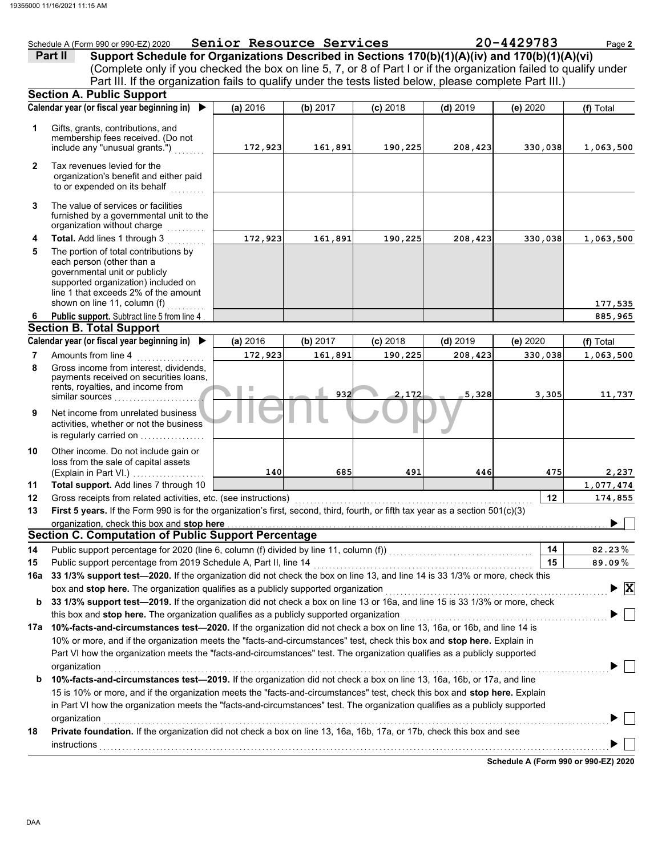|                | Schedule A (Form 990 or 990-EZ) 2020                                                                                                                                                                                           | Senior Resource Services |          |            |            | 20-4429783 | Page 2                          |
|----------------|--------------------------------------------------------------------------------------------------------------------------------------------------------------------------------------------------------------------------------|--------------------------|----------|------------|------------|------------|---------------------------------|
|                | Support Schedule for Organizations Described in Sections 170(b)(1)(A)(iv) and 170(b)(1)(A)(vi)<br>Part II                                                                                                                      |                          |          |            |            |            |                                 |
|                | (Complete only if you checked the box on line 5, 7, or 8 of Part I or if the organization failed to qualify under                                                                                                              |                          |          |            |            |            |                                 |
|                | Part III. If the organization fails to qualify under the tests listed below, please complete Part III.)                                                                                                                        |                          |          |            |            |            |                                 |
|                | <b>Section A. Public Support</b>                                                                                                                                                                                               |                          |          |            |            |            |                                 |
|                | Calendar year (or fiscal year beginning in)                                                                                                                                                                                    | (a) 2016                 | (b) 2017 | $(c)$ 2018 | $(d)$ 2019 | (e) 2020   | (f) Total                       |
|                |                                                                                                                                                                                                                                |                          |          |            |            |            |                                 |
| 1              | Gifts, grants, contributions, and                                                                                                                                                                                              |                          |          |            |            |            |                                 |
|                | membership fees received. (Do not<br>include any "unusual grants.")                                                                                                                                                            | 172,923                  | 161,891  | 190,225    | 208,423    | 330,038    | 1,063,500                       |
|                |                                                                                                                                                                                                                                |                          |          |            |            |            |                                 |
| $\mathbf{2}$   | Tax revenues levied for the                                                                                                                                                                                                    |                          |          |            |            |            |                                 |
|                | organization's benefit and either paid<br>to or expended on its behalf                                                                                                                                                         |                          |          |            |            |            |                                 |
|                |                                                                                                                                                                                                                                |                          |          |            |            |            |                                 |
| 3              | The value of services or facilities                                                                                                                                                                                            |                          |          |            |            |            |                                 |
|                | furnished by a governmental unit to the<br>organization without charge                                                                                                                                                         |                          |          |            |            |            |                                 |
| 4              | Total. Add lines 1 through 3                                                                                                                                                                                                   | 172,923                  | 161,891  | 190,225    | 208,423    | 330,038    | 1,063,500                       |
| 5              | The portion of total contributions by                                                                                                                                                                                          |                          |          |            |            |            |                                 |
|                | each person (other than a                                                                                                                                                                                                      |                          |          |            |            |            |                                 |
|                | governmental unit or publicly                                                                                                                                                                                                  |                          |          |            |            |            |                                 |
|                | supported organization) included on                                                                                                                                                                                            |                          |          |            |            |            |                                 |
|                | line 1 that exceeds 2% of the amount<br>shown on line 11, column (f)                                                                                                                                                           |                          |          |            |            |            |                                 |
| 6              | Public support. Subtract line 5 from line 4                                                                                                                                                                                    |                          |          |            |            |            | 177,535                         |
|                | <b>Section B. Total Support</b>                                                                                                                                                                                                |                          |          |            |            |            | 885,965                         |
|                | Calendar year (or fiscal year beginning in) ▶                                                                                                                                                                                  | (a) 2016                 | (b) 2017 | $(c)$ 2018 | $(d)$ 2019 | (e) 2020   | (f) Total                       |
| $\overline{7}$ | Amounts from line 4                                                                                                                                                                                                            | 172,923                  | 161,891  | 190,225    | 208,423    | 330,038    | 1,063,500                       |
| 8              | Gross income from interest, dividends,                                                                                                                                                                                         |                          |          |            |            |            |                                 |
|                | payments received on securities loans,                                                                                                                                                                                         |                          |          |            |            |            |                                 |
|                | rents, royalties, and income from                                                                                                                                                                                              |                          | 932      | 2,172      | 5,328      | 3,305      | 11,737                          |
|                | similar sources                                                                                                                                                                                                                |                          |          |            |            |            |                                 |
| 9              | Net income from unrelated business                                                                                                                                                                                             |                          |          |            |            |            |                                 |
|                | activities, whether or not the business                                                                                                                                                                                        |                          |          |            |            |            |                                 |
|                | is regularly carried on                                                                                                                                                                                                        |                          |          |            |            |            |                                 |
| 10             | Other income. Do not include gain or                                                                                                                                                                                           |                          |          |            |            |            |                                 |
|                | loss from the sale of capital assets<br>(Explain in Part VI.)                                                                                                                                                                  | 140                      | 685      | 491        | 446        | 475        | 2,237                           |
| 11             | Total support. Add lines 7 through 10                                                                                                                                                                                          |                          |          |            |            |            | 1,077,474                       |
| 12             | Gross receipts from related activities, etc. (see instructions)                                                                                                                                                                |                          |          |            |            | 12         | 174,855                         |
| 13             | First 5 years. If the Form 990 is for the organization's first, second, third, fourth, or fifth tax year as a section 501(c)(3)                                                                                                |                          | .        |            |            |            |                                 |
|                | organization, check this box and stop here contained and state and state and state and state and state and stop here contained and state and state and state and state and state and state and state and state and state and s |                          |          |            |            |            |                                 |
|                | <b>Section C. Computation of Public Support Percentage</b>                                                                                                                                                                     |                          |          |            |            |            |                                 |
| 14             | Public support percentage for 2020 (line 6, column (f) divided by line 11, column (f)) [[[[[[[[[[[[[[[[[[[[[[                                                                                                                  |                          |          |            |            | 14         | 82.23%                          |
| 15             | Public support percentage from 2019 Schedule A, Part II, line 14                                                                                                                                                               |                          |          |            |            | 15         | 89.09%                          |
| 16a            | 33 1/3% support test-2020. If the organization did not check the box on line 13, and line 14 is 33 1/3% or more, check this                                                                                                    |                          |          |            |            |            |                                 |
|                | box and stop here. The organization qualifies as a publicly supported organization                                                                                                                                             |                          |          |            |            |            | $\blacktriangleright$ $\vert$ X |
| b              | 33 1/3% support test-2019. If the organization did not check a box on line 13 or 16a, and line 15 is 33 1/3% or more, check                                                                                                    |                          |          |            |            |            |                                 |
|                | this box and stop here. The organization qualifies as a publicly supported organization                                                                                                                                        |                          |          |            |            |            |                                 |
|                | 17a 10%-facts-and-circumstances test-2020. If the organization did not check a box on line 13, 16a, or 16b, and line 14 is                                                                                                     |                          |          |            |            |            |                                 |
|                | 10% or more, and if the organization meets the "facts-and-circumstances" test, check this box and stop here. Explain in                                                                                                        |                          |          |            |            |            |                                 |
|                | Part VI how the organization meets the "facts-and-circumstances" test. The organization qualifies as a publicly supported                                                                                                      |                          |          |            |            |            |                                 |
|                | organization                                                                                                                                                                                                                   |                          |          |            |            |            |                                 |
| b              | 10%-facts-and-circumstances test-2019. If the organization did not check a box on line 13, 16a, 16b, or 17a, and line                                                                                                          |                          |          |            |            |            |                                 |
|                | 15 is 10% or more, and if the organization meets the "facts-and-circumstances" test, check this box and stop here. Explain                                                                                                     |                          |          |            |            |            |                                 |
|                | in Part VI how the organization meets the "facts-and-circumstances" test. The organization qualifies as a publicly supported                                                                                                   |                          |          |            |            |            |                                 |
|                | organization                                                                                                                                                                                                                   |                          |          |            |            |            |                                 |
| 18             | Private foundation. If the organization did not check a box on line 13, 16a, 16b, 17a, or 17b, check this box and see                                                                                                          |                          |          |            |            |            |                                 |
|                | instructions                                                                                                                                                                                                                   |                          |          |            |            |            |                                 |

**Schedule A (Form 990 or 990-EZ) 2020**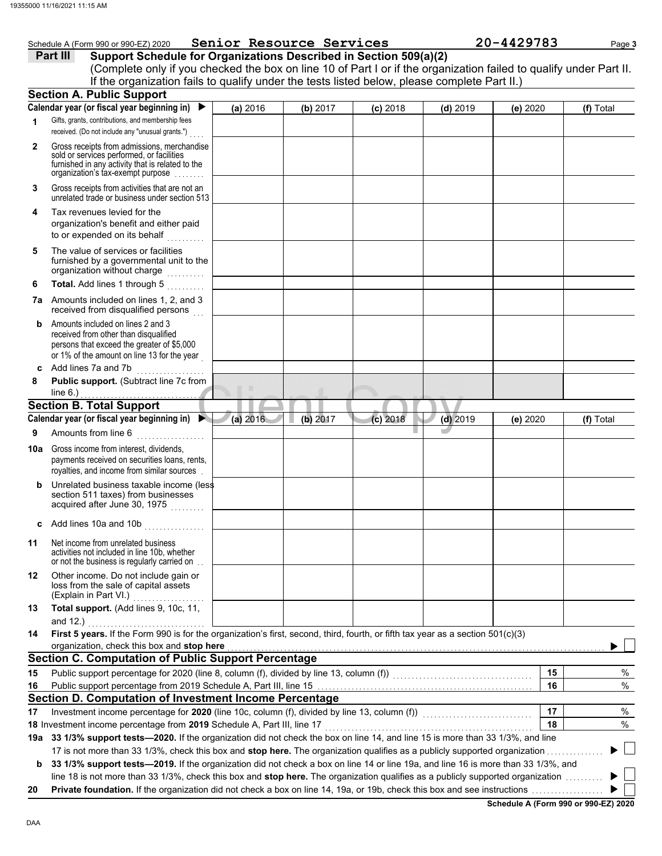|              | 5000 11/16/2021 11:15 AM                                                                                                                                                          |                          |          |            |            |            |           |
|--------------|-----------------------------------------------------------------------------------------------------------------------------------------------------------------------------------|--------------------------|----------|------------|------------|------------|-----------|
|              | Schedule A (Form 990 or 990-EZ) 2020                                                                                                                                              | Senior Resource Services |          |            |            | 20-4429783 | Page 3    |
|              | Part III<br>Support Schedule for Organizations Described in Section 509(a)(2)                                                                                                     |                          |          |            |            |            |           |
|              | (Complete only if you checked the box on line 10 of Part I or if the organization failed to qualify under Part II.                                                                |                          |          |            |            |            |           |
|              | If the organization fails to qualify under the tests listed below, please complete Part II.)                                                                                      |                          |          |            |            |            |           |
|              | <b>Section A. Public Support</b>                                                                                                                                                  |                          |          |            |            |            |           |
|              | Calendar year (or fiscal year beginning in)                                                                                                                                       | (a) 2016                 | (b) 2017 | $(c)$ 2018 | $(d)$ 2019 | (e) 2020   | (f) Total |
| 1            | Gifts, grants, contributions, and membership fees                                                                                                                                 |                          |          |            |            |            |           |
|              | received. (Do not include any "unusual grants.")                                                                                                                                  |                          |          |            |            |            |           |
| $\mathbf{2}$ | Gross receipts from admissions, merchandise<br>sold or services performed, or facilities<br>furnished in any activity that is related to the<br>organization's tax-exempt purpose |                          |          |            |            |            |           |
| 3            | Gross receipts from activities that are not an<br>unrelated trade or business under section 513                                                                                   |                          |          |            |            |            |           |
| 4            | Tax revenues levied for the<br>organization's benefit and either paid<br>to or expended on its behalf                                                                             |                          |          |            |            |            |           |
| 5            | The value of services or facilities<br>furnished by a governmental unit to the<br>organization without charge                                                                     |                          |          |            |            |            |           |
| 6            | Total. Add lines 1 through 5                                                                                                                                                      |                          |          |            |            |            |           |
|              | 7a Amounts included on lines 1, 2, and 3<br>received from disqualified persons                                                                                                    |                          |          |            |            |            |           |
| b            | Amounts included on lines 2 and 3<br>received from other than disqualified<br>persons that exceed the greater of \$5,000<br>or 1% of the amount on line 13 for the year           |                          |          |            |            |            |           |
| C            | Add lines 7a and 7b<br>.                                                                                                                                                          |                          |          |            |            |            |           |
| 8            | Public support. (Subtract line 7c from                                                                                                                                            |                          |          |            |            |            |           |
|              | line $6.$ )                                                                                                                                                                       |                          |          |            |            |            |           |
|              | <b>Section B. Total Support</b>                                                                                                                                                   |                          |          |            |            |            |           |
|              | Calendar year (or fiscal year beginning in)                                                                                                                                       | (a) 2016                 | (b) 2017 | $(c)$ 2018 | $(d)$ 2019 | (e) 2020   | (f) Total |
| 9            | Amounts from line 6                                                                                                                                                               |                          |          |            |            |            |           |
| 10a          | Gross income from interest, dividends,<br>payments received on securities loans, rents,<br>royalties, and income from similar sources                                             |                          |          |            |            |            |           |
| b            | Unrelated business taxable income (less<br>section 511 taxes) from businesses<br>acquired after June 30, 1975                                                                     |                          |          |            |            |            |           |
| C            | Add lines 10a and 10b                                                                                                                                                             |                          |          |            |            |            |           |

| 11 | Net income from unrelated business<br>activities not included in line 10b, whether<br>or not the business is regularly carried on                                                    |  |  |  |
|----|--------------------------------------------------------------------------------------------------------------------------------------------------------------------------------------|--|--|--|
| 12 | Other income. Do not include gain or<br>loss from the sale of capital assets<br>(Explain in Part VI.)                                                                                |  |  |  |
| 13 | Total support. (Add lines 9, 10c, 11,<br>and $12.$ )                                                                                                                                 |  |  |  |
| 14 | <b>First 5 years.</b> If the Form 990 is for the organization's first, second, third, fourth, or fifth tax year as a section 501(c)(3)<br>organization, check this box and stop here |  |  |  |
|    | Section C. Computation of Public Support Percentage                                                                                                                                  |  |  |  |

|    | <b>Section C. Computation of Public Support Percentage</b><br>$\%$<br>15<br>%<br>16<br>%<br>%<br>18<br>19a 33 1/3% support tests—2020. If the organization did not check the box on line 14, and line 15 is more than 33 1/3%, and line<br>17 is not more than 33 1/3%, check this box and stop here. The organization qualifies as a publicly supported organization |  |  |  |  |
|----|-----------------------------------------------------------------------------------------------------------------------------------------------------------------------------------------------------------------------------------------------------------------------------------------------------------------------------------------------------------------------|--|--|--|--|
| 15 | Public support percentage for 2020 (line 8, column (f), divided by line 13, column (f))                                                                                                                                                                                                                                                                               |  |  |  |  |
| 16 | Public support percentage from 2019 Schedule A, Part III, line 15                                                                                                                                                                                                                                                                                                     |  |  |  |  |
|    | Section D. Computation of Investment Income Percentage                                                                                                                                                                                                                                                                                                                |  |  |  |  |
| 17 | Investment income percentage for 2020 (line 10c, column (f), divided by line 13, column (f))                                                                                                                                                                                                                                                                          |  |  |  |  |
|    | 18 Investment income percentage from 2019 Schedule A, Part III, line 17                                                                                                                                                                                                                                                                                               |  |  |  |  |
|    |                                                                                                                                                                                                                                                                                                                                                                       |  |  |  |  |
|    |                                                                                                                                                                                                                                                                                                                                                                       |  |  |  |  |
| b  | 33 1/3% support tests—2019. If the organization did not check a box on line 14 or line 19a, and line 16 is more than 33 1/3%, and                                                                                                                                                                                                                                     |  |  |  |  |
|    | line 18 is not more than 33 1/3%, check this box and stop here. The organization qualifies as a publicly supported organization                                                                                                                                                                                                                                       |  |  |  |  |
| 20 | Private foundation. If the organization did not check a box on line 14, 19a, or 19b, check this box and see instructions                                                                                                                                                                                                                                              |  |  |  |  |

**Schedule A (Form 990 or 990-EZ) 2020**

 $\blacktriangleright$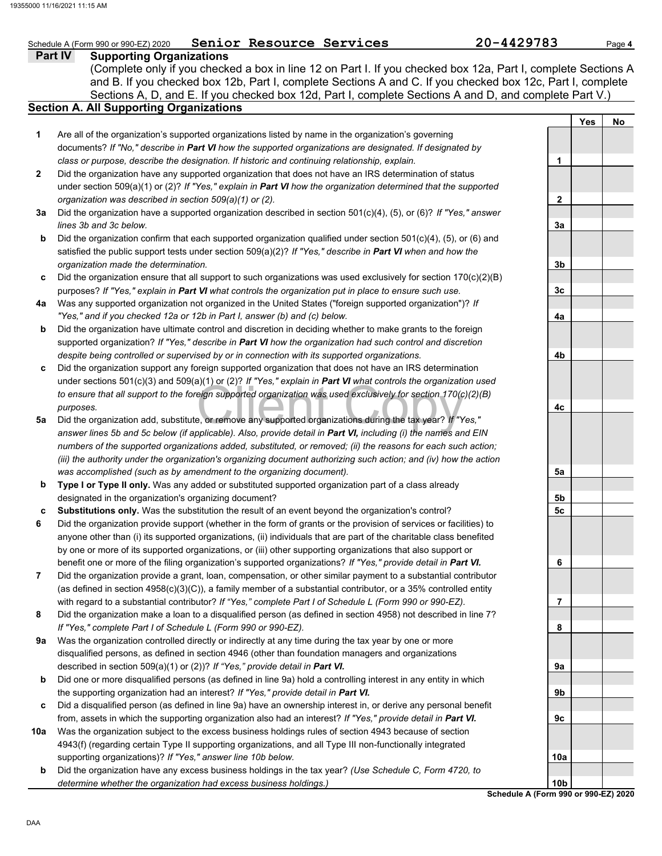#### eign supported organization was used exclusively for section 170(c)<br>eign supported organization was used exclusively for section 170(c)<br>e. or remove any supported organizations during the tax year? If "Y **Part IV Supporting Organizations** Sections A, D, and E. If you checked box 12d, Part I, complete Sections A and D, and complete Part V.) Schedule A (Form 990 or 990-EZ) 2020 **Senior Resource Services** 20-4429783 Page 4 **Section A. All Supporting Organizations** (Complete only if you checked a box in line 12 on Part I. If you checked box 12a, Part I, complete Sections A and B. If you checked box 12b, Part I, complete Sections A and C. If you checked box 12c, Part I, complete Are all of the organization's supported organizations listed by name in the organization's governing documents? *If "No," describe in Part VI how the supported organizations are designated. If designated by class or purpose, describe the designation. If historic and continuing relationship, explain.* Did the organization have any supported organization that does not have an IRS determination of status under section 509(a)(1) or (2)? *If "Yes," explain in Part VI how the organization determined that the supported organization was described in section 509(a)(1) or (2).* **1 2 3a** Did the organization have a supported organization described in section 501(c)(4), (5), or (6)? *If "Yes," answer* **b c** Did the organization ensure that all support to such organizations was used exclusively for section 170(c)(2)(B) **4a** Was any supported organization not organized in the United States ("foreign supported organization")? *If* **b c** Did the organization support any foreign supported organization that does not have an IRS determination **5a** Did the organization add, substitute, or remove any supported organizations during the tax year? *If "Yes,"* **b c 6 7 8 9a b c** Did a disqualified person (as defined in line 9a) have an ownership interest in, or derive any personal benefit **10a b** *lines 3b and 3c below.* Did the organization confirm that each supported organization qualified under section  $501(c)(4)$ , (5), or (6) and satisfied the public support tests under section 509(a)(2)? *If "Yes," describe in Part VI when and how the organization made the determination.* purposes? *If "Yes," explain in Part VI what controls the organization put in place to ensure such use. "Yes," and if you checked 12a or 12b in Part I, answer (b) and (c) below.* Did the organization have ultimate control and discretion in deciding whether to make grants to the foreign supported organization? *If "Yes," describe in Part VI how the organization had such control and discretion despite being controlled or supervised by or in connection with its supported organizations.* under sections 501(c)(3) and 509(a)(1) or (2)? *If "Yes," explain in Part VI what controls the organization used to ensure that all support to the foreign supported organization was used exclusively for section 170(c)(2)(B) purposes. answer lines 5b and 5c below (if applicable). Also, provide detail in Part VI, including (i) the names and EIN numbers of the supported organizations added, substituted, or removed; (ii) the reasons for each such action; (iii) the authority under the organization's organizing document authorizing such action; and (iv) how the action was accomplished (such as by amendment to the organizing document).* **Type I or Type II only.** Was any added or substituted supported organization part of a class already designated in the organization's organizing document? **Substitutions only.** Was the substitution the result of an event beyond the organization's control? Did the organization provide support (whether in the form of grants or the provision of services or facilities) to anyone other than (i) its supported organizations, (ii) individuals that are part of the charitable class benefited by one or more of its supported organizations, or (iii) other supporting organizations that also support or benefit one or more of the filing organization's supported organizations? *If "Yes," provide detail in Part VI.* Did the organization provide a grant, loan, compensation, or other similar payment to a substantial contributor (as defined in section 4958(c)(3)(C)), a family member of a substantial contributor, or a 35% controlled entity with regard to a substantial contributor? *If "Yes," complete Part I of Schedule L (Form 990 or 990-EZ).* Did the organization make a loan to a disqualified person (as defined in section 4958) not described in line 7? *If "Yes," complete Part I of Schedule L (Form 990 or 990-EZ).* Was the organization controlled directly or indirectly at any time during the tax year by one or more disqualified persons, as defined in section 4946 (other than foundation managers and organizations described in section 509(a)(1) or (2))? *If "Yes," provide detail in Part VI.* Did one or more disqualified persons (as defined in line 9a) hold a controlling interest in any entity in which the supporting organization had an interest? *If "Yes," provide detail in Part VI.* from, assets in which the supporting organization also had an interest? *If "Yes," provide detail in Part VI.* Was the organization subject to the excess business holdings rules of section 4943 because of section 4943(f) (regarding certain Type II supporting organizations, and all Type III non-functionally integrated supporting organizations)? *If "Yes," answer line 10b below.* Did the organization have any excess business holdings in the tax year? *(Use Schedule C, Form 4720, to determine whether the organization had excess business holdings.)* **Yes No 1 2 3a 3b 3c 4a 4b 4c 5a 5b 5c 6 7 8 9a 9b 9c 10a 10b**

**Schedule A (Form 990 or 990-EZ) 2020**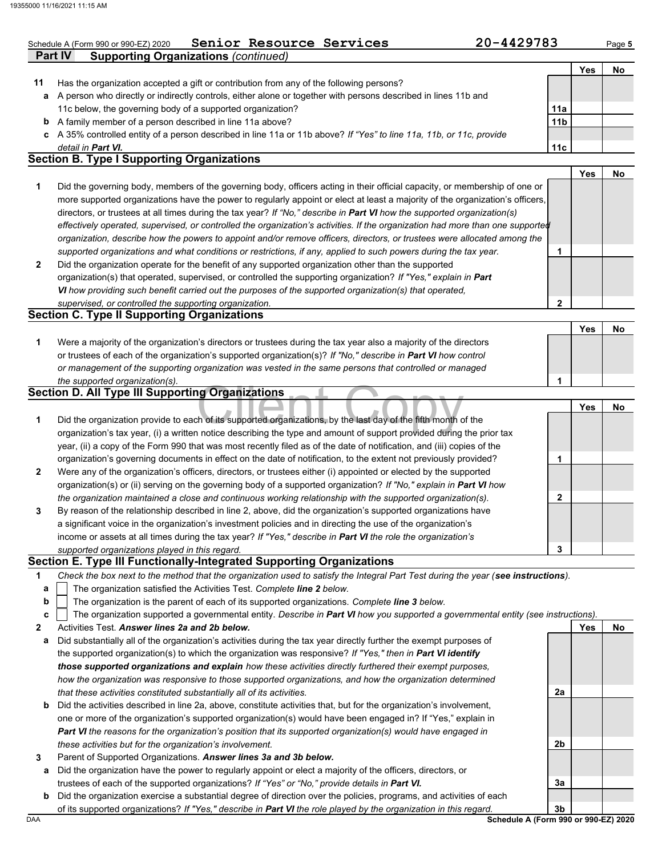|                | Senior Resource Services<br>Schedule A (Form 990 or 990-EZ) 2020                                                     | 20-4429783      |     | Page 5 |
|----------------|----------------------------------------------------------------------------------------------------------------------|-----------------|-----|--------|
| <b>Part IV</b> | <b>Supporting Organizations (continued)</b>                                                                          |                 |     |        |
|                |                                                                                                                      |                 | Yes | No     |
| 11             | Has the organization accepted a gift or contribution from any of the following persons?                              |                 |     |        |
|                | a A person who directly or indirectly controls, either alone or together with persons described in lines 11b and     |                 |     |        |
|                | 11c below, the governing body of a supported organization?                                                           | 11a             |     |        |
| b              | A family member of a person described in line 11a above?                                                             | 11 <sub>b</sub> |     |        |
|                | c A 35% controlled entity of a person described in line 11a or 11b above? If "Yes" to line 11a, 11b, or 11c, provide |                 |     |        |
|                | detail in <b>Part VI</b> .                                                                                           | 11c             |     |        |

| detail in <b>Part VI</b> . |  |  |
|----------------------------|--|--|
|                            |  |  |

### **Section B. Type I Supporting Organizations**

|                |                                                                                                                                | 155 | IVV |
|----------------|--------------------------------------------------------------------------------------------------------------------------------|-----|-----|
|                | Did the governing body, members of the governing body, officers acting in their official capacity, or membership of one or     |     |     |
|                | more supported organizations have the power to regularly appoint or elect at least a majority of the organization's officers,  |     |     |
|                | directors, or trustees at all times during the tax year? If "No," describe in Part VI how the supported organization(s)        |     |     |
|                | effectively operated, supervised, or controlled the organization's activities. If the organization had more than one supported |     |     |
|                | organization, describe how the powers to appoint and/or remove officers, directors, or trustees were allocated among the       |     |     |
|                | supported organizations and what conditions or restrictions, if any, applied to such powers during the tax year.               |     |     |
| $\overline{2}$ | Did the organization operate for the benefit of any supported organization other than the supported                            |     |     |
|                | organization(s) that operated, supervised, or controlled the supporting organization? If "Yes," explain in Part                |     |     |
|                | VI how providing such benefit carried out the purposes of the supported organization(s) that operated,                         |     |     |

#### *supervised, or controlled the supporting organization.* **Section C. Type II Supporting Organizations**

| Were a majority of the organization's directors or trustees during the tax year also a majority of the directors |  |  |
|------------------------------------------------------------------------------------------------------------------|--|--|
| or trustees of each of the organization's supported organization(s)? If "No," describe in Part VI how control    |  |  |
| or management of the supporting organization was vested in the same persons that controlled or managed           |  |  |
| the supported organization(s).                                                                                   |  |  |

## **Section D. All Type III Supporting Organizations**

|                | <i>the supported organization</i> s).                                                                                  |     |     |
|----------------|------------------------------------------------------------------------------------------------------------------------|-----|-----|
|                | <b>Section D. All Type III Supporting Organizations</b>                                                                |     |     |
|                |                                                                                                                        | Yes | No. |
|                | Did the organization provide to each of its supported organizations, by the last day of the fifth month of the         |     |     |
|                | organization's tax year, (i) a written notice describing the type and amount of support provided during the prior tax  |     |     |
|                | year, (ii) a copy of the Form 990 that was most recently filed as of the date of notification, and (iii) copies of the |     |     |
|                | organization's governing documents in effect on the date of notification, to the extent not previously provided?       |     |     |
| $\overline{2}$ | Were any of the organization's officers, directors, or trustees either (i) appointed or elected by the supported       |     |     |
|                | organization(s) or (ii) serving on the governing body of a supported organization? If "No," explain in Part VI how     |     |     |
|                | the organization maintained a close and continuous working relationship with the supported organization(s).            |     |     |
| 3              | By reason of the relationship described in line 2, above, did the organization's supported organizations have          |     |     |
|                | a significant voice in the organization's investment policies and in directing the use of the organization's           |     |     |
|                | income or assets at all times during the tax year? If "Yes," describe in Part VI the role the organization's           |     |     |
|                | supported organizations played in this regard.                                                                         |     |     |

#### **Section E. Type III Functionally-Integrated Supporting Organizations**

| Check the box next to the method that the organization used to satisfy the Integral Part Test during the year (see instructions). |  |
|-----------------------------------------------------------------------------------------------------------------------------------|--|

- The organization satisfied the Activities Test. *Complete line 2 below.* **a**
- The organization is the parent of each of its supported organizations. *Complete line 3 below.* **b**

|  | c $\vert$ The organization supported a governmental entity. Describe in Part VI how you supported a governmental entity (see instructions). |
|--|---------------------------------------------------------------------------------------------------------------------------------------------|
|  |                                                                                                                                             |

- **2** Activities Test. *Answer lines 2a and 2b below.*
- **a** Did substantially all of the organization's activities during the tax year directly further the exempt purposes of the supported organization(s) to which the organization was responsive? *If "Yes," then in Part VI identify those supported organizations and explain how these activities directly furthered their exempt purposes, how the organization was responsive to those supported organizations, and how the organization determined that these activities constituted substantially all of its activities.*
- **b** Did the activities described in line 2a, above, constitute activities that, but for the organization's involvement, one or more of the organization's supported organization(s) would have been engaged in? If "Yes," explain in *Part VI the reasons for the organization's position that its supported organization(s) would have engaged in these activities but for the organization's involvement.*
- **3** Parent of Supported Organizations. *Answer lines 3a and 3b below.*
- **a** Did the organization have the power to regularly appoint or elect a majority of the officers, directors, or trustees of each of the supported organizations? *If "Yes" or "No," provide details in Part VI.*
- **b** Did the organization exercise a substantial degree of direction over the policies, programs, and activities of each of its supported organizations? *If "Yes," describe in Part VI the role played by the organization in this regard.*

**3a**

**2a**

**2b**

**Yes No**

**2**

**Yes No**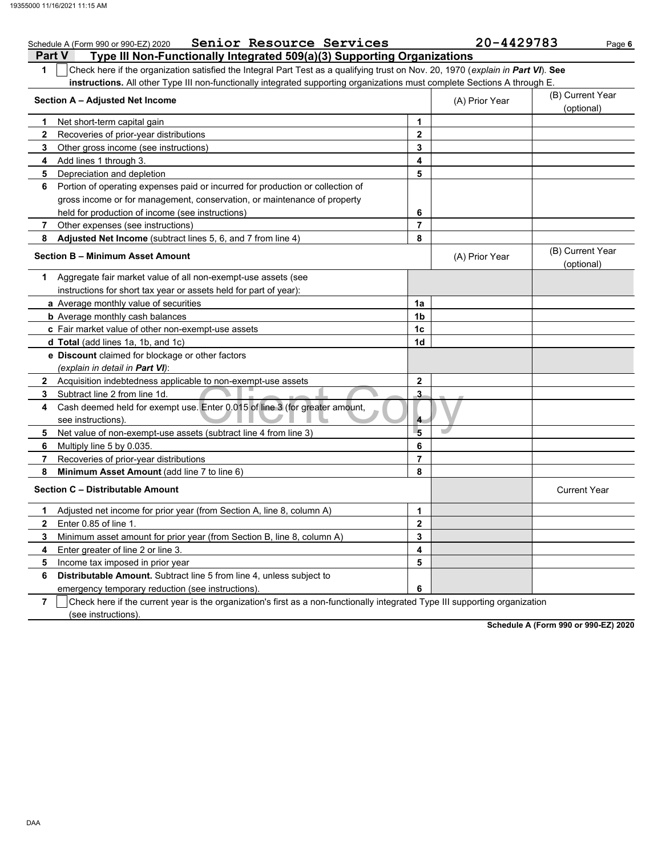|                | Senior Resource Services<br>Schedule A (Form 990 or 990-EZ) 2020                                                                 |                         | 20-4429783     | Page 6                         |
|----------------|----------------------------------------------------------------------------------------------------------------------------------|-------------------------|----------------|--------------------------------|
| <b>Part V</b>  | Type III Non-Functionally Integrated 509(a)(3) Supporting Organizations                                                          |                         |                |                                |
| 1              | Check here if the organization satisfied the Integral Part Test as a qualifying trust on Nov. 20, 1970 (explain in Part VI). See |                         |                |                                |
|                | instructions. All other Type III non-functionally integrated supporting organizations must complete Sections A through E.        |                         |                |                                |
|                | Section A - Adjusted Net Income                                                                                                  |                         | (A) Prior Year | (B) Current Year               |
|                |                                                                                                                                  |                         |                | (optional)                     |
| 1.             | Net short-term capital gain                                                                                                      | 1                       |                |                                |
| $\mathbf{2}$   | Recoveries of prior-year distributions                                                                                           | $\overline{\mathbf{2}}$ |                |                                |
| 3              | Other gross income (see instructions)                                                                                            | 3                       |                |                                |
| 4              | Add lines 1 through 3.                                                                                                           | $\overline{\mathbf{4}}$ |                |                                |
| 5              | Depreciation and depletion                                                                                                       | 5                       |                |                                |
| 6              | Portion of operating expenses paid or incurred for production or collection of                                                   |                         |                |                                |
|                | gross income or for management, conservation, or maintenance of property                                                         |                         |                |                                |
|                | held for production of income (see instructions)                                                                                 | 6                       |                |                                |
| 7              | Other expenses (see instructions)                                                                                                | $\overline{7}$          |                |                                |
| 8              | Adjusted Net Income (subtract lines 5, 6, and 7 from line 4)                                                                     | 8                       |                |                                |
|                | <b>Section B - Minimum Asset Amount</b>                                                                                          |                         | (A) Prior Year | (B) Current Year<br>(optional) |
| 1.             | Aggregate fair market value of all non-exempt-use assets (see                                                                    |                         |                |                                |
|                | instructions for short tax year or assets held for part of year):                                                                |                         |                |                                |
|                | a Average monthly value of securities                                                                                            | 1a                      |                |                                |
|                | <b>b</b> Average monthly cash balances                                                                                           | 1 <sub>b</sub>          |                |                                |
|                | c Fair market value of other non-exempt-use assets                                                                               | 1 <sub>c</sub>          |                |                                |
|                | d Total (add lines 1a, 1b, and 1c)                                                                                               | 1 <sub>d</sub>          |                |                                |
|                | e Discount claimed for blockage or other factors                                                                                 |                         |                |                                |
|                | (explain in detail in Part VI):                                                                                                  |                         |                |                                |
| $\mathbf{2}$   | Acquisition indebtedness applicable to non-exempt-use assets                                                                     | $\mathbf 2$             |                |                                |
| 3              | Subtract line 2 from line 1d.                                                                                                    | $\overline{\mathbf{3}}$ |                |                                |
| 4              | Cash deemed held for exempt use. Enter 0.015 of line 3 (for greater amount,<br>see instructions).                                |                         |                |                                |
| 5              | Net value of non-exempt-use assets (subtract line 4 from line 3)                                                                 | $-5$                    |                |                                |
| 6              | Multiply line 5 by 0.035.                                                                                                        | 6                       |                |                                |
| 7              | Recoveries of prior-year distributions                                                                                           | $\overline{7}$          |                |                                |
| 8              | Minimum Asset Amount (add line 7 to line 6)                                                                                      | 8                       |                |                                |
|                | Section C - Distributable Amount                                                                                                 |                         |                | <b>Current Year</b>            |
| 1.             | Adjusted net income for prior year (from Section A, line 8, column A)                                                            | 1                       |                |                                |
| $\mathbf{2}$   | Enter 0.85 of line 1.                                                                                                            | $\overline{\mathbf{2}}$ |                |                                |
| 3              | Minimum asset amount for prior year (from Section B, line 8, column A)                                                           | 3                       |                |                                |
| 4              | Enter greater of line 2 or line 3.                                                                                               | 4                       |                |                                |
| 5              | Income tax imposed in prior year                                                                                                 | 5                       |                |                                |
| 6              | Distributable Amount. Subtract line 5 from line 4, unless subject to                                                             |                         |                |                                |
|                | emergency temporary reduction (see instructions).                                                                                | 6                       |                |                                |
| $\overline{7}$ | Check here if the current year is the organization's first as a non-functionally integrated Type III supporting organization     |                         |                |                                |

(see instructions).

**Schedule A (Form 990 or 990-EZ) 2020**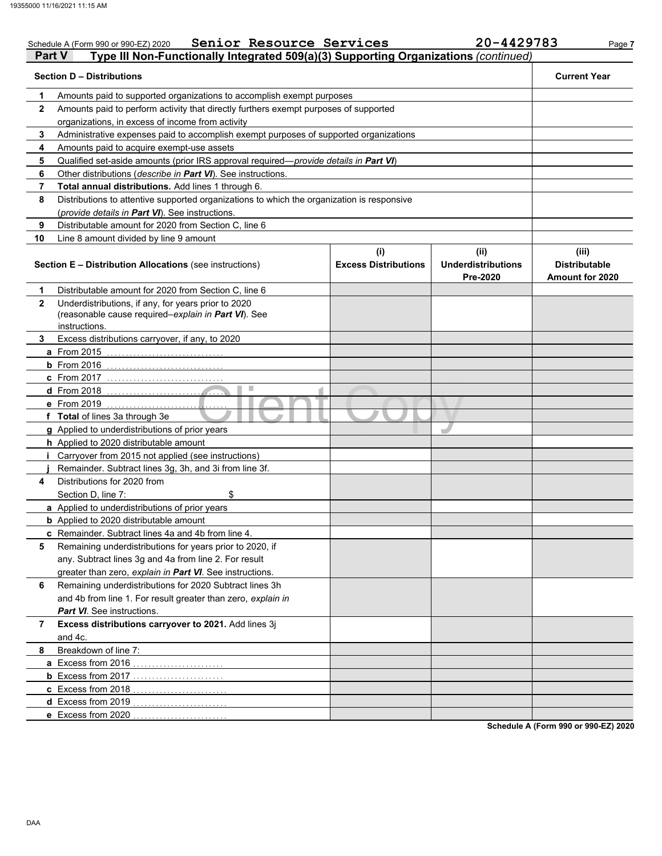|              | Senior Resource Services<br>Schedule A (Form 990 or 990-EZ) 2020                                                            |                                    | 20-4429783                                    | Page 7                                           |
|--------------|-----------------------------------------------------------------------------------------------------------------------------|------------------------------------|-----------------------------------------------|--------------------------------------------------|
| Part V       | Type III Non-Functionally Integrated 509(a)(3) Supporting Organizations (continued)                                         |                                    |                                               |                                                  |
|              | <b>Section D - Distributions</b>                                                                                            |                                    |                                               | <b>Current Year</b>                              |
| 1            | Amounts paid to supported organizations to accomplish exempt purposes                                                       |                                    |                                               |                                                  |
| $\mathbf{2}$ | Amounts paid to perform activity that directly furthers exempt purposes of supported                                        |                                    |                                               |                                                  |
|              | organizations, in excess of income from activity                                                                            |                                    |                                               |                                                  |
| 3            | Administrative expenses paid to accomplish exempt purposes of supported organizations                                       |                                    |                                               |                                                  |
| 4            | Amounts paid to acquire exempt-use assets                                                                                   |                                    |                                               |                                                  |
| 5            | Qualified set-aside amounts (prior IRS approval required-provide details in Part VI)                                        |                                    |                                               |                                                  |
| 6            | Other distributions (describe in Part VI). See instructions.                                                                |                                    |                                               |                                                  |
| 7            | Total annual distributions. Add lines 1 through 6.                                                                          |                                    |                                               |                                                  |
| 8            | Distributions to attentive supported organizations to which the organization is responsive                                  |                                    |                                               |                                                  |
|              | (provide details in Part VI). See instructions.                                                                             |                                    |                                               |                                                  |
| 9            | Distributable amount for 2020 from Section C, line 6                                                                        |                                    |                                               |                                                  |
| 10           | Line 8 amount divided by line 9 amount                                                                                      |                                    |                                               |                                                  |
|              | <b>Section E - Distribution Allocations (see instructions)</b>                                                              | (i)<br><b>Excess Distributions</b> | (ii)<br><b>Underdistributions</b><br>Pre-2020 | (iii)<br><b>Distributable</b><br>Amount for 2020 |
| 1            | Distributable amount for 2020 from Section C, line 6                                                                        |                                    |                                               |                                                  |
| $\mathbf{2}$ | Underdistributions, if any, for years prior to 2020<br>(reasonable cause required-explain in Part VI). See<br>instructions. |                                    |                                               |                                                  |
| 3            | Excess distributions carryover, if any, to 2020                                                                             |                                    |                                               |                                                  |
|              | a From 2015                                                                                                                 |                                    |                                               |                                                  |
|              | $b$ From 2016                                                                                                               |                                    |                                               |                                                  |
|              | c From 2017                                                                                                                 |                                    |                                               |                                                  |
|              | ш<br>d From 2018                                                                                                            |                                    |                                               |                                                  |
|              | .<br>e From 2019                                                                                                            |                                    |                                               |                                                  |
|              | f Total of lines 3a through 3e                                                                                              |                                    |                                               |                                                  |
|              | g Applied to underdistributions of prior years                                                                              |                                    |                                               |                                                  |
|              | h Applied to 2020 distributable amount                                                                                      |                                    |                                               |                                                  |
|              | Carryover from 2015 not applied (see instructions)                                                                          |                                    |                                               |                                                  |
|              | Remainder. Subtract lines 3g, 3h, and 3i from line 3f.                                                                      |                                    |                                               |                                                  |
| 4            | Distributions for 2020 from                                                                                                 |                                    |                                               |                                                  |
|              | Section D, line 7:<br>\$                                                                                                    |                                    |                                               |                                                  |
|              | a Applied to underdistributions of prior years                                                                              |                                    |                                               |                                                  |
|              | <b>b</b> Applied to 2020 distributable amount                                                                               |                                    |                                               |                                                  |
|              | c Remainder. Subtract lines 4a and 4b from line 4.                                                                          |                                    |                                               |                                                  |
| 5            | Remaining underdistributions for years prior to 2020, if                                                                    |                                    |                                               |                                                  |
|              | any. Subtract lines 3g and 4a from line 2. For result                                                                       |                                    |                                               |                                                  |
|              | greater than zero, explain in Part VI. See instructions.                                                                    |                                    |                                               |                                                  |
| 6            | Remaining underdistributions for 2020 Subtract lines 3h                                                                     |                                    |                                               |                                                  |
|              | and 4b from line 1. For result greater than zero, explain in                                                                |                                    |                                               |                                                  |
|              | Part VI. See instructions.                                                                                                  |                                    |                                               |                                                  |
|              |                                                                                                                             |                                    |                                               |                                                  |
| 7            | Excess distributions carryover to 2021. Add lines 3j<br>and 4c.                                                             |                                    |                                               |                                                  |
| 8            | Breakdown of line 7:                                                                                                        |                                    |                                               |                                                  |
|              | a Excess from 2016                                                                                                          |                                    |                                               |                                                  |
|              | .                                                                                                                           |                                    |                                               |                                                  |
|              | <b>b</b> Excess from 2017                                                                                                   |                                    |                                               |                                                  |
|              | c Excess from 2018<br>d Excess from 2019.                                                                                   |                                    |                                               |                                                  |
|              |                                                                                                                             |                                    |                                               |                                                  |
|              | e Excess from 2020                                                                                                          |                                    |                                               |                                                  |

**Schedule A (Form 990 or 990-EZ) 2020**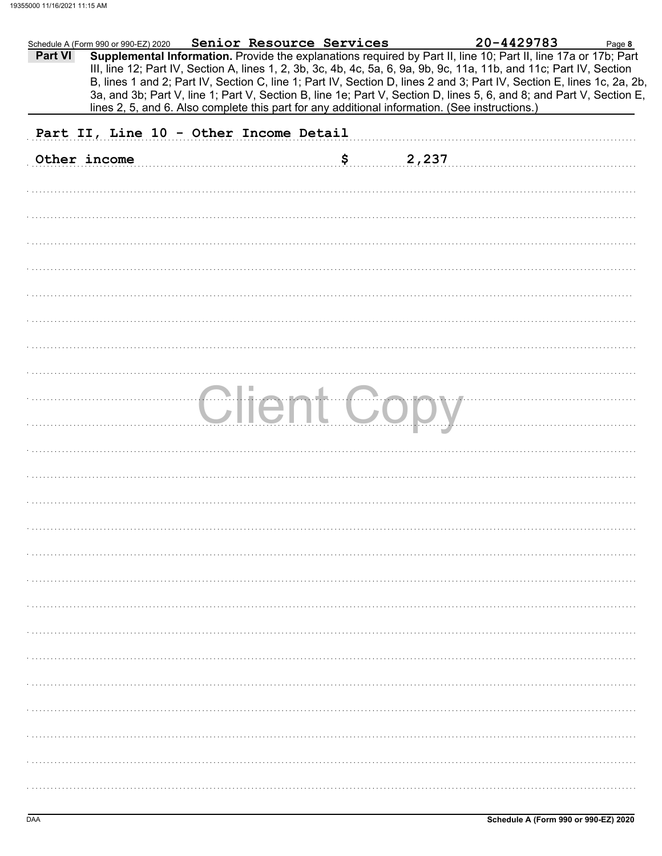|         | Schedule A (Form 990 or 990-EZ) 2020 Senior Resource Services |                   | 20-4429783                                                                                                                                                                                                                                                                                                                                                        | Page 8 |
|---------|---------------------------------------------------------------|-------------------|-------------------------------------------------------------------------------------------------------------------------------------------------------------------------------------------------------------------------------------------------------------------------------------------------------------------------------------------------------------------|--------|
| Part VI |                                                               |                   | Supplemental Information. Provide the explanations required by Part II, line 10; Part II, line 17a or 17b; Part<br>III, line 12; Part IV, Section A, lines 1, 2, 3b, 3c, 4b, 4c, 5a, 6, 9a, 9b, 9c, 11a, 11b, and 11c; Part IV, Section<br>B, lines 1 and 2; Part IV, Section C, line 1; Part IV, Section D, lines 2 and 3; Part IV, Section E, lines 1c, 2a, 2b, |        |
|         |                                                               |                   | 3a, and 3b; Part V, line 1; Part V, Section B, line 1e; Part V, Section D, lines 5, 6, and 8; and Part V, Section E,<br>lines 2, 5, and 6. Also complete this part for any additional information. (See instructions.)                                                                                                                                            |        |
|         | Part II, Line 10 - Other Income Detail                        |                   |                                                                                                                                                                                                                                                                                                                                                                   |        |
|         | Other income                                                  |                   | \$<br>2,237                                                                                                                                                                                                                                                                                                                                                       |        |
|         |                                                               |                   |                                                                                                                                                                                                                                                                                                                                                                   |        |
|         |                                                               |                   |                                                                                                                                                                                                                                                                                                                                                                   |        |
|         |                                                               |                   |                                                                                                                                                                                                                                                                                                                                                                   |        |
|         |                                                               |                   |                                                                                                                                                                                                                                                                                                                                                                   |        |
|         |                                                               |                   |                                                                                                                                                                                                                                                                                                                                                                   |        |
|         |                                                               |                   |                                                                                                                                                                                                                                                                                                                                                                   |        |
|         |                                                               |                   |                                                                                                                                                                                                                                                                                                                                                                   |        |
|         |                                                               | <b>Client Cop</b> | $\mathbf{V}$                                                                                                                                                                                                                                                                                                                                                      |        |
|         |                                                               |                   |                                                                                                                                                                                                                                                                                                                                                                   |        |
|         |                                                               |                   |                                                                                                                                                                                                                                                                                                                                                                   |        |
|         |                                                               |                   |                                                                                                                                                                                                                                                                                                                                                                   |        |
|         |                                                               |                   |                                                                                                                                                                                                                                                                                                                                                                   |        |
|         |                                                               |                   |                                                                                                                                                                                                                                                                                                                                                                   |        |
|         |                                                               |                   |                                                                                                                                                                                                                                                                                                                                                                   |        |
|         |                                                               |                   |                                                                                                                                                                                                                                                                                                                                                                   |        |
|         |                                                               |                   |                                                                                                                                                                                                                                                                                                                                                                   |        |
|         |                                                               |                   |                                                                                                                                                                                                                                                                                                                                                                   |        |
|         |                                                               |                   |                                                                                                                                                                                                                                                                                                                                                                   |        |
|         |                                                               |                   |                                                                                                                                                                                                                                                                                                                                                                   |        |
|         |                                                               |                   |                                                                                                                                                                                                                                                                                                                                                                   |        |
|         |                                                               |                   |                                                                                                                                                                                                                                                                                                                                                                   |        |
|         |                                                               |                   |                                                                                                                                                                                                                                                                                                                                                                   |        |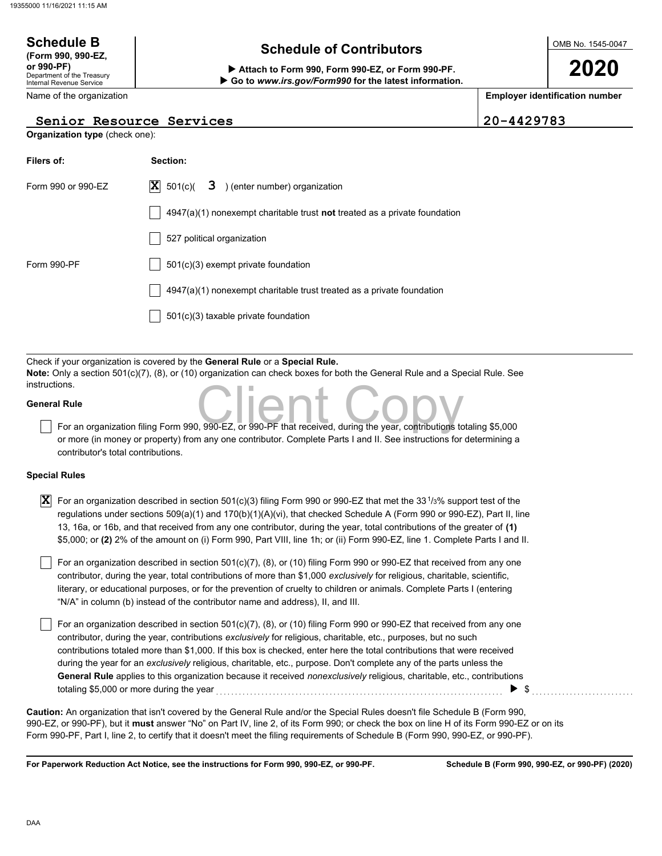**(Form 990, 990-EZ,**

# **Schedule of Contributors Schedule B**

**or 990-PF) Attach to Form 990, Form 990-EZ, or Form 990-PF. Go to** *www.irs.gov/Form990* **for the latest information.** OMB No. 1545-0047

**2020**

**Employer identification number**

**Senior Resource Services 20-4429783**

| Department of the Treasury<br>Internal Revenue Service |                    |
|--------------------------------------------------------|--------------------|
| Name of the organization                               |                    |
| Senior Resource Servic                                 |                    |
| <b>Organization type (check one):</b>                  |                    |
| Filers of:                                             | Section:           |
| Form 990 or 990-EZ                                     | X<br>501(c)<br>- 3 |
|                                                        |                    |

|  | $(c)$ $(3)$ (enter number) organization |
|--|-----------------------------------------|
|  |                                         |

4947(a)(1) nonexempt charitable trust **not** treated as a private foundation

|  |  | 527 political organization |
|--|--|----------------------------|
|--|--|----------------------------|

|  |  | $\boxed{\phantom{1}}$ 501(c)(3) exempt private foundation |
|--|--|-----------------------------------------------------------|
|--|--|-----------------------------------------------------------|

4947(a)(1) nonexempt charitable trust treated as a private foundation

501(c)(3) taxable private foundation

Check if your organization is covered by the **General Rule** or a **Special Rule. Note:** Only a section 501(c)(7), (8), or (10) organization can check boxes for both the General Rule and a Special Rule. See instructions.

#### **General Rule**

Form 990-PF

ons.<br>For an organization filing Form 990, 990-EZ, or 990-PF that received, during the year, contributions totaling \$5,000 or more (in money or property) from any one contributor. Complete Parts I and II. See instructions for determining a contributor's total contributions.

#### **Special Rules**

| $\overline{X}$ For an organization described in section 501(c)(3) filing Form 990 or 990-EZ that met the 331/3% support test of the |
|-------------------------------------------------------------------------------------------------------------------------------------|
| regulations under sections 509(a)(1) and 170(b)(1)(A)(vi), that checked Schedule A (Form 990 or 990-EZ), Part II, line              |
| 13, 16a, or 16b, and that received from any one contributor, during the year, total contributions of the greater of (1)             |
| \$5,000; or (2) 2% of the amount on (i) Form 990, Part VIII, line 1h; or (ii) Form 990-EZ, line 1. Complete Parts I and II.         |

literary, or educational purposes, or for the prevention of cruelty to children or animals. Complete Parts I (entering For an organization described in section 501(c)(7), (8), or (10) filing Form 990 or 990-EZ that received from any one contributor, during the year, total contributions of more than \$1,000 *exclusively* for religious, charitable, scientific, "N/A" in column (b) instead of the contributor name and address), II, and III.

For an organization described in section 501(c)(7), (8), or (10) filing Form 990 or 990-EZ that received from any one contributor, during the year, contributions *exclusively* for religious, charitable, etc., purposes, but no such contributions totaled more than \$1,000. If this box is checked, enter here the total contributions that were received during the year for an *exclusively* religious, charitable, etc., purpose. Don't complete any of the parts unless the **General Rule** applies to this organization because it received *nonexclusively* religious, charitable, etc., contributions totaling \$5,000 or more during the year  $\ldots$  and  $\ldots$  are set all  $\qquad \qquad$   $\qquad$  \$

990-EZ, or 990-PF), but it **must** answer "No" on Part IV, line 2, of its Form 990; or check the box on line H of its Form 990-EZ or on its Form 990-PF, Part I, line 2, to certify that it doesn't meet the filing requirements of Schedule B (Form 990, 990-EZ, or 990-PF). **Caution:** An organization that isn't covered by the General Rule and/or the Special Rules doesn't file Schedule B (Form 990,

**For Paperwork Reduction Act Notice, see the instructions for Form 990, 990-EZ, or 990-PF.**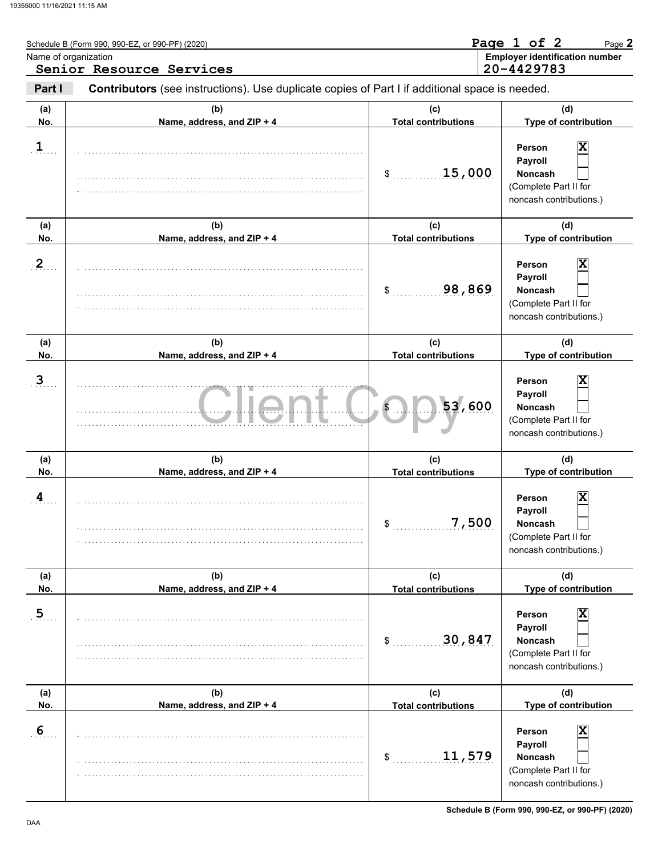| Name of organization | Schedule B (Form 990, 990-EZ, or 990-PF) (2020)<br>Senior Resource Services                    |                                   | Page 1 of 2<br>Page 2<br><b>Employer identification number</b><br>20-4429783            |  |
|----------------------|------------------------------------------------------------------------------------------------|-----------------------------------|-----------------------------------------------------------------------------------------|--|
| Part I               | Contributors (see instructions). Use duplicate copies of Part I if additional space is needed. |                                   |                                                                                         |  |
| (a)<br>No.           | (b)<br>Name, address, and ZIP + 4                                                              | (c)<br><b>Total contributions</b> | (d)<br>Type of contribution                                                             |  |
| $\overline{1}$       |                                                                                                | 15,000<br>\$                      | Person<br>Payroll<br>Noncash<br>(Complete Part II for<br>noncash contributions.)        |  |
| (a)<br>No.           | (b)<br>Name, address, and ZIP + 4                                                              | (c)<br><b>Total contributions</b> | (d)<br>Type of contribution                                                             |  |
| $\overline{2}$       |                                                                                                | 98,869<br>\$                      | Person<br>Payroll<br><b>Noncash</b><br>(Complete Part II for<br>noncash contributions.) |  |
| (a)<br>No.           | (b)<br>Name, address, and ZIP + 4                                                              | (c)<br><b>Total contributions</b> | (d)<br>Type of contribution                                                             |  |
| $\mathbf{3}$         |                                                                                                | 53,600                            | Person<br>Payroll<br><b>Noncash</b><br>(Complete Part II for<br>noncash contributions.) |  |
| (a)<br>No.           | (b)<br>Name, address, and ZIP + 4                                                              | (c)<br><b>Total contributions</b> | (d)<br>Type of contribution                                                             |  |
| 4                    |                                                                                                | <u>7,500</u><br>\$                | X<br>Person<br>Payroll<br>Noncash<br>(Complete Part II for<br>noncash contributions.)   |  |
| (a)<br>No.           | (b)<br>Name, address, and ZIP + 4                                                              | (c)<br><b>Total contributions</b> | (d)<br>Type of contribution                                                             |  |
| $\overline{5}$       |                                                                                                | 30,847<br>\$                      | Person<br>Payroll<br>Noncash<br>(Complete Part II for<br>noncash contributions.)        |  |
| (a)<br>No.           | (b)<br>Name, address, and ZIP + 4                                                              | (c)<br><b>Total contributions</b> | (d)<br>Type of contribution                                                             |  |
| 6                    |                                                                                                | 11,579<br>\$                      | X<br>Person<br>Payroll<br>Noncash<br>(Complete Part II for<br>noncash contributions.)   |  |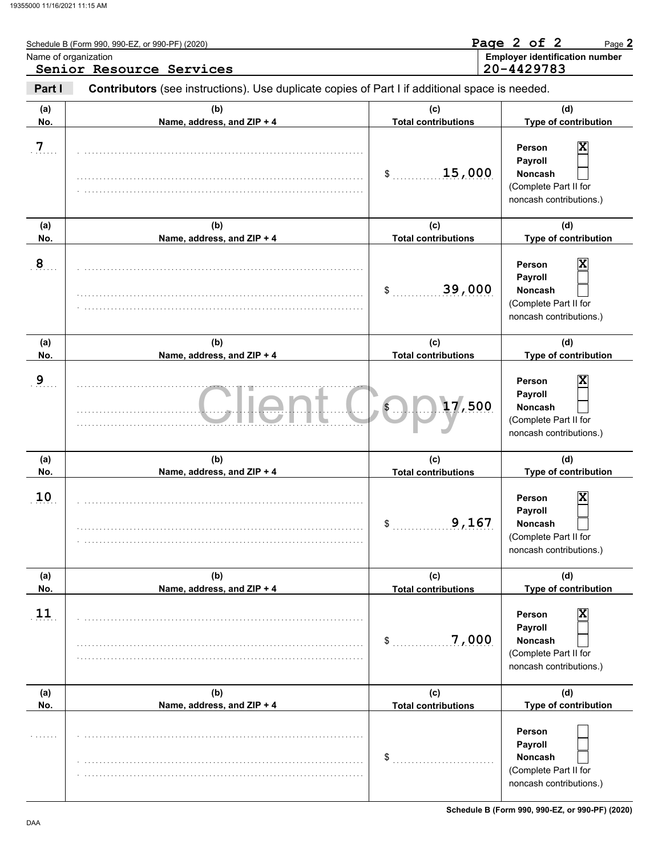| Name of organization | Schedule B (Form 990, 990-EZ, or 990-PF) (2020)<br>Senior Resource Services                    |                                   | Page 2 of 2<br>Page 2<br><b>Employer identification number</b><br>20-4429783                 |
|----------------------|------------------------------------------------------------------------------------------------|-----------------------------------|----------------------------------------------------------------------------------------------|
| Part I               | Contributors (see instructions). Use duplicate copies of Part I if additional space is needed. |                                   |                                                                                              |
| (a)<br>No.           | (b)<br>Name, address, and ZIP + 4                                                              | (c)<br><b>Total contributions</b> | (d)<br>Type of contribution                                                                  |
| 7                    |                                                                                                | 15,000<br>\$                      | X<br>Person<br>Payroll<br>Noncash<br>(Complete Part II for<br>noncash contributions.)        |
| (a)<br>No.           | (b)<br>Name, address, and ZIP + 4                                                              | (c)<br><b>Total contributions</b> | (d)<br>Type of contribution                                                                  |
| $\overline{8}$       |                                                                                                | 39,000<br>\$                      | X<br>Person<br>Payroll<br>Noncash<br>(Complete Part II for<br>noncash contributions.)        |
| (a)<br>No.           | (b)<br>Name, address, and ZIP + 4                                                              | (c)<br><b>Total contributions</b> | (d)<br>Type of contribution                                                                  |
| $\mathbf{9}$         |                                                                                                | 17,500                            | X<br>Person<br>Payroll<br><b>Noncash</b><br>(Complete Part II for<br>noncash contributions.) |
| (a)<br>No.           | (b)<br>Name, address, and ZIP + 4                                                              | (c)<br><b>Total contributions</b> | (d)<br>Type of contribution                                                                  |
| 10                   |                                                                                                | 9,167<br>\$                       | X<br>Person<br>Payroll<br>Noncash<br>(Complete Part II for<br>noncash contributions.)        |
| (a)<br>No.           | (b)<br>Name, address, and ZIP + 4                                                              | (c)<br><b>Total contributions</b> | (d)<br>Type of contribution                                                                  |
| 11                   |                                                                                                | 7,000<br>\$                       | Person<br>Payroll<br><b>Noncash</b><br>(Complete Part II for<br>noncash contributions.)      |
| (a)<br>No.           | (b)<br>Name, address, and ZIP + 4                                                              | (c)<br><b>Total contributions</b> | (d)<br>Type of contribution                                                                  |
|                      |                                                                                                | \$                                | Person<br>Payroll<br>Noncash<br>(Complete Part II for<br>noncash contributions.)             |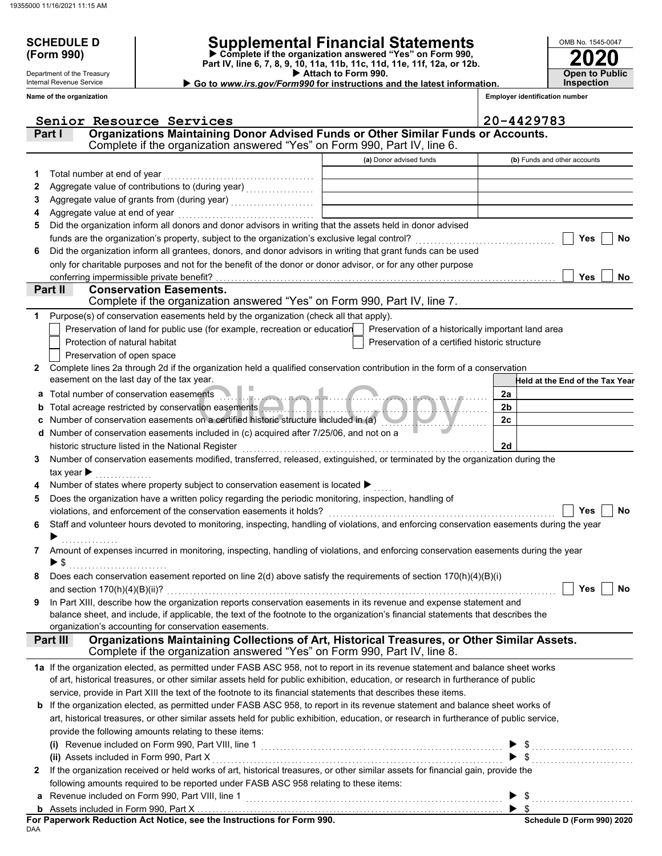Department of the Treasury Internal Revenue Service

# **SCHEDULE D Supplemental Financial Statements**

 **Attach to Form 990. (Form 990) Part IV, line 6, 7, 8, 9, 10, 11a, 11b, 11c, 11d, 11e, 11f, 12a, or 12b. Complete if the organization answered "Yes" on Form 990,**

 **Go to** *www.irs.gov/Form990* **for instructions and the latest information.**

**Open to Public Inspection**

**2020**

OMB No. 1545-0047

|              | Name of the organization                                                                                                                                                                                                       |  |                                                | <b>Employer identification number</b> |
|--------------|--------------------------------------------------------------------------------------------------------------------------------------------------------------------------------------------------------------------------------|--|------------------------------------------------|---------------------------------------|
|              | Senior Resource Services                                                                                                                                                                                                       |  |                                                | 20-4429783                            |
|              | Organizations Maintaining Donor Advised Funds or Other Similar Funds or Accounts.<br>Part I                                                                                                                                    |  |                                                |                                       |
|              | Complete if the organization answered "Yes" on Form 990, Part IV, line 6.                                                                                                                                                      |  |                                                |                                       |
|              |                                                                                                                                                                                                                                |  | (a) Donor advised funds                        | (b) Funds and other accounts          |
| 1            | Total number at end of year                                                                                                                                                                                                    |  |                                                |                                       |
| 2            | Aggregate value of contributions to (during year) [11] Aggregate value of contributions of the state of the state of the state of the state of the state of the state of the state of the state of the state of the state of t |  |                                                |                                       |
| 3            |                                                                                                                                                                                                                                |  |                                                |                                       |
| 4            | Aggregate value at end of year                                                                                                                                                                                                 |  |                                                |                                       |
| 5            | Did the organization inform all donors and donor advisors in writing that the assets held in donor advised                                                                                                                     |  |                                                |                                       |
|              | funds are the organization's property, subject to the organization's exclusive legal control? [[[[[[[[[[[[[[[[                                                                                                                 |  |                                                | Yes<br>No                             |
| 6            | Did the organization inform all grantees, donors, and donor advisors in writing that grant funds can be used                                                                                                                   |  |                                                |                                       |
|              | only for charitable purposes and not for the benefit of the donor or donor advisor, or for any other purpose                                                                                                                   |  |                                                |                                       |
|              | conferring impermissible private benefit?                                                                                                                                                                                      |  |                                                | Yes<br>No                             |
|              | Part II<br><b>Conservation Easements.</b>                                                                                                                                                                                      |  |                                                |                                       |
|              | Complete if the organization answered "Yes" on Form 990, Part IV, line 7.                                                                                                                                                      |  |                                                |                                       |
| 1            | Purpose(s) of conservation easements held by the organization (check all that apply).                                                                                                                                          |  |                                                |                                       |
|              | Preservation of land for public use (for example, recreation or education   Preservation of a historically important land area                                                                                                 |  |                                                |                                       |
|              | Protection of natural habitat                                                                                                                                                                                                  |  | Preservation of a certified historic structure |                                       |
|              | Preservation of open space<br>Complete lines 2a through 2d if the organization held a qualified conservation contribution in the form of a conservation                                                                        |  |                                                |                                       |
| $\mathbf{2}$ | easement on the last day of the tax year.                                                                                                                                                                                      |  |                                                | -leld at the End of the Tax Year      |
| a            | Total number of conservation easements                                                                                                                                                                                         |  |                                                | 2a                                    |
|              | Total acreage restricted by conservation easements                                                                                                                                                                             |  |                                                | 2b                                    |
|              | Number of conservation easements on a certified historic structure included in (a)                                                                                                                                             |  |                                                | 2c                                    |
|              | d Number of conservation easements included in (c) acquired after 7/25/06, and not on a                                                                                                                                        |  |                                                |                                       |
|              | historic structure listed in the National Register                                                                                                                                                                             |  |                                                | 2d                                    |
| 3            | Number of conservation easements modified, transferred, released, extinguished, or terminated by the organization during the                                                                                                   |  |                                                |                                       |
|              | tax year $\blacktriangleright$                                                                                                                                                                                                 |  |                                                |                                       |
|              | Number of states where property subject to conservation easement is located $\blacktriangleright$                                                                                                                              |  |                                                |                                       |
| 5            | Does the organization have a written policy regarding the periodic monitoring, inspection, handling of                                                                                                                         |  |                                                |                                       |
|              | violations, and enforcement of the conservation easements it holds?                                                                                                                                                            |  |                                                | No<br>Yes                             |
| 6            | Staff and volunteer hours devoted to monitoring, inspecting, handling of violations, and enforcing conservation easements during the year                                                                                      |  |                                                |                                       |
|              |                                                                                                                                                                                                                                |  |                                                |                                       |
|              | Amount of expenses incurred in monitoring, inspecting, handling of violations, and enforcing conservation easements during the year                                                                                            |  |                                                |                                       |
|              | $\blacktriangleright$ \$                                                                                                                                                                                                       |  |                                                |                                       |
|              | Does each conservation easement reported on line $2(d)$ above satisfy the requirements of section $170(h)(4)(B)(i)$                                                                                                            |  |                                                |                                       |
|              |                                                                                                                                                                                                                                |  |                                                | Yes<br>No                             |
| 9            | In Part XIII, describe how the organization reports conservation easements in its revenue and expense statement and                                                                                                            |  |                                                |                                       |
|              | balance sheet, and include, if applicable, the text of the footnote to the organization's financial statements that describes the                                                                                              |  |                                                |                                       |
|              | organization's accounting for conservation easements.                                                                                                                                                                          |  |                                                |                                       |
|              | Organizations Maintaining Collections of Art, Historical Treasures, or Other Similar Assets.<br>Part III                                                                                                                       |  |                                                |                                       |
|              | Complete if the organization answered "Yes" on Form 990, Part IV, line 8.                                                                                                                                                      |  |                                                |                                       |
|              | 1a If the organization elected, as permitted under FASB ASC 958, not to report in its revenue statement and balance sheet works                                                                                                |  |                                                |                                       |
|              | of art, historical treasures, or other similar assets held for public exhibition, education, or research in furtherance of public                                                                                              |  |                                                |                                       |
|              | service, provide in Part XIII the text of the footnote to its financial statements that describes these items.                                                                                                                 |  |                                                |                                       |
|              | b If the organization elected, as permitted under FASB ASC 958, to report in its revenue statement and balance sheet works of                                                                                                  |  |                                                |                                       |
|              | art, historical treasures, or other similar assets held for public exhibition, education, or research in furtherance of public service,                                                                                        |  |                                                |                                       |
|              | provide the following amounts relating to these items:                                                                                                                                                                         |  |                                                |                                       |
|              |                                                                                                                                                                                                                                |  |                                                |                                       |
|              | (ii) Assets included in Form 990, Part X                                                                                                                                                                                       |  |                                                | $\frac{1}{2}$                         |
| $\mathbf{z}$ | If the organization received or held works of art, historical treasures, or other similar assets for financial gain, provide the                                                                                               |  |                                                |                                       |
|              | following amounts required to be reported under FASB ASC 958 relating to these items:                                                                                                                                          |  |                                                |                                       |
| a            |                                                                                                                                                                                                                                |  |                                                |                                       |
|              |                                                                                                                                                                                                                                |  |                                                | $\blacktriangleright$ s               |

DAA **For Paperwork Reduction Act Notice, see the Instructions for Form 990.**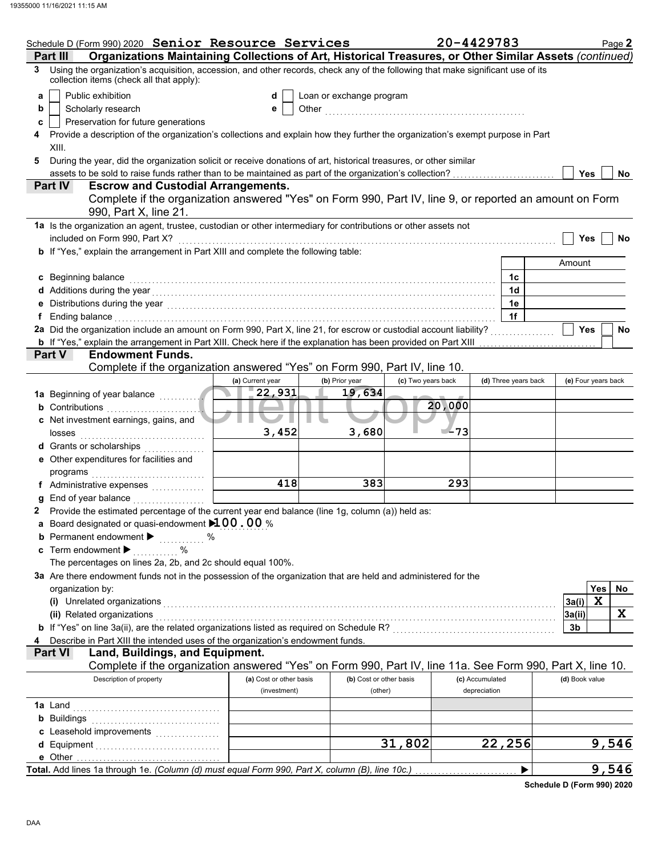|   | Schedule D (Form 990) 2020 Senior Resource Services                                                                                                                                                                            |                         |                          |                    |        | 20-4429783           |        |                     | Page 2    |
|---|--------------------------------------------------------------------------------------------------------------------------------------------------------------------------------------------------------------------------------|-------------------------|--------------------------|--------------------|--------|----------------------|--------|---------------------|-----------|
|   | Organizations Maintaining Collections of Art, Historical Treasures, or Other Similar Assets (continued)<br>Part III                                                                                                            |                         |                          |                    |        |                      |        |                     |           |
| 3 | Using the organization's acquisition, accession, and other records, check any of the following that make significant use of its<br>collection items (check all that apply):                                                    |                         |                          |                    |        |                      |        |                     |           |
| a | Public exhibition                                                                                                                                                                                                              | d                       | Loan or exchange program |                    |        |                      |        |                     |           |
| b | Scholarly research                                                                                                                                                                                                             | е                       |                          |                    |        |                      |        |                     |           |
| c | Preservation for future generations                                                                                                                                                                                            |                         |                          |                    |        |                      |        |                     |           |
| 4 | Provide a description of the organization's collections and explain how they further the organization's exempt purpose in Part                                                                                                 |                         |                          |                    |        |                      |        |                     |           |
|   | XIII.                                                                                                                                                                                                                          |                         |                          |                    |        |                      |        |                     |           |
| 5 | During the year, did the organization solicit or receive donations of art, historical treasures, or other similar                                                                                                              |                         |                          |                    |        |                      |        |                     |           |
|   | assets to be sold to raise funds rather than to be maintained as part of the organization's collection?                                                                                                                        |                         |                          |                    |        |                      |        | Yes                 | <b>No</b> |
|   | Part IV<br><b>Escrow and Custodial Arrangements.</b>                                                                                                                                                                           |                         |                          |                    |        |                      |        |                     |           |
|   | Complete if the organization answered "Yes" on Form 990, Part IV, line 9, or reported an amount on Form                                                                                                                        |                         |                          |                    |        |                      |        |                     |           |
|   | 990, Part X, line 21.                                                                                                                                                                                                          |                         |                          |                    |        |                      |        |                     |           |
|   | 1a Is the organization an agent, trustee, custodian or other intermediary for contributions or other assets not                                                                                                                |                         |                          |                    |        |                      |        |                     |           |
|   | included on Form 990, Part X?                                                                                                                                                                                                  |                         |                          |                    |        |                      |        | Yes                 | No        |
|   | b If "Yes," explain the arrangement in Part XIII and complete the following table:                                                                                                                                             |                         |                          |                    |        |                      |        |                     |           |
|   |                                                                                                                                                                                                                                |                         |                          |                    |        |                      | Amount |                     |           |
|   | c Beginning balance                                                                                                                                                                                                            |                         |                          |                    |        | 1c                   |        |                     |           |
|   |                                                                                                                                                                                                                                |                         |                          |                    |        | 1d                   |        |                     |           |
|   |                                                                                                                                                                                                                                |                         |                          |                    |        | 1e                   |        |                     |           |
| f | Ending balance entertainment and the contract of the contract of the contract of the contract of the contract of the contract of the contract of the contract of the contract of the contract of the contract of the contract  |                         |                          |                    |        | 1f                   |        |                     |           |
|   | 2a Did the organization include an amount on Form 990, Part X, line 21, for escrow or custodial account liability?                                                                                                             |                         |                          |                    |        |                      |        | <b>Yes</b>          | No        |
|   | <b>b</b> If "Yes," explain the arrangement in Part XIII. Check here if the explanation has been provided on Part XIII                                                                                                          |                         |                          |                    |        |                      |        |                     |           |
|   | <b>Endowment Funds.</b><br><b>Part V</b>                                                                                                                                                                                       |                         |                          |                    |        |                      |        |                     |           |
|   | Complete if the organization answered "Yes" on Form 990, Part IV, line 10.                                                                                                                                                     |                         |                          |                    |        |                      |        |                     |           |
|   |                                                                                                                                                                                                                                | (a) Current year        | (b) Prior year           | (c) Two years back |        | (d) Three years back |        | (e) Four years back |           |
|   | 1a Beginning of year balance                                                                                                                                                                                                   | $-22,931$               | 19,634                   |                    |        |                      |        |                     |           |
|   | <b>b</b> Contributions <b>contributions</b>                                                                                                                                                                                    |                         |                          |                    | 20,000 |                      |        |                     |           |
|   | c Net investment earnings, gains, and                                                                                                                                                                                          |                         |                          |                    |        |                      |        |                     |           |
|   |                                                                                                                                                                                                                                | 3,452                   | 3,680                    |                    | 73–    |                      |        |                     |           |
|   | d Grants or scholarships                                                                                                                                                                                                       |                         |                          |                    |        |                      |        |                     |           |
|   | e Other expenditures for facilities and                                                                                                                                                                                        |                         |                          |                    |        |                      |        |                     |           |
|   |                                                                                                                                                                                                                                |                         |                          |                    |        |                      |        |                     |           |
|   | f Administrative expenses                                                                                                                                                                                                      | 418                     | 383                      |                    | 293    |                      |        |                     |           |
|   | g End of year balance                                                                                                                                                                                                          |                         |                          |                    |        |                      |        |                     |           |
| 2 | Provide the estimated percentage of the current year end balance (line 1g, column (a)) held as:                                                                                                                                |                         |                          |                    |        |                      |        |                     |           |
|   | a Board designated or quasi-endowment 100.00 %                                                                                                                                                                                 |                         |                          |                    |        |                      |        |                     |           |
|   | <b>b</b> Permanent endowment $\blacktriangleright$<br>. %                                                                                                                                                                      |                         |                          |                    |        |                      |        |                     |           |
|   | c Term endowment $\blacktriangleright$<br>$\frac{0}{0}$                                                                                                                                                                        |                         |                          |                    |        |                      |        |                     |           |
|   | The percentages on lines 2a, 2b, and 2c should equal 100%.                                                                                                                                                                     |                         |                          |                    |        |                      |        |                     |           |
|   | 3a Are there endowment funds not in the possession of the organization that are held and administered for the                                                                                                                  |                         |                          |                    |        |                      |        |                     |           |
|   | organization by:                                                                                                                                                                                                               |                         |                          |                    |        |                      |        | Yes                 | No        |
|   | (i) Unrelated organizations entertainment and a set of the contract of the contract of the contract of the contract of the contract of the contract of the contract of the contract of the contract of the contract of the con |                         |                          |                    |        |                      | 3a(i)  | $\mathbf x$         |           |
|   | (ii) Related organizations                                                                                                                                                                                                     |                         |                          |                    |        |                      | 3a(ii) |                     | X         |
|   | <b>b</b> If "Yes" on line 3a(ii), are the related organizations listed as required on Schedule R?<br><b>b</b> If "Yes" on line 3a(ii), are the related organizations listed as required on Schedule R?                         |                         |                          |                    |        |                      | 3b     |                     |           |
|   | Describe in Part XIII the intended uses of the organization's endowment funds.                                                                                                                                                 |                         |                          |                    |        |                      |        |                     |           |
|   | Land, Buildings, and Equipment.<br><b>Part VI</b>                                                                                                                                                                              |                         |                          |                    |        |                      |        |                     |           |
|   | Complete if the organization answered "Yes" on Form 990, Part IV, line 11a. See Form 990, Part X, line 10.                                                                                                                     |                         |                          |                    |        |                      |        |                     |           |
|   | Description of property                                                                                                                                                                                                        | (a) Cost or other basis | (b) Cost or other basis  |                    |        | (c) Accumulated      |        | (d) Book value      |           |
|   |                                                                                                                                                                                                                                | (investment)            | (other)                  |                    |        | depreciation         |        |                     |           |
|   |                                                                                                                                                                                                                                |                         |                          |                    |        |                      |        |                     |           |
|   |                                                                                                                                                                                                                                |                         |                          |                    |        |                      |        |                     |           |
|   |                                                                                                                                                                                                                                |                         |                          |                    |        |                      |        |                     |           |
|   |                                                                                                                                                                                                                                |                         |                          | 31,802             |        | 22,256               |        |                     | 9,546     |
|   |                                                                                                                                                                                                                                |                         |                          |                    |        |                      |        |                     |           |
|   |                                                                                                                                                                                                                                |                         |                          |                    |        | ▶                    |        |                     | 9,546     |
|   |                                                                                                                                                                                                                                |                         |                          |                    |        |                      |        |                     |           |

**Schedule D (Form 990) 2020**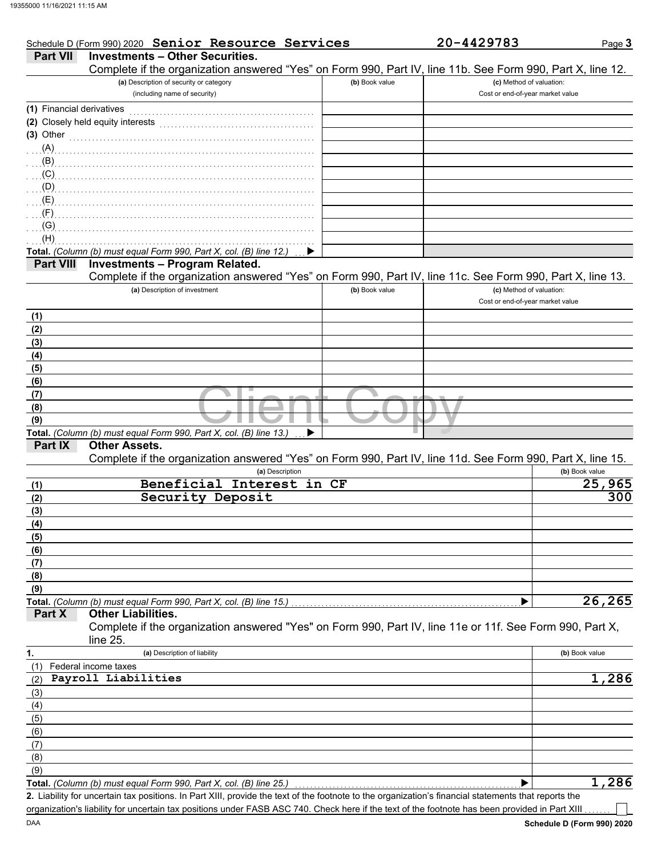|                           | Schedule D (Form 990) 2020 Senior Resource Services                                                        |                | 20-4429783                                                   | Page 3              |
|---------------------------|------------------------------------------------------------------------------------------------------------|----------------|--------------------------------------------------------------|---------------------|
| <b>Part VII</b>           | <b>Investments - Other Securities.</b>                                                                     |                |                                                              |                     |
|                           | Complete if the organization answered "Yes" on Form 990, Part IV, line 11b. See Form 990, Part X, line 12. |                |                                                              |                     |
|                           | (a) Description of security or category<br>(including name of security)                                    | (b) Book value | (c) Method of valuation:<br>Cost or end-of-year market value |                     |
|                           |                                                                                                            |                |                                                              |                     |
| (1) Financial derivatives |                                                                                                            |                |                                                              |                     |
| $(3)$ Other               | (2) Closely held equity interests                                                                          |                |                                                              |                     |
|                           |                                                                                                            |                |                                                              |                     |
| $(A)$<br>(B)              |                                                                                                            |                |                                                              |                     |
| (C)                       |                                                                                                            |                |                                                              |                     |
| (D)                       |                                                                                                            |                |                                                              |                     |
| (E)                       |                                                                                                            |                |                                                              |                     |
| (F)                       |                                                                                                            |                |                                                              |                     |
| (G)                       |                                                                                                            |                |                                                              |                     |
| (H)                       |                                                                                                            |                |                                                              |                     |
|                           | Total. (Column (b) must equal Form 990, Part X, col. (B) line 12.)                                         |                |                                                              |                     |
| <b>Part VIII</b>          | <b>Investments - Program Related.</b>                                                                      |                |                                                              |                     |
|                           | Complete if the organization answered "Yes" on Form 990, Part IV, line 11c. See Form 990, Part X, line 13. |                |                                                              |                     |
|                           | (a) Description of investment                                                                              | (b) Book value | (c) Method of valuation:                                     |                     |
|                           |                                                                                                            |                | Cost or end-of-year market value                             |                     |
| (1)                       |                                                                                                            |                |                                                              |                     |
| (2)                       |                                                                                                            |                |                                                              |                     |
| (3)                       |                                                                                                            |                |                                                              |                     |
| (4)                       |                                                                                                            |                |                                                              |                     |
| (5)                       |                                                                                                            |                |                                                              |                     |
| (6)                       |                                                                                                            |                |                                                              |                     |
| (7)                       |                                                                                                            |                |                                                              |                     |
| (8)                       |                                                                                                            |                |                                                              |                     |
| (9)                       |                                                                                                            |                |                                                              |                     |
| Part IX                   | Total. (Column (b) must equal Form 990, Part X, col. (B) line 13.)<br><b>Other Assets.</b>                 |                |                                                              |                     |
|                           | Complete if the organization answered "Yes" on Form 990, Part IV, line 11d. See Form 990, Part X, line 15. |                |                                                              |                     |
|                           | (a) Description                                                                                            |                |                                                              | (b) Book value      |
| (1)                       | Beneficial Interest in CF                                                                                  |                |                                                              | $\overline{2}5,965$ |
| (2)                       | Security Deposit                                                                                           |                |                                                              | 300                 |
| (3)                       |                                                                                                            |                |                                                              |                     |
| (4)                       |                                                                                                            |                |                                                              |                     |
| (5)                       |                                                                                                            |                |                                                              |                     |
| (6)                       |                                                                                                            |                |                                                              |                     |
| (7)                       |                                                                                                            |                |                                                              |                     |
| (8)                       |                                                                                                            |                |                                                              |                     |
| (9)                       |                                                                                                            |                |                                                              |                     |
|                           | Total. (Column (b) must equal Form 990, Part X, col. (B) line 15.)                                         |                |                                                              | 26,265              |
| Part X                    | <b>Other Liabilities.</b>                                                                                  |                |                                                              |                     |
|                           | Complete if the organization answered "Yes" on Form 990, Part IV, line 11e or 11f. See Form 990, Part X,   |                |                                                              |                     |
|                           | line 25.                                                                                                   |                |                                                              |                     |
| 1.                        | (a) Description of liability                                                                               |                |                                                              | (b) Book value      |
| (1)                       | Federal income taxes                                                                                       |                |                                                              |                     |
| (2)                       | Payroll Liabilities                                                                                        |                |                                                              | 1,286               |
| (3)                       |                                                                                                            |                |                                                              |                     |
| (4)                       |                                                                                                            |                |                                                              |                     |
| (5)                       |                                                                                                            |                |                                                              |                     |
| (6)                       |                                                                                                            |                |                                                              |                     |
| (7)                       |                                                                                                            |                |                                                              |                     |
| (8)                       |                                                                                                            |                |                                                              |                     |
| (9)                       |                                                                                                            |                |                                                              | 1,286               |
|                           | Total. (Column (b) must equal Form 990, Part X, col. (B) line 25.)                                         |                |                                                              |                     |

Liability for uncertain tax positions. In Part XIII, provide the text of the footnote to the organization's financial statements that reports the **2.** organization's liability for uncertain tax positions under FASB ASC 740. Check here if the text of the footnote has been provided in Part XIII

┐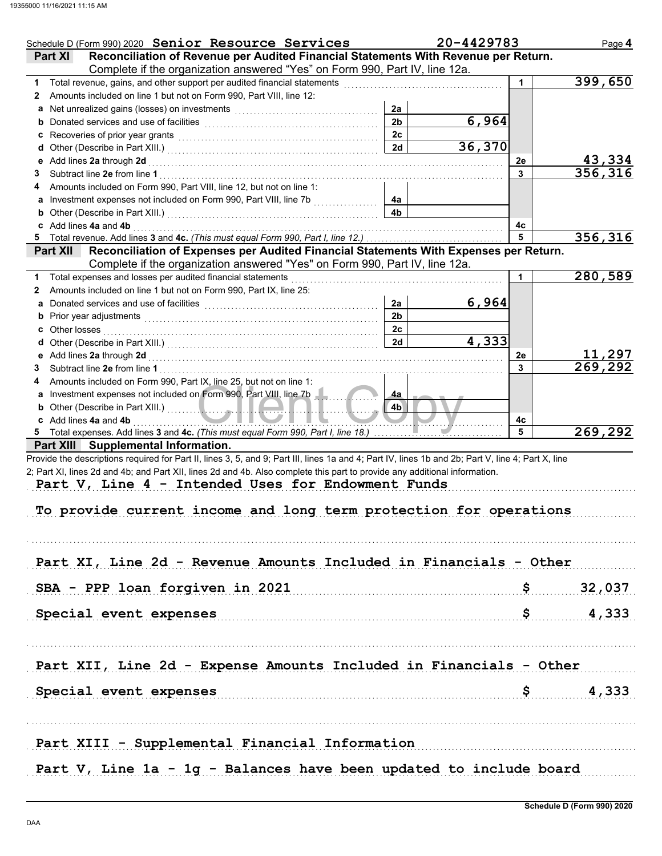| Reconciliation of Revenue per Audited Financial Statements With Revenue per Return.<br>Complete if the organization answered "Yes" on Form 990, Part IV, line 12a.<br>6,964<br>36,370<br>e Add lines 2a through 2d [11] March 2014 [12] March 2014 [12] March 2014 [12] March 2014 [12] March 2014 [12] March 2015 [12] March 2015 [12] March 2014 [12] March 2014 [12] March 2014 [12] March 2014 [12] March 2014 [12]<br>c Add lines 4a and 4b 2000 Material Contract Contract Add lines 4a and 4b 2014<br>Total revenue. Add lines 3 and 4c. (This must equal Form 990, Part I, line 12.)<br>Reconciliation of Expenses per Audited Financial Statements With Expenses per Return.<br>Complete if the organization answered "Yes" on Form 990, Part IV, line 12a.<br>6,964<br>4,333 | 2e<br>3<br>4с<br>5<br>1<br>2e<br>3 | 399,650<br>$\frac{43,334}{356,316}$<br>356,316<br>280,589<br><u>11,297</u><br>269,292                                          |
|----------------------------------------------------------------------------------------------------------------------------------------------------------------------------------------------------------------------------------------------------------------------------------------------------------------------------------------------------------------------------------------------------------------------------------------------------------------------------------------------------------------------------------------------------------------------------------------------------------------------------------------------------------------------------------------------------------------------------------------------------------------------------------------|------------------------------------|--------------------------------------------------------------------------------------------------------------------------------|
|                                                                                                                                                                                                                                                                                                                                                                                                                                                                                                                                                                                                                                                                                                                                                                                        |                                    |                                                                                                                                |
|                                                                                                                                                                                                                                                                                                                                                                                                                                                                                                                                                                                                                                                                                                                                                                                        |                                    |                                                                                                                                |
|                                                                                                                                                                                                                                                                                                                                                                                                                                                                                                                                                                                                                                                                                                                                                                                        |                                    |                                                                                                                                |
|                                                                                                                                                                                                                                                                                                                                                                                                                                                                                                                                                                                                                                                                                                                                                                                        |                                    |                                                                                                                                |
|                                                                                                                                                                                                                                                                                                                                                                                                                                                                                                                                                                                                                                                                                                                                                                                        |                                    |                                                                                                                                |
|                                                                                                                                                                                                                                                                                                                                                                                                                                                                                                                                                                                                                                                                                                                                                                                        |                                    |                                                                                                                                |
|                                                                                                                                                                                                                                                                                                                                                                                                                                                                                                                                                                                                                                                                                                                                                                                        |                                    |                                                                                                                                |
|                                                                                                                                                                                                                                                                                                                                                                                                                                                                                                                                                                                                                                                                                                                                                                                        |                                    |                                                                                                                                |
|                                                                                                                                                                                                                                                                                                                                                                                                                                                                                                                                                                                                                                                                                                                                                                                        |                                    |                                                                                                                                |
|                                                                                                                                                                                                                                                                                                                                                                                                                                                                                                                                                                                                                                                                                                                                                                                        |                                    |                                                                                                                                |
|                                                                                                                                                                                                                                                                                                                                                                                                                                                                                                                                                                                                                                                                                                                                                                                        |                                    |                                                                                                                                |
|                                                                                                                                                                                                                                                                                                                                                                                                                                                                                                                                                                                                                                                                                                                                                                                        |                                    |                                                                                                                                |
|                                                                                                                                                                                                                                                                                                                                                                                                                                                                                                                                                                                                                                                                                                                                                                                        |                                    |                                                                                                                                |
|                                                                                                                                                                                                                                                                                                                                                                                                                                                                                                                                                                                                                                                                                                                                                                                        |                                    |                                                                                                                                |
|                                                                                                                                                                                                                                                                                                                                                                                                                                                                                                                                                                                                                                                                                                                                                                                        |                                    |                                                                                                                                |
|                                                                                                                                                                                                                                                                                                                                                                                                                                                                                                                                                                                                                                                                                                                                                                                        |                                    |                                                                                                                                |
|                                                                                                                                                                                                                                                                                                                                                                                                                                                                                                                                                                                                                                                                                                                                                                                        |                                    |                                                                                                                                |
|                                                                                                                                                                                                                                                                                                                                                                                                                                                                                                                                                                                                                                                                                                                                                                                        |                                    |                                                                                                                                |
|                                                                                                                                                                                                                                                                                                                                                                                                                                                                                                                                                                                                                                                                                                                                                                                        |                                    |                                                                                                                                |
|                                                                                                                                                                                                                                                                                                                                                                                                                                                                                                                                                                                                                                                                                                                                                                                        |                                    |                                                                                                                                |
|                                                                                                                                                                                                                                                                                                                                                                                                                                                                                                                                                                                                                                                                                                                                                                                        |                                    |                                                                                                                                |
|                                                                                                                                                                                                                                                                                                                                                                                                                                                                                                                                                                                                                                                                                                                                                                                        |                                    |                                                                                                                                |
|                                                                                                                                                                                                                                                                                                                                                                                                                                                                                                                                                                                                                                                                                                                                                                                        |                                    |                                                                                                                                |
|                                                                                                                                                                                                                                                                                                                                                                                                                                                                                                                                                                                                                                                                                                                                                                                        |                                    |                                                                                                                                |
|                                                                                                                                                                                                                                                                                                                                                                                                                                                                                                                                                                                                                                                                                                                                                                                        |                                    |                                                                                                                                |
|                                                                                                                                                                                                                                                                                                                                                                                                                                                                                                                                                                                                                                                                                                                                                                                        |                                    |                                                                                                                                |
|                                                                                                                                                                                                                                                                                                                                                                                                                                                                                                                                                                                                                                                                                                                                                                                        |                                    |                                                                                                                                |
|                                                                                                                                                                                                                                                                                                                                                                                                                                                                                                                                                                                                                                                                                                                                                                                        | 4c                                 |                                                                                                                                |
| 5 Total expenses. Add lines 3 and 4c. (This must equal Form 990, Part I, line 18.)                                                                                                                                                                                                                                                                                                                                                                                                                                                                                                                                                                                                                                                                                                     | 5                                  | 269,292                                                                                                                        |
|                                                                                                                                                                                                                                                                                                                                                                                                                                                                                                                                                                                                                                                                                                                                                                                        |                                    |                                                                                                                                |
| Provide the descriptions required for Part II, lines 3, 5, and 9; Part III, lines 1a and 4; Part IV, lines 1b and 2b; Part V, line 4; Part X, line                                                                                                                                                                                                                                                                                                                                                                                                                                                                                                                                                                                                                                     |                                    |                                                                                                                                |
| 2; Part XI, lines 2d and 4b; and Part XII, lines 2d and 4b. Also complete this part to provide any additional information.<br>Part V, Line 4 - Intended Uses for Endowment Funds                                                                                                                                                                                                                                                                                                                                                                                                                                                                                                                                                                                                       |                                    |                                                                                                                                |
|                                                                                                                                                                                                                                                                                                                                                                                                                                                                                                                                                                                                                                                                                                                                                                                        |                                    |                                                                                                                                |
| To provide current income and long term protection for operations                                                                                                                                                                                                                                                                                                                                                                                                                                                                                                                                                                                                                                                                                                                      |                                    |                                                                                                                                |
|                                                                                                                                                                                                                                                                                                                                                                                                                                                                                                                                                                                                                                                                                                                                                                                        |                                    |                                                                                                                                |
|                                                                                                                                                                                                                                                                                                                                                                                                                                                                                                                                                                                                                                                                                                                                                                                        |                                    |                                                                                                                                |
|                                                                                                                                                                                                                                                                                                                                                                                                                                                                                                                                                                                                                                                                                                                                                                                        |                                    |                                                                                                                                |
| Part XI, Line 2d - Revenue Amounts Included in Financials - Other                                                                                                                                                                                                                                                                                                                                                                                                                                                                                                                                                                                                                                                                                                                      |                                    |                                                                                                                                |
|                                                                                                                                                                                                                                                                                                                                                                                                                                                                                                                                                                                                                                                                                                                                                                                        |                                    |                                                                                                                                |
|                                                                                                                                                                                                                                                                                                                                                                                                                                                                                                                                                                                                                                                                                                                                                                                        |                                    | 32,037                                                                                                                         |
|                                                                                                                                                                                                                                                                                                                                                                                                                                                                                                                                                                                                                                                                                                                                                                                        |                                    |                                                                                                                                |
|                                                                                                                                                                                                                                                                                                                                                                                                                                                                                                                                                                                                                                                                                                                                                                                        |                                    |                                                                                                                                |
|                                                                                                                                                                                                                                                                                                                                                                                                                                                                                                                                                                                                                                                                                                                                                                                        |                                    |                                                                                                                                |
|                                                                                                                                                                                                                                                                                                                                                                                                                                                                                                                                                                                                                                                                                                                                                                                        |                                    |                                                                                                                                |
|                                                                                                                                                                                                                                                                                                                                                                                                                                                                                                                                                                                                                                                                                                                                                                                        |                                    |                                                                                                                                |
|                                                                                                                                                                                                                                                                                                                                                                                                                                                                                                                                                                                                                                                                                                                                                                                        |                                    |                                                                                                                                |
|                                                                                                                                                                                                                                                                                                                                                                                                                                                                                                                                                                                                                                                                                                                                                                                        |                                    |                                                                                                                                |
|                                                                                                                                                                                                                                                                                                                                                                                                                                                                                                                                                                                                                                                                                                                                                                                        |                                    | \$4,333                                                                                                                        |
|                                                                                                                                                                                                                                                                                                                                                                                                                                                                                                                                                                                                                                                                                                                                                                                        |                                    |                                                                                                                                |
|                                                                                                                                                                                                                                                                                                                                                                                                                                                                                                                                                                                                                                                                                                                                                                                        |                                    |                                                                                                                                |
|                                                                                                                                                                                                                                                                                                                                                                                                                                                                                                                                                                                                                                                                                                                                                                                        |                                    |                                                                                                                                |
|                                                                                                                                                                                                                                                                                                                                                                                                                                                                                                                                                                                                                                                                                                                                                                                        |                                    |                                                                                                                                |
|                                                                                                                                                                                                                                                                                                                                                                                                                                                                                                                                                                                                                                                                                                                                                                                        |                                    |                                                                                                                                |
|                                                                                                                                                                                                                                                                                                                                                                                                                                                                                                                                                                                                                                                                                                                                                                                        | SBA - PPP loan forgiven in 2021    | $\mathbf{s}$ , where $\mathbf{s}$<br>$\frac{1}{2}$ 4,333<br>Part XII, Line 2d - Expense Amounts Included in Financials - Other |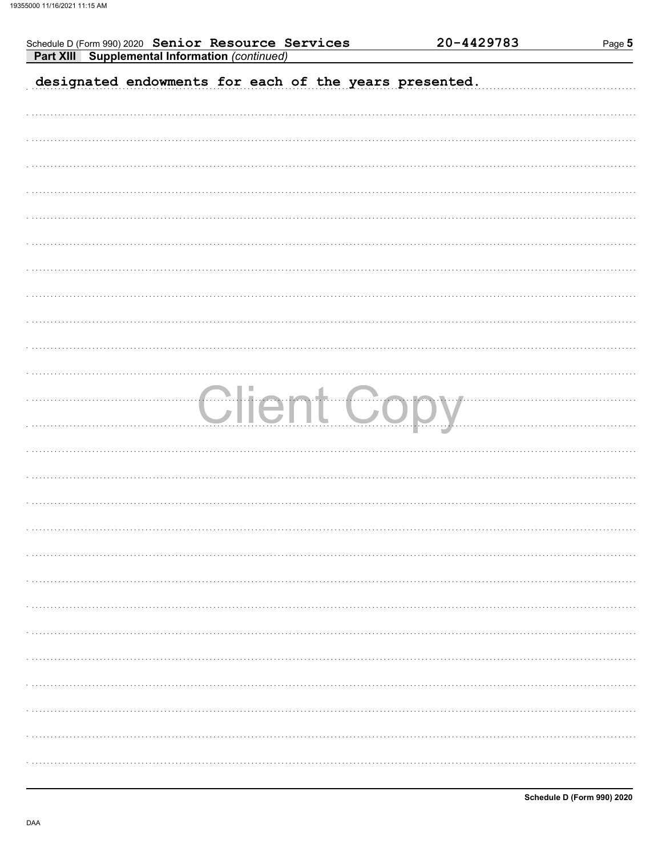| Schedule D (Form 990) 2020 Senior Resource Services    | 20-4429783 | Page 5 |
|--------------------------------------------------------|------------|--------|
| Part XIII Supplemental Information (continued)         |            |        |
| designated endowments for each of the years presented. |            |        |
|                                                        |            |        |
|                                                        |            |        |
|                                                        |            |        |
|                                                        |            |        |
|                                                        |            |        |
|                                                        |            |        |
|                                                        |            |        |
|                                                        |            |        |
|                                                        |            |        |
|                                                        |            |        |
|                                                        |            |        |
|                                                        |            |        |
|                                                        |            |        |
|                                                        |            |        |
|                                                        |            |        |
|                                                        |            |        |
| Client Co                                              |            |        |
|                                                        |            |        |
|                                                        |            |        |
|                                                        |            |        |
|                                                        |            |        |
|                                                        |            |        |
|                                                        |            |        |
|                                                        |            |        |
|                                                        |            |        |
|                                                        |            |        |
|                                                        |            |        |
|                                                        |            |        |
|                                                        |            |        |
|                                                        |            |        |
|                                                        |            |        |
|                                                        |            |        |
|                                                        |            |        |
|                                                        |            |        |
|                                                        |            |        |
|                                                        |            |        |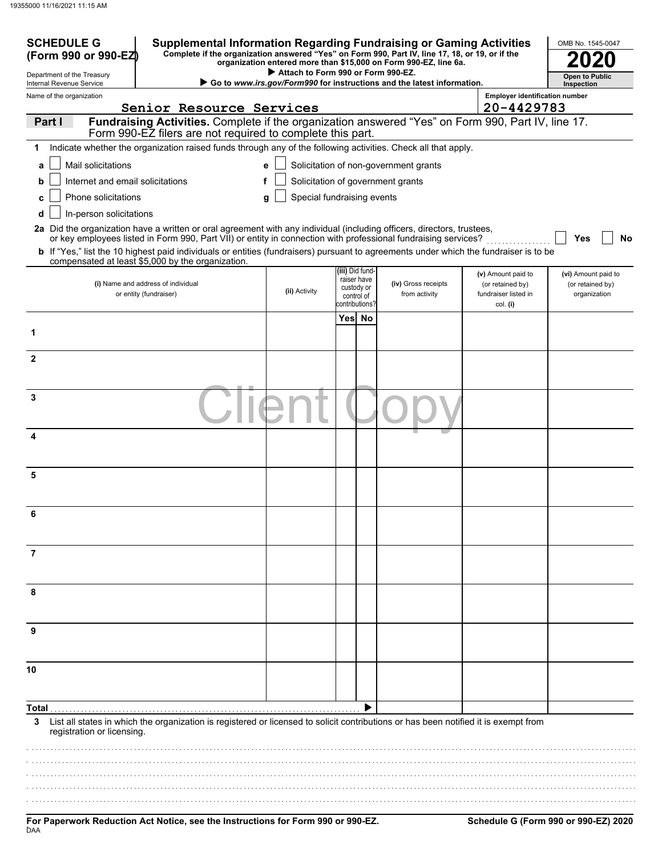| <b>SCHEDULE G</b><br><b>Supplemental Information Regarding Fundraising or Gaming Activities</b><br>Complete if the organization answered "Yes" on Form 990, Part IV, line 17, 18, or 19, or if the<br>(Form 990 or 990-EZ)<br>organization entered more than \$15,000 on Form 990-EZ, line 6a. |                                                                                                                                                                                                                                          |                                 |                              |  |                                       | OMB No. 1545-0047                      |                     |
|------------------------------------------------------------------------------------------------------------------------------------------------------------------------------------------------------------------------------------------------------------------------------------------------|------------------------------------------------------------------------------------------------------------------------------------------------------------------------------------------------------------------------------------------|---------------------------------|------------------------------|--|---------------------------------------|----------------------------------------|---------------------|
| Department of the Treasury<br>Internal Revenue Service                                                                                                                                                                                                                                         | Attach to Form 990 or Form 990-EZ.<br><b>Open to Public</b><br>Go to www.irs.gov/Form990 for instructions and the latest information.<br>Inspection                                                                                      |                                 |                              |  |                                       |                                        |                     |
| Name of the organization                                                                                                                                                                                                                                                                       |                                                                                                                                                                                                                                          |                                 |                              |  |                                       | <b>Employer identification number</b>  |                     |
| 20-4429783<br>Senior Resource Services<br>Fundraising Activities. Complete if the organization answered "Yes" on Form 990, Part IV, line 17.                                                                                                                                                   |                                                                                                                                                                                                                                          |                                 |                              |  |                                       |                                        |                     |
| Part I                                                                                                                                                                                                                                                                                         | Form 990-EZ filers are not required to complete this part.                                                                                                                                                                               |                                 |                              |  |                                       |                                        |                     |
| 1.                                                                                                                                                                                                                                                                                             | Indicate whether the organization raised funds through any of the following activities. Check all that apply.                                                                                                                            |                                 |                              |  |                                       |                                        |                     |
| Mail solicitations<br>a                                                                                                                                                                                                                                                                        |                                                                                                                                                                                                                                          | e                               |                              |  | Solicitation of non-government grants |                                        |                     |
| Internet and email solicitations<br>b                                                                                                                                                                                                                                                          |                                                                                                                                                                                                                                          |                                 |                              |  | Solicitation of government grants     |                                        |                     |
| Phone solicitations<br>C                                                                                                                                                                                                                                                                       |                                                                                                                                                                                                                                          | Special fundraising events<br>g |                              |  |                                       |                                        |                     |
| In-person solicitations<br>d                                                                                                                                                                                                                                                                   |                                                                                                                                                                                                                                          |                                 |                              |  |                                       |                                        |                     |
|                                                                                                                                                                                                                                                                                                | 2a Did the organization have a written or oral agreement with any individual (including officers, directors, trustees,<br>or key employees listed in Form 990, Part VII) or entity in connection with professional fundraising services? |                                 |                              |  |                                       |                                        | No<br>Yes           |
|                                                                                                                                                                                                                                                                                                | <b>b</b> If "Yes," list the 10 highest paid individuals or entities (fundraisers) pursuant to agreements under which the fundraiser is to be                                                                                             |                                 |                              |  |                                       |                                        |                     |
|                                                                                                                                                                                                                                                                                                | compensated at least \$5,000 by the organization.                                                                                                                                                                                        |                                 | (iii) Did fund-              |  |                                       |                                        | (vi) Amount paid to |
|                                                                                                                                                                                                                                                                                                | (i) Name and address of individual                                                                                                                                                                                                       | (ii) Activity                   | raiser have<br>custody or    |  | (iv) Gross receipts                   | (v) Amount paid to<br>(or retained by) | (or retained by)    |
|                                                                                                                                                                                                                                                                                                | or entity (fundraiser)                                                                                                                                                                                                                   |                                 | control of<br>contributions? |  | from activity                         | fundraiser listed in<br>col. (i)       | organization        |
|                                                                                                                                                                                                                                                                                                |                                                                                                                                                                                                                                          |                                 | Yes No                       |  |                                       |                                        |                     |
| 1                                                                                                                                                                                                                                                                                              |                                                                                                                                                                                                                                          |                                 |                              |  |                                       |                                        |                     |
| $\mathbf{2}$                                                                                                                                                                                                                                                                                   |                                                                                                                                                                                                                                          |                                 |                              |  |                                       |                                        |                     |
|                                                                                                                                                                                                                                                                                                |                                                                                                                                                                                                                                          |                                 |                              |  |                                       |                                        |                     |
|                                                                                                                                                                                                                                                                                                |                                                                                                                                                                                                                                          |                                 |                              |  |                                       |                                        |                     |
| 3                                                                                                                                                                                                                                                                                              |                                                                                                                                                                                                                                          |                                 |                              |  |                                       |                                        |                     |
| 4                                                                                                                                                                                                                                                                                              |                                                                                                                                                                                                                                          |                                 |                              |  |                                       |                                        |                     |
| 5                                                                                                                                                                                                                                                                                              |                                                                                                                                                                                                                                          |                                 |                              |  |                                       |                                        |                     |
|                                                                                                                                                                                                                                                                                                |                                                                                                                                                                                                                                          |                                 |                              |  |                                       |                                        |                     |
| 6                                                                                                                                                                                                                                                                                              |                                                                                                                                                                                                                                          |                                 |                              |  |                                       |                                        |                     |
|                                                                                                                                                                                                                                                                                                |                                                                                                                                                                                                                                          |                                 |                              |  |                                       |                                        |                     |
|                                                                                                                                                                                                                                                                                                |                                                                                                                                                                                                                                          |                                 |                              |  |                                       |                                        |                     |
| 8                                                                                                                                                                                                                                                                                              |                                                                                                                                                                                                                                          |                                 |                              |  |                                       |                                        |                     |
|                                                                                                                                                                                                                                                                                                |                                                                                                                                                                                                                                          |                                 |                              |  |                                       |                                        |                     |
| 9                                                                                                                                                                                                                                                                                              |                                                                                                                                                                                                                                          |                                 |                              |  |                                       |                                        |                     |
|                                                                                                                                                                                                                                                                                                |                                                                                                                                                                                                                                          |                                 |                              |  |                                       |                                        |                     |
| 10                                                                                                                                                                                                                                                                                             |                                                                                                                                                                                                                                          |                                 |                              |  |                                       |                                        |                     |
|                                                                                                                                                                                                                                                                                                |                                                                                                                                                                                                                                          |                                 |                              |  |                                       |                                        |                     |
| Total                                                                                                                                                                                                                                                                                          |                                                                                                                                                                                                                                          |                                 |                              |  |                                       |                                        |                     |
| 3<br>registration or licensing.                                                                                                                                                                                                                                                                | List all states in which the organization is registered or licensed to solicit contributions or has been notified it is exempt from                                                                                                      |                                 |                              |  |                                       |                                        |                     |
|                                                                                                                                                                                                                                                                                                |                                                                                                                                                                                                                                          |                                 |                              |  |                                       |                                        |                     |
|                                                                                                                                                                                                                                                                                                |                                                                                                                                                                                                                                          |                                 |                              |  |                                       |                                        |                     |
|                                                                                                                                                                                                                                                                                                |                                                                                                                                                                                                                                          |                                 |                              |  |                                       |                                        |                     |
|                                                                                                                                                                                                                                                                                                |                                                                                                                                                                                                                                          |                                 |                              |  |                                       |                                        |                     |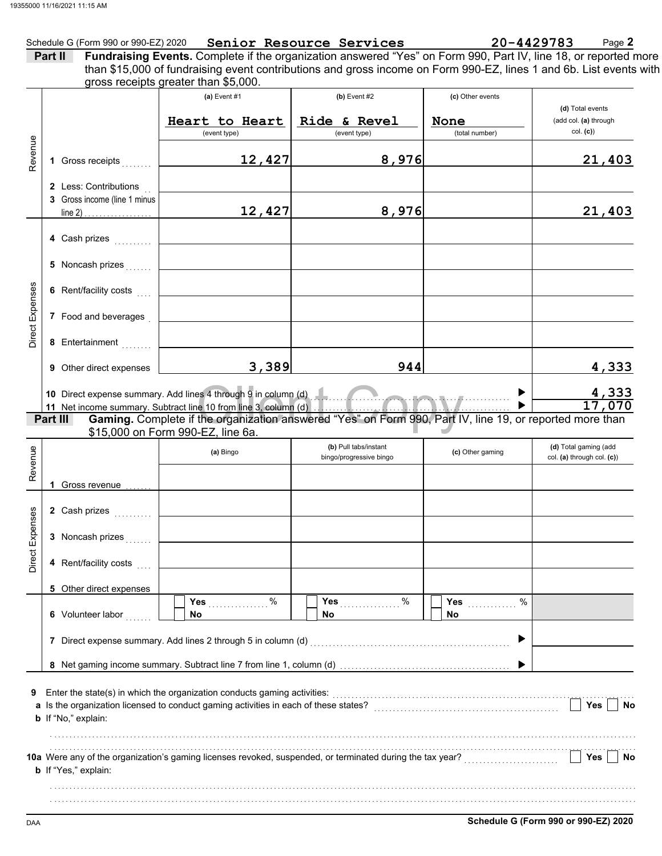|                     | Part II                                               | gross receipts greater than \$5,000.                                                                                                                             | Schedule G (Form 990 or 990-EZ) 2020 Senior Resource Services<br>Fundraising Events. Complete if the organization answered "Yes" on Form 990, Part IV, line 18, or reported more<br>than \$15,000 of fundraising event contributions and gross income on Form 990-EZ, lines 1 and 6b. List events with |                          | 20-4429783<br>Page 2                                                   |
|---------------------|-------------------------------------------------------|------------------------------------------------------------------------------------------------------------------------------------------------------------------|--------------------------------------------------------------------------------------------------------------------------------------------------------------------------------------------------------------------------------------------------------------------------------------------------------|--------------------------|------------------------------------------------------------------------|
|                     |                                                       | (a) Event $#1$<br>Heart to Heart                                                                                                                                 | $(b)$ Event #2<br>Ride & Revel                                                                                                                                                                                                                                                                         | (c) Other events<br>None | (d) Total events<br>(add col. (a) through                              |
| Revenue             | 1 Gross receipts                                      | (event type)<br>12,427                                                                                                                                           | (event type)<br>8,976                                                                                                                                                                                                                                                                                  | (total number)           | col. (c)<br>21,403                                                     |
|                     | 2 Less: Contributions<br>3 Gross income (line 1 minus | 12,427                                                                                                                                                           | 8,976                                                                                                                                                                                                                                                                                                  |                          | 21,403                                                                 |
|                     | 4 Cash prizes                                         |                                                                                                                                                                  |                                                                                                                                                                                                                                                                                                        |                          |                                                                        |
|                     | 5 Noncash prizes                                      |                                                                                                                                                                  |                                                                                                                                                                                                                                                                                                        |                          |                                                                        |
|                     | 6 Rent/facility costs                                 |                                                                                                                                                                  |                                                                                                                                                                                                                                                                                                        |                          |                                                                        |
| Direct Expenses     | 7 Food and beverages                                  |                                                                                                                                                                  |                                                                                                                                                                                                                                                                                                        |                          |                                                                        |
|                     | 8 Entertainment                                       |                                                                                                                                                                  |                                                                                                                                                                                                                                                                                                        |                          |                                                                        |
|                     | 9 Other direct expenses                               | 3,389                                                                                                                                                            | 944                                                                                                                                                                                                                                                                                                    |                          | 4,333                                                                  |
| Revenue             | Part III                                              | \$15,000 on Form 990-EZ, line 6a.<br>(a) Bingo                                                                                                                   | 10 Direct expense summary. Add lines 4 through 9 in column (d)<br>Gaming. Complete if the organization answered "Yes" on Form 990, Part IV, line 19, or reported more than<br>(b) Pull tabs/instant<br>bingo/progressive bingo                                                                         | (c) Other gaming         | 4,333<br>17,070<br>(d) Total gaming (add<br>col. (a) through col. (c)) |
|                     | 1 Gross revenue                                       |                                                                                                                                                                  |                                                                                                                                                                                                                                                                                                        |                          |                                                                        |
| $\omega$            | 2 Cash prizes                                         |                                                                                                                                                                  |                                                                                                                                                                                                                                                                                                        |                          |                                                                        |
|                     |                                                       |                                                                                                                                                                  |                                                                                                                                                                                                                                                                                                        |                          |                                                                        |
|                     | 3 Noncash prizes                                      |                                                                                                                                                                  |                                                                                                                                                                                                                                                                                                        |                          |                                                                        |
|                     | 4 Rent/facility costs                                 |                                                                                                                                                                  |                                                                                                                                                                                                                                                                                                        |                          |                                                                        |
|                     | 5 Other direct expenses                               |                                                                                                                                                                  |                                                                                                                                                                                                                                                                                                        |                          |                                                                        |
|                     | 6 Volunteer labor                                     | $\%$<br>Yes<br>No.                                                                                                                                               | %<br><b>Yes</b><br>No                                                                                                                                                                                                                                                                                  | $\%$<br>Yes<br><b>No</b> |                                                                        |
|                     |                                                       | 7 Direct expense summary. Add lines 2 through 5 in column (d)                                                                                                    |                                                                                                                                                                                                                                                                                                        | ▶                        |                                                                        |
| Direct Expense<br>9 | b If "No," explain:                                   | Enter the state(s) in which the organization conducts gaming activities:<br>a Is the organization licensed to conduct gaming activities in each of these states? |                                                                                                                                                                                                                                                                                                        |                          | Yes<br>No                                                              |
|                     | b If "Yes," explain:                                  |                                                                                                                                                                  | 10a Were any of the organization's gaming licenses revoked, suspended, or terminated during the tax year?                                                                                                                                                                                              |                          | <b>Yes</b><br>No                                                       |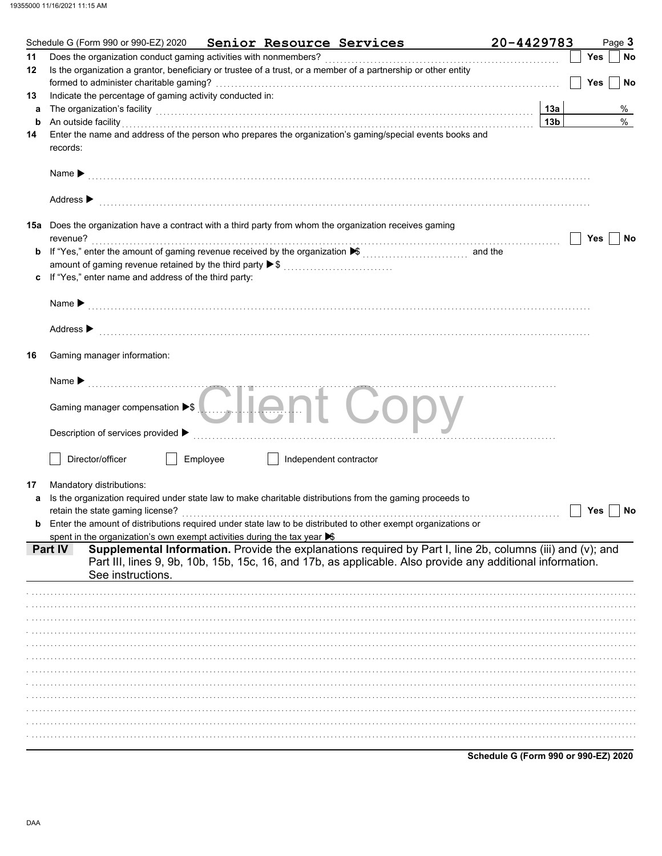| 11<br>Yes<br>Is the organization a grantor, beneficiary or trustee of a trust, or a member of a partnership or other entity<br>12<br><b>Yes</b><br>Indicate the percentage of gaming activity conducted in:<br>13<br>13a<br>The organization's facility [1, 2010] The organization's facility [1, 2010] The organization's facility [1, 2010] The organization's facility [1, 2010] The organization's facility [1, 2010] The organization of the organiza<br>%<br>a<br>$\%$<br>13 <sub>b</sub><br>An outside facility encourance and account of the set of the set of the set of the set of the set of the set of the set of the set of the set of the set of the set of the set of the set of the set of the set of the set of<br>b<br>Enter the name and address of the person who prepares the organization's gaming/special events books and<br>14<br>records:<br>Address $\blacktriangleright$<br><b>15a</b> Does the organization have a contract with a third party from whom the organization receives gaming<br>revenue?<br>Yes<br>If "Yes," enter name and address of the third party:<br>C<br>Name <b>&gt;</b> continuous continuous continuous continuous continuous continuous continuous continuous continuous continuous continuous continuous continuous continuous continuous continuous continuous continuous continuous cont<br>Address $\blacktriangleright$<br>Gaming manager information:<br>16<br>Name<br>Caming manager compensation<br>Second<br>Second<br>Second<br>Second<br>Second<br>Second<br>Second<br>Second<br>Second<br>Second<br>Second<br>Second<br>Second<br><br>Second<br><br>Second<br><br>Second<br>Second<br>Second<br>Second<br>Second<br><br>Description of services provided ▶<br>Director/officer<br>Employee<br>Independent contractor<br>17<br>Mandatory distributions:<br>Is the organization required under state law to make charitable distributions from the gaming proceeds to<br>a<br>Yes<br>b<br>Enter the amount of distributions required under state law to be distributed to other exempt organizations or<br>spent in the organization's own exempt activities during the tax year S<br>Supplemental Information. Provide the explanations required by Part I, line 2b, columns (iii) and (v); and<br><b>Part IV</b><br>Part III, lines 9, 9b, 10b, 15b, 15c, 16, and 17b, as applicable. Also provide any additional information.<br>See instructions. | Schedule G (Form 990 or 990-EZ) 2020<br>Senior Resource Services | 20-4429783 |  | Page 3    |
|----------------------------------------------------------------------------------------------------------------------------------------------------------------------------------------------------------------------------------------------------------------------------------------------------------------------------------------------------------------------------------------------------------------------------------------------------------------------------------------------------------------------------------------------------------------------------------------------------------------------------------------------------------------------------------------------------------------------------------------------------------------------------------------------------------------------------------------------------------------------------------------------------------------------------------------------------------------------------------------------------------------------------------------------------------------------------------------------------------------------------------------------------------------------------------------------------------------------------------------------------------------------------------------------------------------------------------------------------------------------------------------------------------------------------------------------------------------------------------------------------------------------------------------------------------------------------------------------------------------------------------------------------------------------------------------------------------------------------------------------------------------------------------------------------------------------------------------------------------------------------------------------------------------------------------------------------------------------------------------------------------------------------------------------------------------------------------------------------------------------------------------------------------------------------------------------------------------------------------------------------------------------------------------------------------------------------------------------------------------------------------------------------------------------|------------------------------------------------------------------|------------|--|-----------|
|                                                                                                                                                                                                                                                                                                                                                                                                                                                                                                                                                                                                                                                                                                                                                                                                                                                                                                                                                                                                                                                                                                                                                                                                                                                                                                                                                                                                                                                                                                                                                                                                                                                                                                                                                                                                                                                                                                                                                                                                                                                                                                                                                                                                                                                                                                                                                                                                                      |                                                                  |            |  | <b>No</b> |
|                                                                                                                                                                                                                                                                                                                                                                                                                                                                                                                                                                                                                                                                                                                                                                                                                                                                                                                                                                                                                                                                                                                                                                                                                                                                                                                                                                                                                                                                                                                                                                                                                                                                                                                                                                                                                                                                                                                                                                                                                                                                                                                                                                                                                                                                                                                                                                                                                      |                                                                  |            |  |           |
|                                                                                                                                                                                                                                                                                                                                                                                                                                                                                                                                                                                                                                                                                                                                                                                                                                                                                                                                                                                                                                                                                                                                                                                                                                                                                                                                                                                                                                                                                                                                                                                                                                                                                                                                                                                                                                                                                                                                                                                                                                                                                                                                                                                                                                                                                                                                                                                                                      |                                                                  |            |  | No        |
|                                                                                                                                                                                                                                                                                                                                                                                                                                                                                                                                                                                                                                                                                                                                                                                                                                                                                                                                                                                                                                                                                                                                                                                                                                                                                                                                                                                                                                                                                                                                                                                                                                                                                                                                                                                                                                                                                                                                                                                                                                                                                                                                                                                                                                                                                                                                                                                                                      |                                                                  |            |  |           |
|                                                                                                                                                                                                                                                                                                                                                                                                                                                                                                                                                                                                                                                                                                                                                                                                                                                                                                                                                                                                                                                                                                                                                                                                                                                                                                                                                                                                                                                                                                                                                                                                                                                                                                                                                                                                                                                                                                                                                                                                                                                                                                                                                                                                                                                                                                                                                                                                                      |                                                                  |            |  |           |
|                                                                                                                                                                                                                                                                                                                                                                                                                                                                                                                                                                                                                                                                                                                                                                                                                                                                                                                                                                                                                                                                                                                                                                                                                                                                                                                                                                                                                                                                                                                                                                                                                                                                                                                                                                                                                                                                                                                                                                                                                                                                                                                                                                                                                                                                                                                                                                                                                      |                                                                  |            |  |           |
|                                                                                                                                                                                                                                                                                                                                                                                                                                                                                                                                                                                                                                                                                                                                                                                                                                                                                                                                                                                                                                                                                                                                                                                                                                                                                                                                                                                                                                                                                                                                                                                                                                                                                                                                                                                                                                                                                                                                                                                                                                                                                                                                                                                                                                                                                                                                                                                                                      |                                                                  |            |  |           |
|                                                                                                                                                                                                                                                                                                                                                                                                                                                                                                                                                                                                                                                                                                                                                                                                                                                                                                                                                                                                                                                                                                                                                                                                                                                                                                                                                                                                                                                                                                                                                                                                                                                                                                                                                                                                                                                                                                                                                                                                                                                                                                                                                                                                                                                                                                                                                                                                                      |                                                                  |            |  |           |
|                                                                                                                                                                                                                                                                                                                                                                                                                                                                                                                                                                                                                                                                                                                                                                                                                                                                                                                                                                                                                                                                                                                                                                                                                                                                                                                                                                                                                                                                                                                                                                                                                                                                                                                                                                                                                                                                                                                                                                                                                                                                                                                                                                                                                                                                                                                                                                                                                      |                                                                  |            |  |           |
|                                                                                                                                                                                                                                                                                                                                                                                                                                                                                                                                                                                                                                                                                                                                                                                                                                                                                                                                                                                                                                                                                                                                                                                                                                                                                                                                                                                                                                                                                                                                                                                                                                                                                                                                                                                                                                                                                                                                                                                                                                                                                                                                                                                                                                                                                                                                                                                                                      |                                                                  |            |  | No        |
|                                                                                                                                                                                                                                                                                                                                                                                                                                                                                                                                                                                                                                                                                                                                                                                                                                                                                                                                                                                                                                                                                                                                                                                                                                                                                                                                                                                                                                                                                                                                                                                                                                                                                                                                                                                                                                                                                                                                                                                                                                                                                                                                                                                                                                                                                                                                                                                                                      |                                                                  |            |  |           |
|                                                                                                                                                                                                                                                                                                                                                                                                                                                                                                                                                                                                                                                                                                                                                                                                                                                                                                                                                                                                                                                                                                                                                                                                                                                                                                                                                                                                                                                                                                                                                                                                                                                                                                                                                                                                                                                                                                                                                                                                                                                                                                                                                                                                                                                                                                                                                                                                                      |                                                                  |            |  |           |
|                                                                                                                                                                                                                                                                                                                                                                                                                                                                                                                                                                                                                                                                                                                                                                                                                                                                                                                                                                                                                                                                                                                                                                                                                                                                                                                                                                                                                                                                                                                                                                                                                                                                                                                                                                                                                                                                                                                                                                                                                                                                                                                                                                                                                                                                                                                                                                                                                      |                                                                  |            |  |           |
|                                                                                                                                                                                                                                                                                                                                                                                                                                                                                                                                                                                                                                                                                                                                                                                                                                                                                                                                                                                                                                                                                                                                                                                                                                                                                                                                                                                                                                                                                                                                                                                                                                                                                                                                                                                                                                                                                                                                                                                                                                                                                                                                                                                                                                                                                                                                                                                                                      |                                                                  |            |  |           |
|                                                                                                                                                                                                                                                                                                                                                                                                                                                                                                                                                                                                                                                                                                                                                                                                                                                                                                                                                                                                                                                                                                                                                                                                                                                                                                                                                                                                                                                                                                                                                                                                                                                                                                                                                                                                                                                                                                                                                                                                                                                                                                                                                                                                                                                                                                                                                                                                                      |                                                                  |            |  |           |
|                                                                                                                                                                                                                                                                                                                                                                                                                                                                                                                                                                                                                                                                                                                                                                                                                                                                                                                                                                                                                                                                                                                                                                                                                                                                                                                                                                                                                                                                                                                                                                                                                                                                                                                                                                                                                                                                                                                                                                                                                                                                                                                                                                                                                                                                                                                                                                                                                      |                                                                  |            |  |           |
|                                                                                                                                                                                                                                                                                                                                                                                                                                                                                                                                                                                                                                                                                                                                                                                                                                                                                                                                                                                                                                                                                                                                                                                                                                                                                                                                                                                                                                                                                                                                                                                                                                                                                                                                                                                                                                                                                                                                                                                                                                                                                                                                                                                                                                                                                                                                                                                                                      |                                                                  |            |  |           |
|                                                                                                                                                                                                                                                                                                                                                                                                                                                                                                                                                                                                                                                                                                                                                                                                                                                                                                                                                                                                                                                                                                                                                                                                                                                                                                                                                                                                                                                                                                                                                                                                                                                                                                                                                                                                                                                                                                                                                                                                                                                                                                                                                                                                                                                                                                                                                                                                                      |                                                                  |            |  |           |
|                                                                                                                                                                                                                                                                                                                                                                                                                                                                                                                                                                                                                                                                                                                                                                                                                                                                                                                                                                                                                                                                                                                                                                                                                                                                                                                                                                                                                                                                                                                                                                                                                                                                                                                                                                                                                                                                                                                                                                                                                                                                                                                                                                                                                                                                                                                                                                                                                      |                                                                  |            |  |           |
|                                                                                                                                                                                                                                                                                                                                                                                                                                                                                                                                                                                                                                                                                                                                                                                                                                                                                                                                                                                                                                                                                                                                                                                                                                                                                                                                                                                                                                                                                                                                                                                                                                                                                                                                                                                                                                                                                                                                                                                                                                                                                                                                                                                                                                                                                                                                                                                                                      |                                                                  |            |  |           |
|                                                                                                                                                                                                                                                                                                                                                                                                                                                                                                                                                                                                                                                                                                                                                                                                                                                                                                                                                                                                                                                                                                                                                                                                                                                                                                                                                                                                                                                                                                                                                                                                                                                                                                                                                                                                                                                                                                                                                                                                                                                                                                                                                                                                                                                                                                                                                                                                                      |                                                                  |            |  |           |
|                                                                                                                                                                                                                                                                                                                                                                                                                                                                                                                                                                                                                                                                                                                                                                                                                                                                                                                                                                                                                                                                                                                                                                                                                                                                                                                                                                                                                                                                                                                                                                                                                                                                                                                                                                                                                                                                                                                                                                                                                                                                                                                                                                                                                                                                                                                                                                                                                      |                                                                  |            |  |           |
|                                                                                                                                                                                                                                                                                                                                                                                                                                                                                                                                                                                                                                                                                                                                                                                                                                                                                                                                                                                                                                                                                                                                                                                                                                                                                                                                                                                                                                                                                                                                                                                                                                                                                                                                                                                                                                                                                                                                                                                                                                                                                                                                                                                                                                                                                                                                                                                                                      |                                                                  |            |  | No        |
|                                                                                                                                                                                                                                                                                                                                                                                                                                                                                                                                                                                                                                                                                                                                                                                                                                                                                                                                                                                                                                                                                                                                                                                                                                                                                                                                                                                                                                                                                                                                                                                                                                                                                                                                                                                                                                                                                                                                                                                                                                                                                                                                                                                                                                                                                                                                                                                                                      |                                                                  |            |  |           |
|                                                                                                                                                                                                                                                                                                                                                                                                                                                                                                                                                                                                                                                                                                                                                                                                                                                                                                                                                                                                                                                                                                                                                                                                                                                                                                                                                                                                                                                                                                                                                                                                                                                                                                                                                                                                                                                                                                                                                                                                                                                                                                                                                                                                                                                                                                                                                                                                                      |                                                                  |            |  |           |
|                                                                                                                                                                                                                                                                                                                                                                                                                                                                                                                                                                                                                                                                                                                                                                                                                                                                                                                                                                                                                                                                                                                                                                                                                                                                                                                                                                                                                                                                                                                                                                                                                                                                                                                                                                                                                                                                                                                                                                                                                                                                                                                                                                                                                                                                                                                                                                                                                      |                                                                  |            |  |           |
|                                                                                                                                                                                                                                                                                                                                                                                                                                                                                                                                                                                                                                                                                                                                                                                                                                                                                                                                                                                                                                                                                                                                                                                                                                                                                                                                                                                                                                                                                                                                                                                                                                                                                                                                                                                                                                                                                                                                                                                                                                                                                                                                                                                                                                                                                                                                                                                                                      |                                                                  |            |  |           |
|                                                                                                                                                                                                                                                                                                                                                                                                                                                                                                                                                                                                                                                                                                                                                                                                                                                                                                                                                                                                                                                                                                                                                                                                                                                                                                                                                                                                                                                                                                                                                                                                                                                                                                                                                                                                                                                                                                                                                                                                                                                                                                                                                                                                                                                                                                                                                                                                                      |                                                                  |            |  |           |
|                                                                                                                                                                                                                                                                                                                                                                                                                                                                                                                                                                                                                                                                                                                                                                                                                                                                                                                                                                                                                                                                                                                                                                                                                                                                                                                                                                                                                                                                                                                                                                                                                                                                                                                                                                                                                                                                                                                                                                                                                                                                                                                                                                                                                                                                                                                                                                                                                      |                                                                  |            |  |           |
|                                                                                                                                                                                                                                                                                                                                                                                                                                                                                                                                                                                                                                                                                                                                                                                                                                                                                                                                                                                                                                                                                                                                                                                                                                                                                                                                                                                                                                                                                                                                                                                                                                                                                                                                                                                                                                                                                                                                                                                                                                                                                                                                                                                                                                                                                                                                                                                                                      |                                                                  |            |  |           |
|                                                                                                                                                                                                                                                                                                                                                                                                                                                                                                                                                                                                                                                                                                                                                                                                                                                                                                                                                                                                                                                                                                                                                                                                                                                                                                                                                                                                                                                                                                                                                                                                                                                                                                                                                                                                                                                                                                                                                                                                                                                                                                                                                                                                                                                                                                                                                                                                                      |                                                                  |            |  |           |
|                                                                                                                                                                                                                                                                                                                                                                                                                                                                                                                                                                                                                                                                                                                                                                                                                                                                                                                                                                                                                                                                                                                                                                                                                                                                                                                                                                                                                                                                                                                                                                                                                                                                                                                                                                                                                                                                                                                                                                                                                                                                                                                                                                                                                                                                                                                                                                                                                      |                                                                  |            |  |           |
|                                                                                                                                                                                                                                                                                                                                                                                                                                                                                                                                                                                                                                                                                                                                                                                                                                                                                                                                                                                                                                                                                                                                                                                                                                                                                                                                                                                                                                                                                                                                                                                                                                                                                                                                                                                                                                                                                                                                                                                                                                                                                                                                                                                                                                                                                                                                                                                                                      |                                                                  |            |  |           |
|                                                                                                                                                                                                                                                                                                                                                                                                                                                                                                                                                                                                                                                                                                                                                                                                                                                                                                                                                                                                                                                                                                                                                                                                                                                                                                                                                                                                                                                                                                                                                                                                                                                                                                                                                                                                                                                                                                                                                                                                                                                                                                                                                                                                                                                                                                                                                                                                                      |                                                                  |            |  |           |
|                                                                                                                                                                                                                                                                                                                                                                                                                                                                                                                                                                                                                                                                                                                                                                                                                                                                                                                                                                                                                                                                                                                                                                                                                                                                                                                                                                                                                                                                                                                                                                                                                                                                                                                                                                                                                                                                                                                                                                                                                                                                                                                                                                                                                                                                                                                                                                                                                      |                                                                  |            |  |           |
|                                                                                                                                                                                                                                                                                                                                                                                                                                                                                                                                                                                                                                                                                                                                                                                                                                                                                                                                                                                                                                                                                                                                                                                                                                                                                                                                                                                                                                                                                                                                                                                                                                                                                                                                                                                                                                                                                                                                                                                                                                                                                                                                                                                                                                                                                                                                                                                                                      |                                                                  |            |  |           |
|                                                                                                                                                                                                                                                                                                                                                                                                                                                                                                                                                                                                                                                                                                                                                                                                                                                                                                                                                                                                                                                                                                                                                                                                                                                                                                                                                                                                                                                                                                                                                                                                                                                                                                                                                                                                                                                                                                                                                                                                                                                                                                                                                                                                                                                                                                                                                                                                                      |                                                                  |            |  |           |
|                                                                                                                                                                                                                                                                                                                                                                                                                                                                                                                                                                                                                                                                                                                                                                                                                                                                                                                                                                                                                                                                                                                                                                                                                                                                                                                                                                                                                                                                                                                                                                                                                                                                                                                                                                                                                                                                                                                                                                                                                                                                                                                                                                                                                                                                                                                                                                                                                      |                                                                  |            |  |           |

Schedule G (Form 990 or 990-EZ) 2020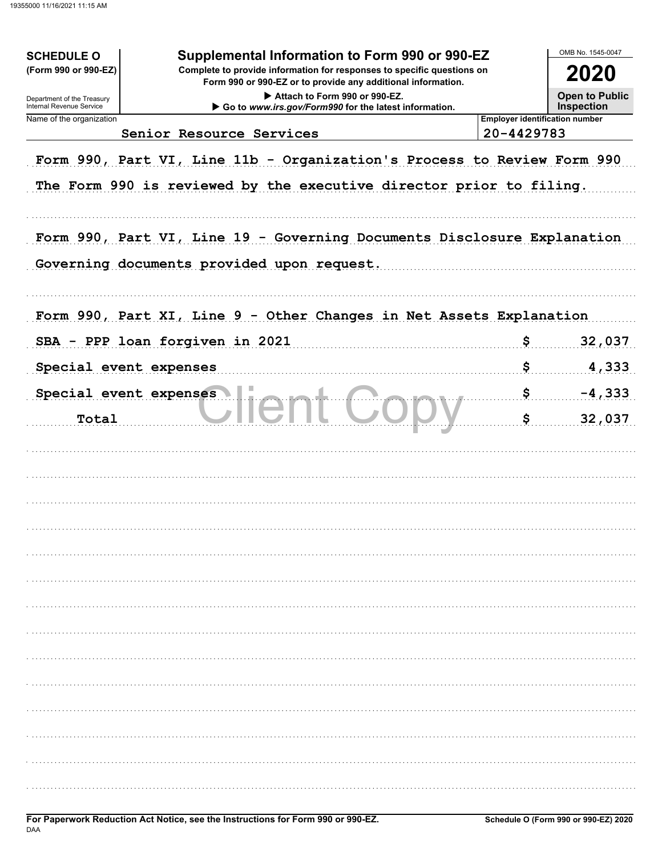| Supplemental Information to Form 990 or 990-EZ<br><b>SCHEDULE O</b><br>(Form 990 or 990-EZ)<br>Complete to provide information for responses to specific questions on<br>Form 990 or 990-EZ or to provide any additional information.<br>Attach to Form 990 or 990-EZ.<br>Department of the Treasury<br>Internal Revenue Service<br>Go to www.irs.gov/Form990 for the latest information. |                                                                                                                                                |                                       |        |  |  |
|-------------------------------------------------------------------------------------------------------------------------------------------------------------------------------------------------------------------------------------------------------------------------------------------------------------------------------------------------------------------------------------------|------------------------------------------------------------------------------------------------------------------------------------------------|---------------------------------------|--------|--|--|
| Name of the organization                                                                                                                                                                                                                                                                                                                                                                  |                                                                                                                                                | <b>Employer identification number</b> |        |  |  |
|                                                                                                                                                                                                                                                                                                                                                                                           | Senior Resource Services                                                                                                                       | 20-4429783                            |        |  |  |
|                                                                                                                                                                                                                                                                                                                                                                                           | Form 990, Part VI, Line 11b - Organization's Process to Review Form 990<br>The Form 990 is reviewed by the executive director prior to filing. |                                       |        |  |  |
|                                                                                                                                                                                                                                                                                                                                                                                           | Form 990, Part VI, Line 19 - Governing Documents Disclosure Explanation                                                                        |                                       |        |  |  |
|                                                                                                                                                                                                                                                                                                                                                                                           |                                                                                                                                                |                                       |        |  |  |
|                                                                                                                                                                                                                                                                                                                                                                                           | Governing documents provided upon request.                                                                                                     |                                       |        |  |  |
|                                                                                                                                                                                                                                                                                                                                                                                           |                                                                                                                                                |                                       |        |  |  |
|                                                                                                                                                                                                                                                                                                                                                                                           | Form 990, Part XI, Line 9 - Other Changes in Net Assets Explanation                                                                            |                                       |        |  |  |
|                                                                                                                                                                                                                                                                                                                                                                                           | SBA - PPP loan forgiven in 2021                                                                                                                | \$                                    | 32,037 |  |  |
| Special event expenses                                                                                                                                                                                                                                                                                                                                                                    |                                                                                                                                                | \$                                    | 4,333  |  |  |
|                                                                                                                                                                                                                                                                                                                                                                                           |                                                                                                                                                |                                       |        |  |  |
| Special event expenses                                                                                                                                                                                                                                                                                                                                                                    |                                                                                                                                                | \$                                    | -4,333 |  |  |
| Total                                                                                                                                                                                                                                                                                                                                                                                     |                                                                                                                                                | \$                                    | 32,037 |  |  |
|                                                                                                                                                                                                                                                                                                                                                                                           |                                                                                                                                                |                                       |        |  |  |
|                                                                                                                                                                                                                                                                                                                                                                                           |                                                                                                                                                |                                       |        |  |  |
|                                                                                                                                                                                                                                                                                                                                                                                           |                                                                                                                                                |                                       |        |  |  |
|                                                                                                                                                                                                                                                                                                                                                                                           |                                                                                                                                                |                                       |        |  |  |
|                                                                                                                                                                                                                                                                                                                                                                                           |                                                                                                                                                |                                       |        |  |  |
|                                                                                                                                                                                                                                                                                                                                                                                           |                                                                                                                                                |                                       |        |  |  |
|                                                                                                                                                                                                                                                                                                                                                                                           |                                                                                                                                                |                                       |        |  |  |
|                                                                                                                                                                                                                                                                                                                                                                                           |                                                                                                                                                |                                       |        |  |  |
|                                                                                                                                                                                                                                                                                                                                                                                           |                                                                                                                                                |                                       |        |  |  |
|                                                                                                                                                                                                                                                                                                                                                                                           |                                                                                                                                                |                                       |        |  |  |
|                                                                                                                                                                                                                                                                                                                                                                                           |                                                                                                                                                |                                       |        |  |  |
|                                                                                                                                                                                                                                                                                                                                                                                           |                                                                                                                                                |                                       |        |  |  |
|                                                                                                                                                                                                                                                                                                                                                                                           |                                                                                                                                                |                                       |        |  |  |
|                                                                                                                                                                                                                                                                                                                                                                                           |                                                                                                                                                |                                       |        |  |  |
|                                                                                                                                                                                                                                                                                                                                                                                           |                                                                                                                                                |                                       |        |  |  |
|                                                                                                                                                                                                                                                                                                                                                                                           |                                                                                                                                                |                                       |        |  |  |
|                                                                                                                                                                                                                                                                                                                                                                                           |                                                                                                                                                |                                       |        |  |  |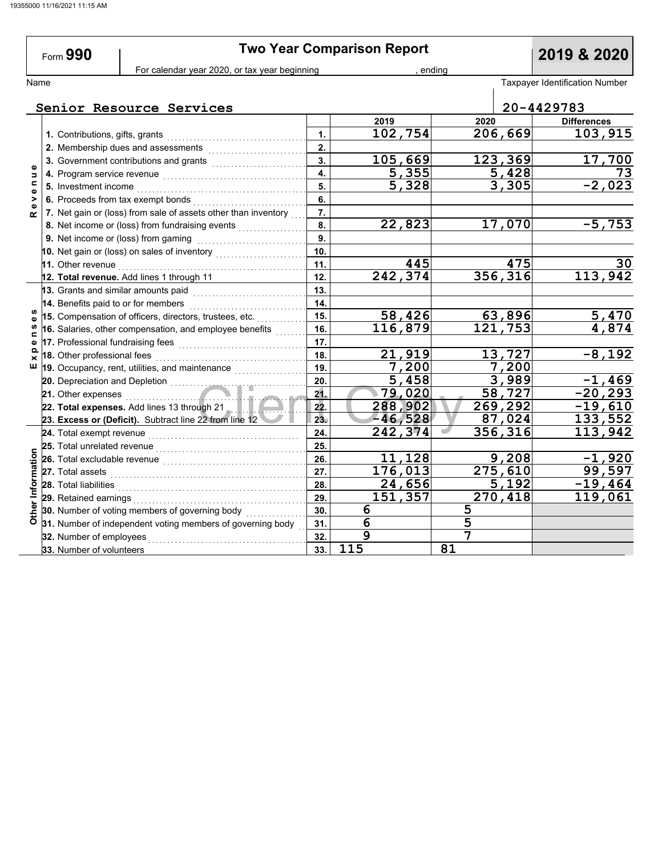|                                               | <b>Two Year Comparison Report</b><br>Form 990 |                                                                                                                        |                |                       |                        |                                       |
|-----------------------------------------------|-----------------------------------------------|------------------------------------------------------------------------------------------------------------------------|----------------|-----------------------|------------------------|---------------------------------------|
| For calendar year 2020, or tax year beginning |                                               |                                                                                                                        |                |                       | ending                 | 2019 & 2020                           |
| Name                                          |                                               |                                                                                                                        |                |                       |                        | <b>Taxpayer Identification Number</b> |
|                                               |                                               | Senior Resource Services                                                                                               |                |                       |                        | 20-4429783                            |
|                                               |                                               |                                                                                                                        |                | 2019                  | 2020                   | <b>Differences</b>                    |
|                                               |                                               |                                                                                                                        | 1.             | 102,754               | 206,669                | 103,915                               |
|                                               |                                               | 2. Membership dues and assessments [111] Membership and assessments                                                    | 2.             |                       |                        |                                       |
|                                               |                                               |                                                                                                                        | 3.             | 105,669               | 123,369                | 17,700                                |
| Ξ                                             |                                               |                                                                                                                        | $\overline{4}$ | 5,355                 | 5,428                  |                                       |
| c                                             | 5. Investment income                          |                                                                                                                        | 5.             | $\overline{5,328}$    | 3,305                  | $-2,023$                              |
| $\bullet$<br>>                                |                                               | 6. Proceeds from tax exempt bonds                                                                                      | 6.             |                       |                        |                                       |
| $\bullet$<br>œ                                |                                               | 7. Net gain or (loss) from sale of assets other than inventory                                                         | 7.             |                       |                        |                                       |
|                                               |                                               | 8. Net income or (loss) from fundraising events                                                                        | 8.             | 22,823                | 17,070                 | $-5,753$                              |
|                                               |                                               |                                                                                                                        | 9.             |                       |                        |                                       |
|                                               |                                               | 10. Net gain or (loss) on sales of inventory [1, 1, 1, 1, 1, 1, 1, 1, 1, 1, 1, 1                                       | 10.            |                       |                        |                                       |
|                                               | 11. Other revenue                             |                                                                                                                        | 11.            | 445                   | 475                    | 30                                    |
|                                               |                                               | 12. Total revenue. Add lines 1 through 11                                                                              | 12.            | 242, 374              | 356, 316               | 113,942                               |
|                                               |                                               | 13. Grants and similar amounts paid                                                                                    | 13.            |                       |                        |                                       |
|                                               |                                               | 14. Benefits paid to or for members<br>.                                                                               | 14.            |                       |                        |                                       |
|                                               |                                               | 15. Compensation of officers, directors, trustees, etc.                                                                | 15.            | 58,426                | 63,896                 | 5,470                                 |
|                                               |                                               | 16. Salaries, other compensation, and employee benefits                                                                | 16.            | 116,879               | 121,753                | 4,874                                 |
|                                               | 17. Professional fundraising fees             |                                                                                                                        | 17.            |                       |                        |                                       |
| ௨                                             | 18. Other professional fees                   |                                                                                                                        | 18.            | 21,919                | 13,727                 | $-8,192$                              |
| ш                                             |                                               | 19. Occupancy, rent, utilities, and maintenance <i>millioning</i>                                                      | 19.            | 7,200                 | 7,200                  |                                       |
|                                               |                                               |                                                                                                                        | 20.            | 5,458                 | 3,989                  | $-1,469$                              |
|                                               | 21. Other expenses                            |                                                                                                                        | 21.            | 79,020                | 58,727                 | $-20, 293$                            |
|                                               |                                               | 22. Total expenses. Add lines 13 through 21                                                                            | 22.            | 288,902               | 269, 292               | $-19,610$                             |
|                                               |                                               | 23. Excess or (Deficit). Subtract line 22 from line 12                                                                 | 23.            | $-46,528$             | 87,024                 | 133,552                               |
|                                               | 24. Total exempt revenue                      |                                                                                                                        | 24.            | $\overline{242, 374}$ | 356,316                | 113,942                               |
|                                               | 25. Total unrelated revenue                   |                                                                                                                        | 25.            |                       |                        |                                       |
|                                               | 26. Total excludable revenue                  |                                                                                                                        | 26.            | 11,128                | 9,208                  | $-1,920$                              |
| Other Information                             |                                               | 27. Total assets <b>construction</b> as a set of the set of the set of the set of the set of the set of the set of the | 27.            | 176,013               | $\overline{275}$ , 610 | 99,597                                |
|                                               |                                               |                                                                                                                        | 28.            | 24,656                | 5,192                  | $-19,464$                             |
|                                               | 29. Retained earnings                         |                                                                                                                        | 29.            | 151,357               | 270,418                | 119,061                               |
|                                               |                                               | 30. Number of voting members of governing body                                                                         | 30.            | 6                     | 5                      |                                       |
|                                               |                                               | 31. Number of independent voting members of governing body                                                             | 31.            | 6                     | 5                      |                                       |
|                                               | 32. Number of employees                       |                                                                                                                        | 32.            | 9                     | 7                      |                                       |

**115 81**

**32.** Number of employees . . . . . . . . . . . . . . . . . . . . . . . . . . . . . . . . . . . . . . . . . . **33.** Number of volunteers **33.**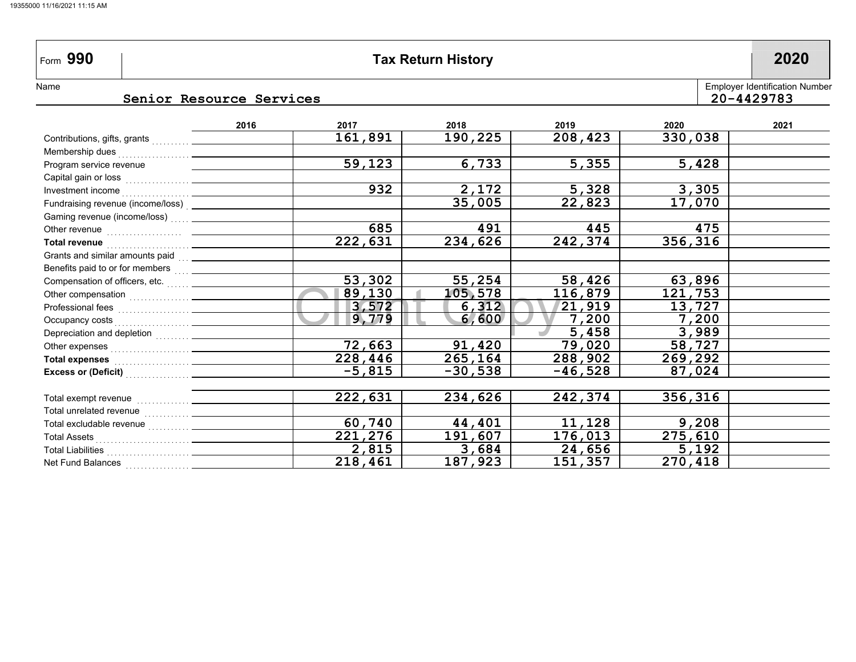| 19355000 11/16/2021 11:15 AM |  |  |  |
|------------------------------|--|--|--|
|------------------------------|--|--|--|

Form 990

# **990 Tax Return History 2020**

Name

## **Senior Resource Services 20-4429783**

Employer Identification Number

|                                                                                                                                                                                                                                      | 2016 | 2017     | 2018    | 2019      | 2020    | 2021 |
|--------------------------------------------------------------------------------------------------------------------------------------------------------------------------------------------------------------------------------------|------|----------|---------|-----------|---------|------|
| Contributions, gifts, grants                                                                                                                                                                                                         |      | 161,891  | 190,225 | 208,423   | 330,038 |      |
| Membership dues                                                                                                                                                                                                                      |      |          |         |           |         |      |
| Program service revenue                                                                                                                                                                                                              |      | 59,123   | 6,733   | 5,355     | 5,428   |      |
|                                                                                                                                                                                                                                      |      |          |         |           |         |      |
|                                                                                                                                                                                                                                      |      | 932      | 2,172   | 5,328     | 3,305   |      |
| Fundraising revenue (income/loss) ____________                                                                                                                                                                                       |      |          | 35,005  | 22,823    | 17,070  |      |
|                                                                                                                                                                                                                                      |      |          |         |           |         |      |
|                                                                                                                                                                                                                                      |      | 685      | 491     | 445       | 475     |      |
| Total revenue <b>contract and the contract of the contract of the contract of the contract of the contract of the contract of the contract of the contract of the contract of the contract of the contract of the contract of th</b> |      | 222,631  | 234,626 | 242,374   | 356,316 |      |
|                                                                                                                                                                                                                                      |      |          |         |           |         |      |
| Benefits paid to or for members  ____________                                                                                                                                                                                        |      |          |         |           |         |      |
|                                                                                                                                                                                                                                      |      | 53,302   | 55,254  | 58,426    | 63,896  |      |
|                                                                                                                                                                                                                                      |      | 89,130   | 105,578 | 116,879   | 121,753 |      |
|                                                                                                                                                                                                                                      |      | 3,572    | 6,312   | 21,919    | 13,727  |      |
|                                                                                                                                                                                                                                      |      | 9,779    | 6,600   | 7,200     | 7,200   |      |
|                                                                                                                                                                                                                                      |      |          |         | 5,458     | 3,989   |      |
| Other expenses <b>contained contained a set of the set of the set of the set of the set of the set of the set of the set of the set of the set of the set of the set of the set of the set of the set of the set of the set of</b>   |      | 72,663   | 91,420  | 79,020    | 58,727  |      |
| Total expenses <b>contained</b> and the contact of the contact of the contact of the contact of the contact of the contact of the contact of the contact of the contact of the contact of the contact of the contact of the contact  |      | 228,446  | 265,164 | 288,902   | 269,292 |      |
| Excess or (Deficit) <b>Construction</b>                                                                                                                                                                                              |      | $-5,815$ | -30,538 | $-46,528$ | 87,024  |      |
|                                                                                                                                                                                                                                      |      |          |         |           |         |      |
|                                                                                                                                                                                                                                      |      | 222,631  | 234,626 | 242,374   | 356,316 |      |
|                                                                                                                                                                                                                                      |      |          |         |           |         |      |
|                                                                                                                                                                                                                                      |      | 60,740   | 44,401  | 11,128    | 9,208   |      |
|                                                                                                                                                                                                                                      |      | 221,276  | 191,607 | 176,013   | 275,610 |      |
|                                                                                                                                                                                                                                      |      | 2,815    | 3,684   | 24,656    | 5,192   |      |
| Net Fund Balances                                                                                                                                                                                                                    |      | 218,461  | 187,923 | 151,357   | 270,418 |      |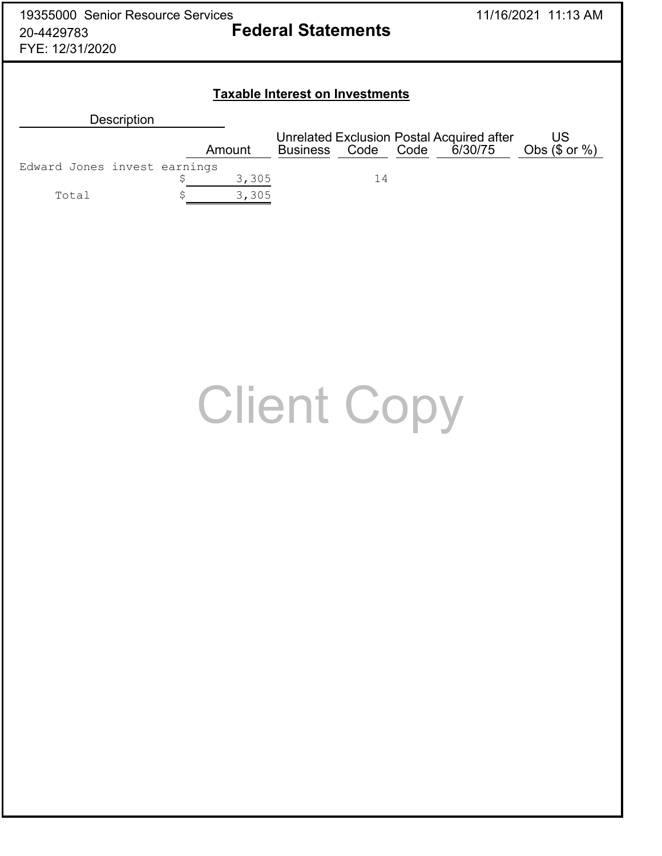| 19355000 Senior Resource Services<br>20-4429783<br>FYE: 12/31/2020            | <b>Federal Statements</b>                                                       | 11/16/2021 11:13 AM                     |
|-------------------------------------------------------------------------------|---------------------------------------------------------------------------------|-----------------------------------------|
|                                                                               | <b>Taxable Interest on Investments</b>                                          |                                         |
| Description                                                                   |                                                                                 |                                         |
| Amount<br>Edward Jones invest earnings<br>3,305<br>\$<br>3,305<br>\$<br>Total | Unrelated Exclusion Postal Acquired after<br>Code Code<br><b>Business</b><br>14 | <b>US</b><br>6/30/75<br>Obs $($ or  %)$ |
|                                                                               |                                                                                 |                                         |
|                                                                               |                                                                                 |                                         |
|                                                                               |                                                                                 |                                         |
|                                                                               |                                                                                 |                                         |
|                                                                               |                                                                                 |                                         |
|                                                                               |                                                                                 |                                         |
|                                                                               | <b>Client Copy</b>                                                              |                                         |
|                                                                               |                                                                                 |                                         |
|                                                                               |                                                                                 |                                         |
|                                                                               |                                                                                 |                                         |
|                                                                               |                                                                                 |                                         |
|                                                                               |                                                                                 |                                         |
|                                                                               |                                                                                 |                                         |
|                                                                               |                                                                                 |                                         |
|                                                                               |                                                                                 |                                         |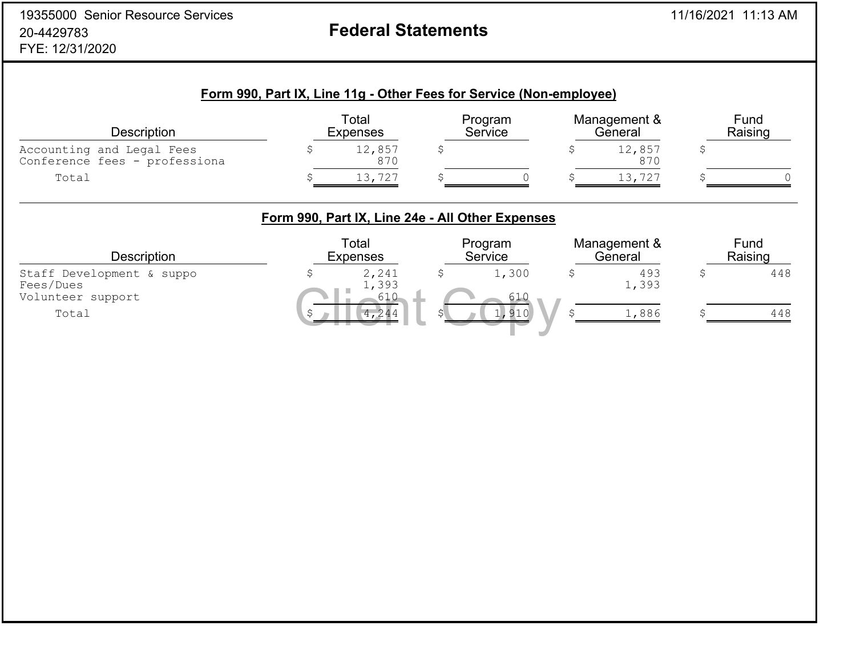# **Federal Statements**

| Description                                                | Total<br><b>Expenses</b> |  | Program<br>Service |  | Management &<br>General |  | Fund<br>Raising |  |
|------------------------------------------------------------|--------------------------|--|--------------------|--|-------------------------|--|-----------------|--|
| Accounting and Legal Fees<br>Conference fees - professiona | 12,857<br>870            |  |                    |  | 12,857<br>870           |  |                 |  |
| Total                                                      | 13,727                   |  |                    |  | 13,727                  |  |                 |  |

# **Form 990, Part IX, Line 24e - All Other Expenses**

| <b>Description</b>                                          | Total<br><b>Expenses</b> | Program<br>Service | Management &<br>General | Fund<br>Raising |
|-------------------------------------------------------------|--------------------------|--------------------|-------------------------|-----------------|
| Staff Development & suppo<br>Fees/Dues<br>Volunteer support | 2,241<br>1,393<br>610    | 1,300<br>61(       | 493<br>1,393            | 448             |
| Total                                                       |                          |                    | 1,886                   | 448             |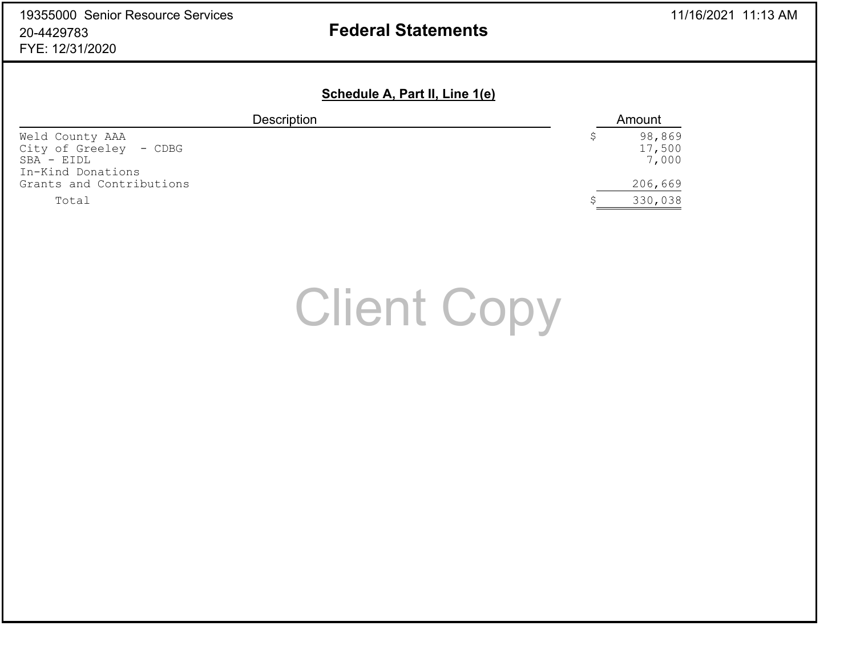# **Federal Statements**

# **Schedule A, Part II, Line 1(e)**

| Description                                             | Amount                    |
|---------------------------------------------------------|---------------------------|
| Weld County AAA<br>City of Greeley - CDBG<br>SBA - EIDL | 98,869<br>17,500<br>7,000 |
| In-Kind Donations<br>Grants and Contributions           | 206,669                   |
| Total                                                   | 330,038                   |

Client Copy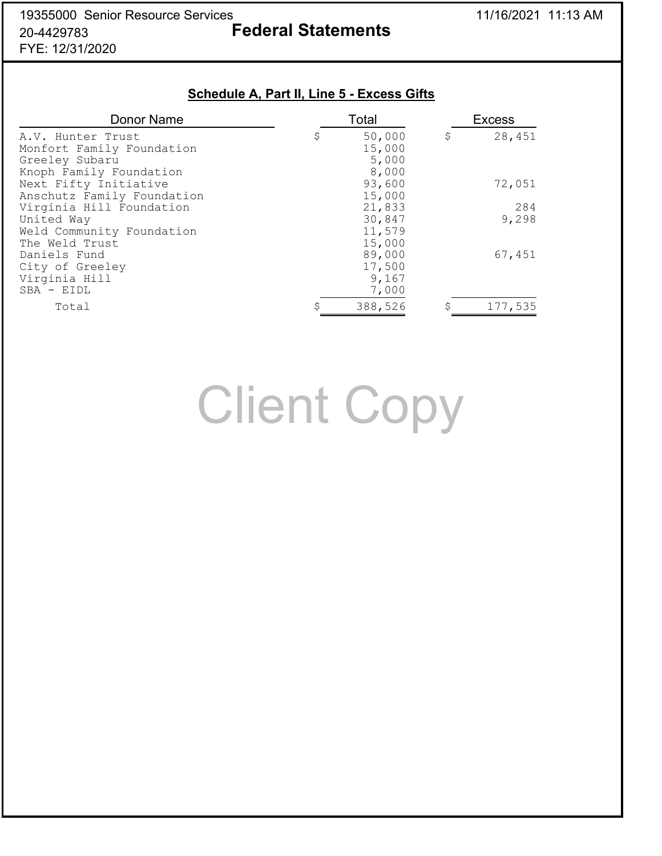| <b>Schedule A, Part II, Line 5 - Excess Gifts</b>                                           |    |                                      |    |               |  |
|---------------------------------------------------------------------------------------------|----|--------------------------------------|----|---------------|--|
| Donor Name                                                                                  |    | Total                                |    | <b>Excess</b> |  |
| A.V. Hunter Trust<br>Monfort Family Foundation<br>Greeley Subaru<br>Knoph Family Foundation | \$ | 50,000<br>15,000<br>5,000<br>8,000   | \$ | 28,451        |  |
| Next Fifty Initiative<br>Anschutz Family Foundation                                         |    | 93,600<br>15,000                     |    | 72,051        |  |
| Virginia Hill Foundation<br>United Way<br>Weld Community Foundation<br>The Weld Trust       |    | 21,833<br>30,847<br>11,579<br>15,000 |    | 284<br>9,298  |  |
| Daniels Fund<br>City of Greeley<br>Virginia Hill<br>$SBA - EIDL$                            |    | 89,000<br>17,500<br>9,167<br>7,000   |    | 67,451        |  |
| Total                                                                                       |    | 388,526                              |    | 177,535       |  |

Client Copy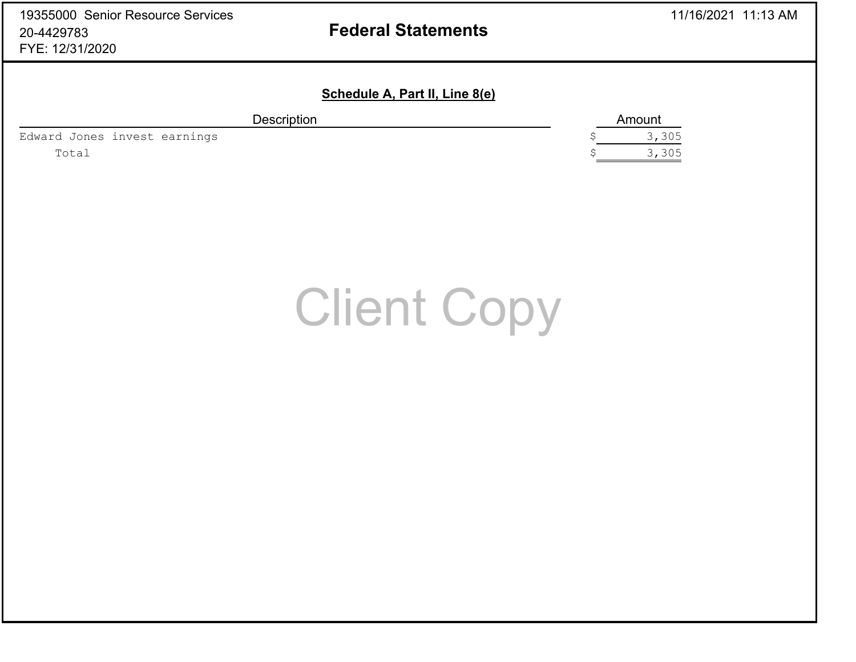# **Federal Statements**

# **Schedule A, Part II, Line 8(e)**

| <b>Description</b>           | Amount |
|------------------------------|--------|
| Edward Jones invest earnings | 3,305  |
| Total                        | 3,305  |

Client Copy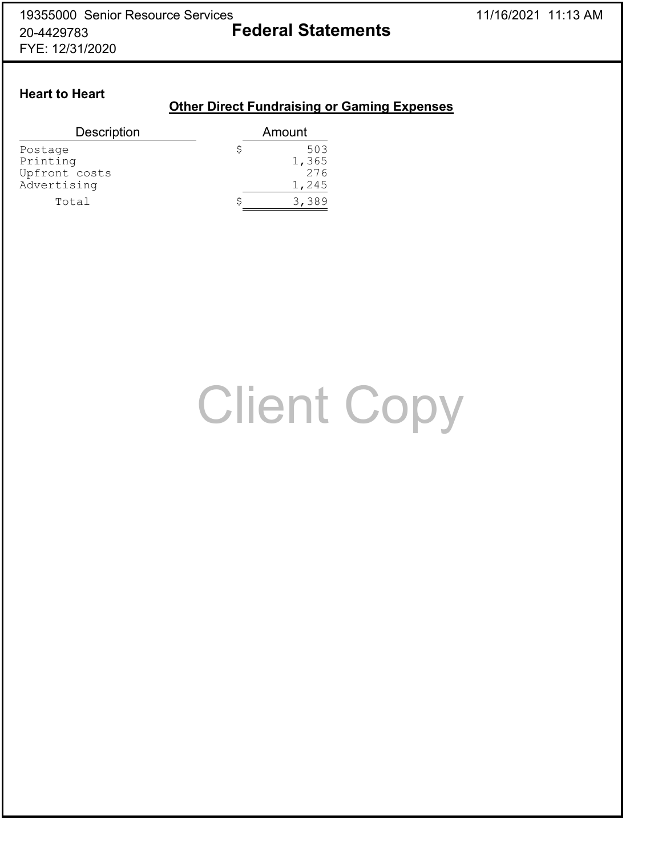## **Heart to Heart**

## **Other Direct Fundraising or Gaming Expenses**

| Description   | Amount |       |  |
|---------------|--------|-------|--|
| Postage       |        | 503   |  |
| Printing      |        | 1,365 |  |
| Upfront costs |        | 276   |  |
| Advertising   |        | 1,245 |  |
| Total         |        | 3,389 |  |

# Client Copy